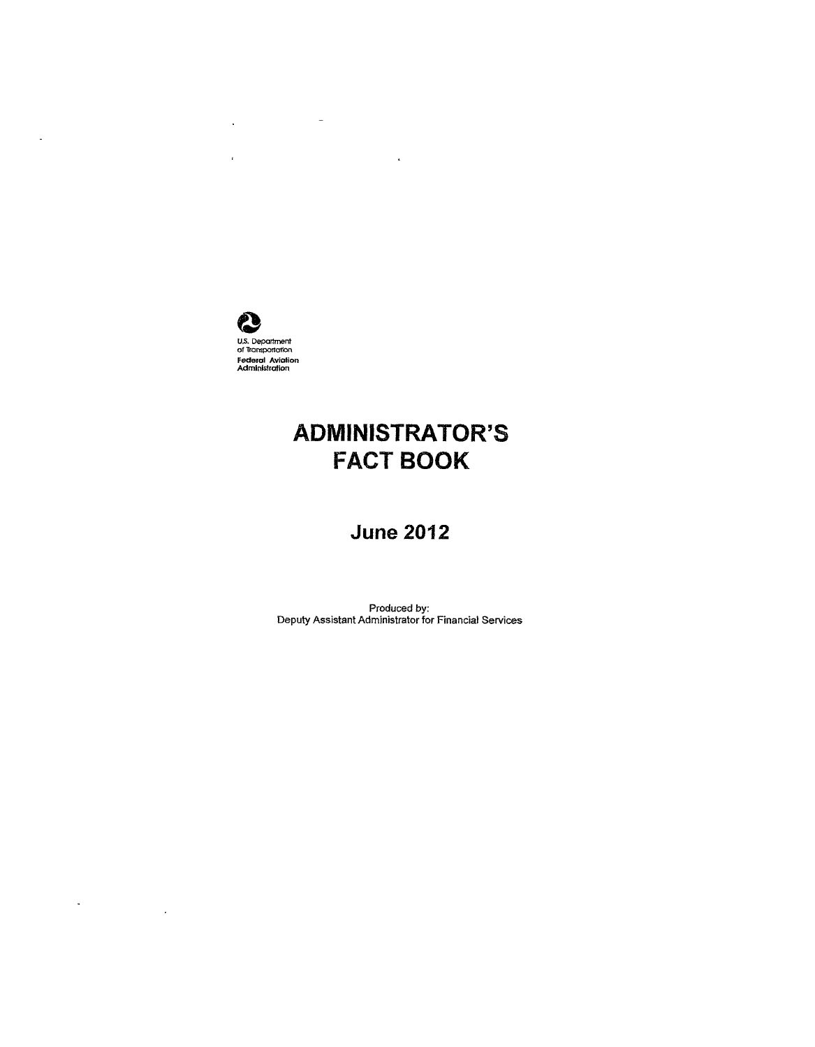

 $\bar{\bar{E}}$ 

 $\Delta \phi$  and  $\phi$  are  $\phi$  . In the set of  $\phi$ 

 $\sim$ 

 $\label{eq:2.1} \frac{1}{\sqrt{2}}\int_{\mathbb{R}^3}\frac{1}{\sqrt{2}}\left(\frac{1}{\sqrt{2}}\right)^2\frac{1}{\sqrt{2}}\left(\frac{1}{\sqrt{2}}\right)^2\frac{1}{\sqrt{2}}\left(\frac{1}{\sqrt{2}}\right)^2.$ 

# ADMINISTRATOR'S FACT BOOK

 $\mathcal{L}^{\text{max}}_{\text{max}}$ 

# **June 2012**

Produced by: Deputy Assistant Administrator for Financial Services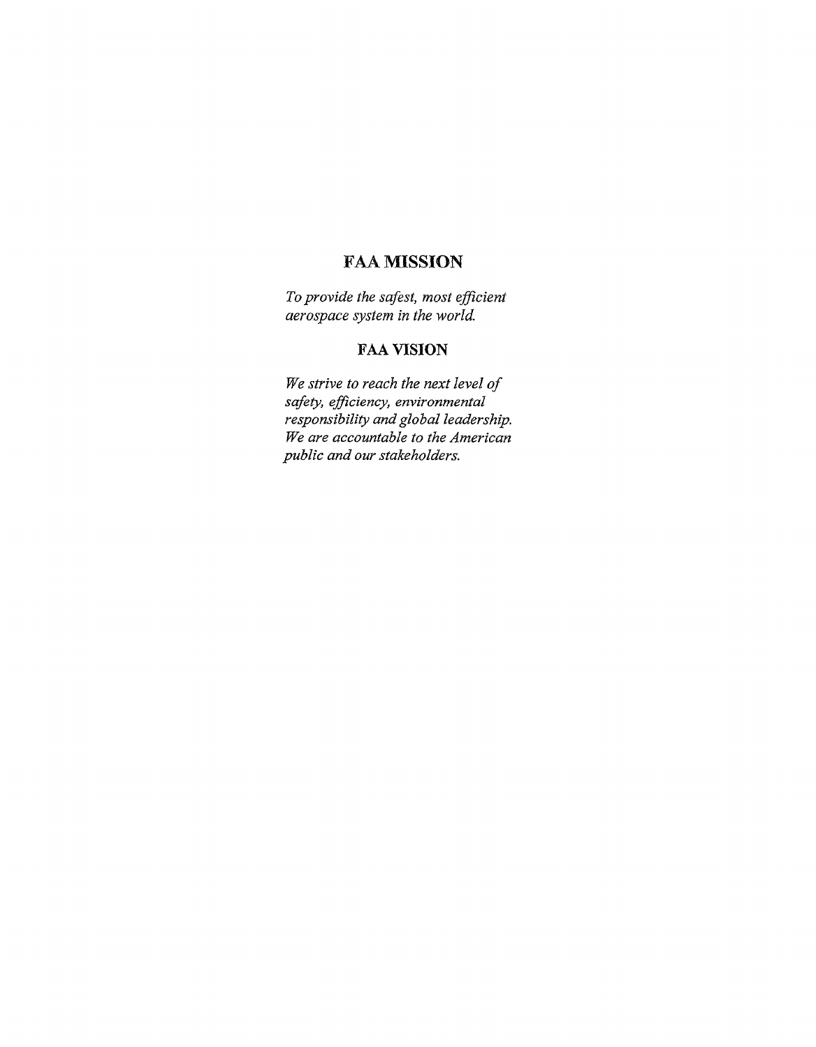# FAA MISSION

*To provide the safest, most efficient aerospace system in the world.* 

### FAA VISION

*We strive to reach the next level of safety, efficiency, environmental responsibility and global leadership. We are accountable to the American public and our stakeholders.*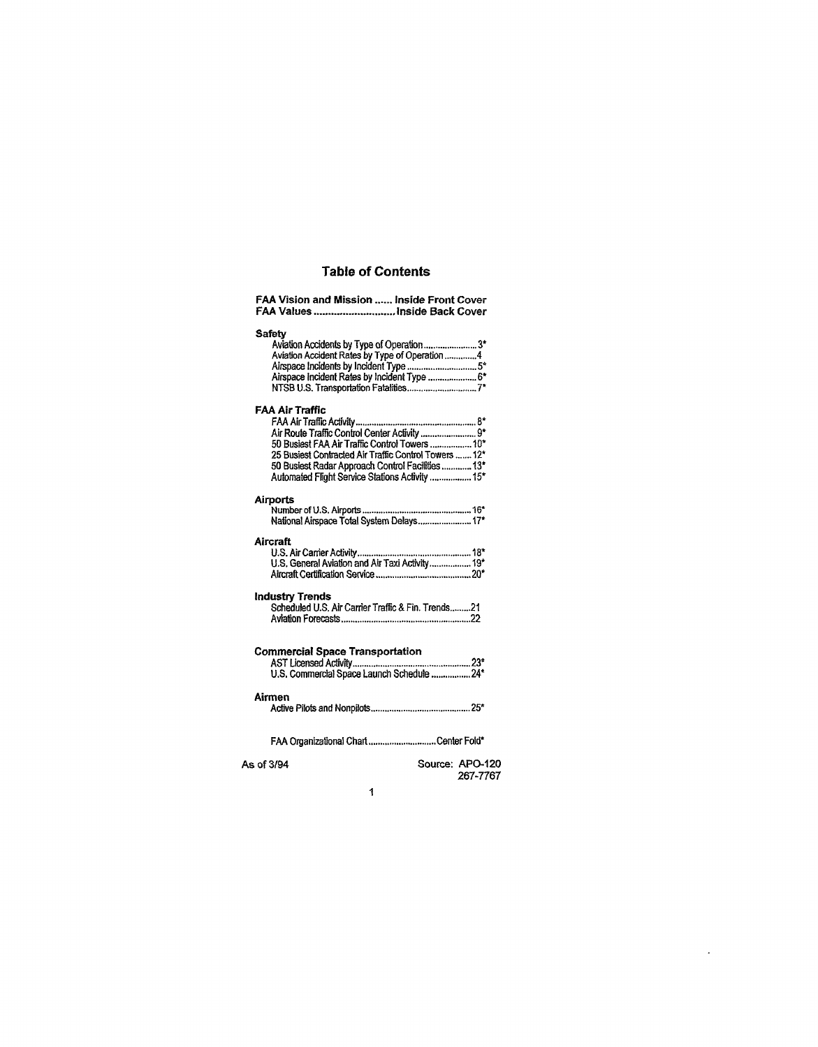#### Table of Contents

| <b>FAA Vision and Mission  Inside Front Cover</b><br>FAA Values  Inside Back Cover                                                                                                                                                                                                 |
|------------------------------------------------------------------------------------------------------------------------------------------------------------------------------------------------------------------------------------------------------------------------------------|
| <b>Safety</b><br>Aviation Accidents by Type of Operation3*<br>Aviation Accident Rates by Type of Operation 4<br>Airspace incident Rates by Incident Type  6*<br>NTSB U.S. Transportation Fatalities7*                                                                              |
| FAA Air Traffic<br>Air Route Traffic Control Center Activity 9*<br>50 Busiest FAA Air Traffic Control Towers  10*<br>25 Busiest Contracted Air Traffic Control Towers  12*<br>50 Busiest Radar Approach Control Facilities  13*<br>Automated Flight Service Stations Activity  15* |
| <b>Airports</b><br>National Airspace Total System Delays 17*                                                                                                                                                                                                                       |
| Aircraft                                                                                                                                                                                                                                                                           |
| <b>Industry Trends</b><br>Scheduled U.S. Air Carrier Traffic & Fin. Trends21                                                                                                                                                                                                       |
| <b>Commercial Space Transportation</b>                                                                                                                                                                                                                                             |
| Airmen                                                                                                                                                                                                                                                                             |
| FAA Organizational Chart Center Fold*                                                                                                                                                                                                                                              |
| Source: APO-120<br>As of 3/94<br>267-7767                                                                                                                                                                                                                                          |

 $\mathcal{A}^{\mathcal{A}}$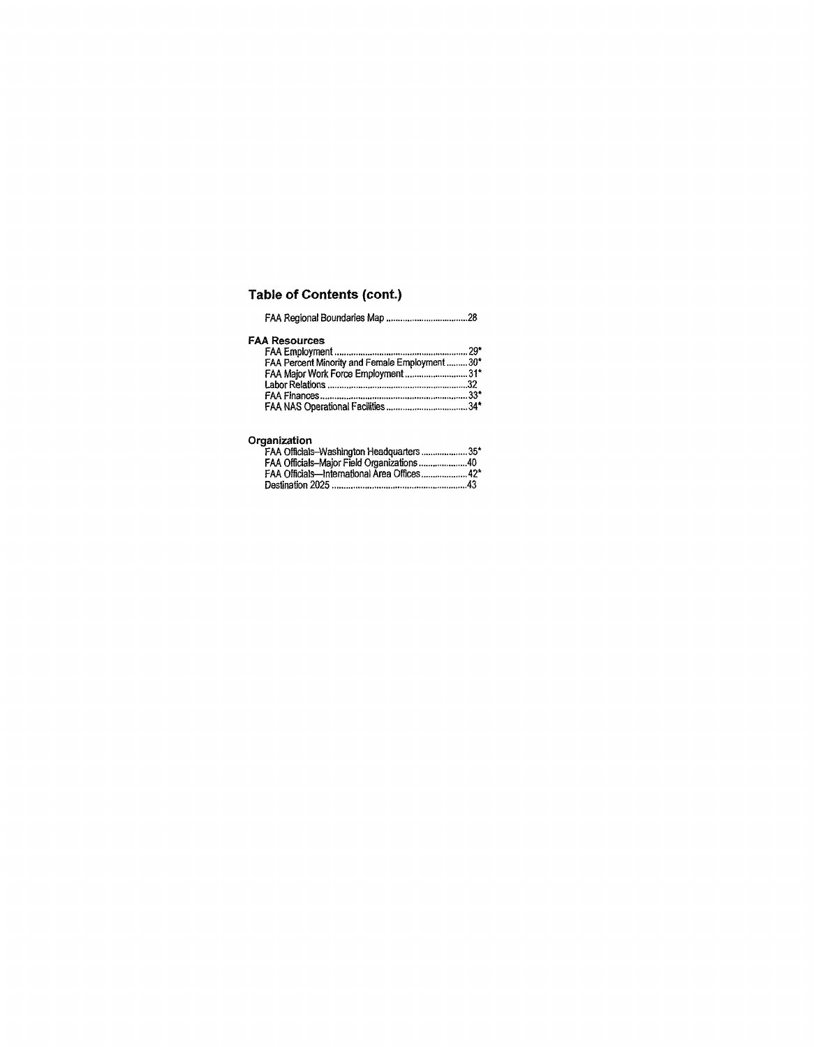# Table of Contents (cont.)

| <b>FAA Resources</b> |  |
|----------------------|--|
|                      |  |
|                      |  |

| FAA Percent Minority and Female Employment 30* |  |
|------------------------------------------------|--|
| FAA Major Work Force Employment31*             |  |
|                                                |  |
|                                                |  |
|                                                |  |
|                                                |  |

#### **Organization**

| FAA Officials-Washington Headquarters 35*   |  |
|---------------------------------------------|--|
| FAA Officials-Major Field Organizations40   |  |
| FAA Officials—International Area Offices42* |  |
|                                             |  |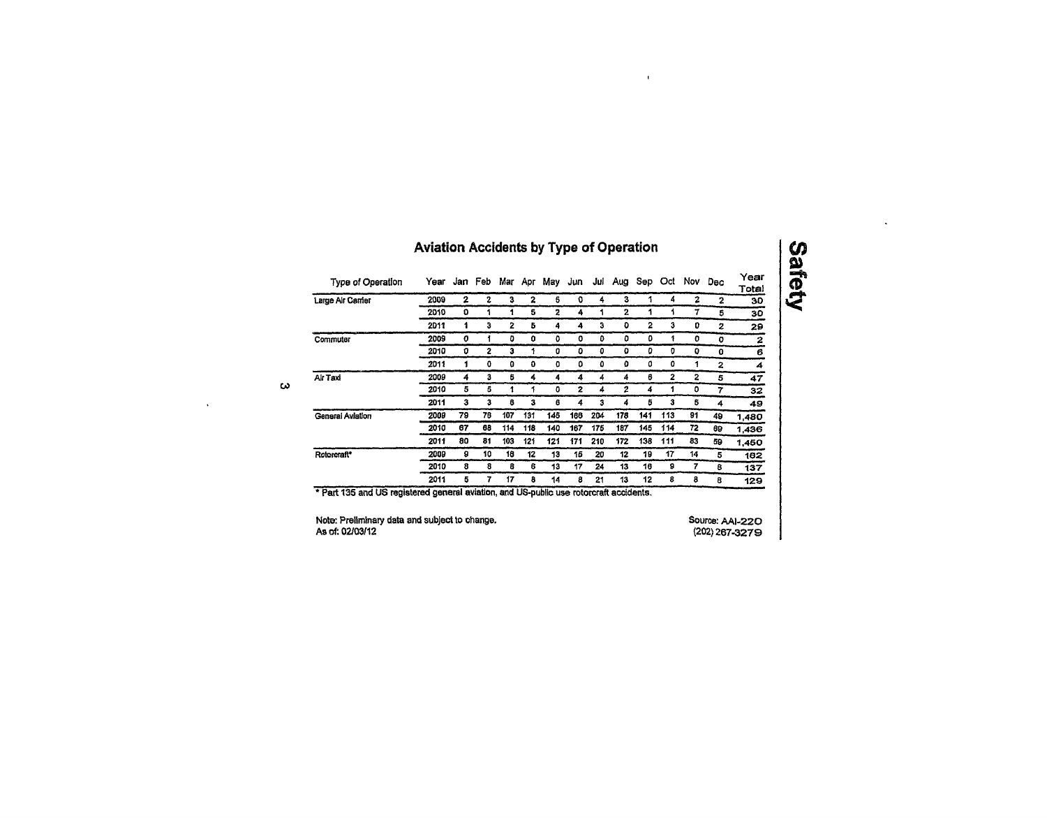# Aviation Accidents by Type of Operation

 $\mathbf{u}$ 

 $\ddot{\phantom{a}}$ 

| Type of Operation | Year |              |                |     |     |     |     |     | Jan Feb Mar Apr May Jun Jul Aug Sep Oct Nov |     |     |    | Dec | Year<br>Total |
|-------------------|------|--------------|----------------|-----|-----|-----|-----|-----|---------------------------------------------|-----|-----|----|-----|---------------|
| Large Air Carrier | 2009 | $\mathbf{z}$ | 2              | з   | 2   | 6   | O   | 4   | з                                           | 1   | 4   | 2  | 2   | 30            |
|                   | 2010 | ٥            | 1              | 1   | s   | 2   | 4   |     | 2                                           | 1   |     | 7  | 5   | 30            |
|                   | 2011 | 1            | 3              | 2   | 5   | 4   | 4   | 3   | o                                           | 2   | 3   | D  | 2   | 29            |
| Commuter          | 2009 | 0            | 1              | ٥   | o   | ٥   | o   | ٥   | ٥                                           | ۵   | 1   | o  | o   | 2             |
|                   | 2010 | 0            | $\overline{2}$ | з   | 1   | 0   | ٥   | ٥   | ٥                                           | o   | D   | o  | o   | 6             |
|                   | 2011 | 1            | 0              | ٥   | o   | o   | ٥   | ٥   | ٥                                           | 0   | 0   | 1  | 2   | 4             |
| Air Taxi          | 2009 | 4            | 3              | 5   | 4   | 4   | 4   | 4   | 4                                           | 6   | 2   | 2  | 5   | 47            |
|                   | 2010 | 5            | 6              | 1   | 1   | ٥   | 2   | 4   | 2                                           | 4   | 1   | ٥  | 7   | 32            |
|                   | 2011 | з            | 3              | 6   | з   | 6   | 4   | 3   | 4                                           | 5   | 3   | 5  | 4   | 49            |
| General Aviation  | 2009 | 79           | 76             | 107 | 131 | 145 | 188 | 204 | 178                                         | 141 | 113 | 91 | 49  | 1,480         |
|                   | 2010 | 87           | 68             | 114 | 118 | 140 | 167 | 175 | 187                                         | 145 | 114 | 72 | 69  | 1,436         |
|                   | 2011 | 80           | 81             | 103 | 121 | 121 | 171 | 210 | 172                                         | 138 | 111 | 83 | 59  | 1.450         |
| Rotorcraft*       | 2009 | 9            | 10             | 18  | 12  | 13  | 15  | 20  | 12                                          | 19  | 17  | 14 | 5   | 162           |
|                   | 2010 | 8            | 8              | 8   | 6   | 13  | 17  | 24  | 13                                          | 18  | 9   | 7  | 8   | 137           |
|                   | 2011 | 5            | 7              | 17  | 8   | 14  | 8   | 21  | 13                                          | 12  | 8   | 8  | 8   | 129           |

 $\sim$ 

 $\sim$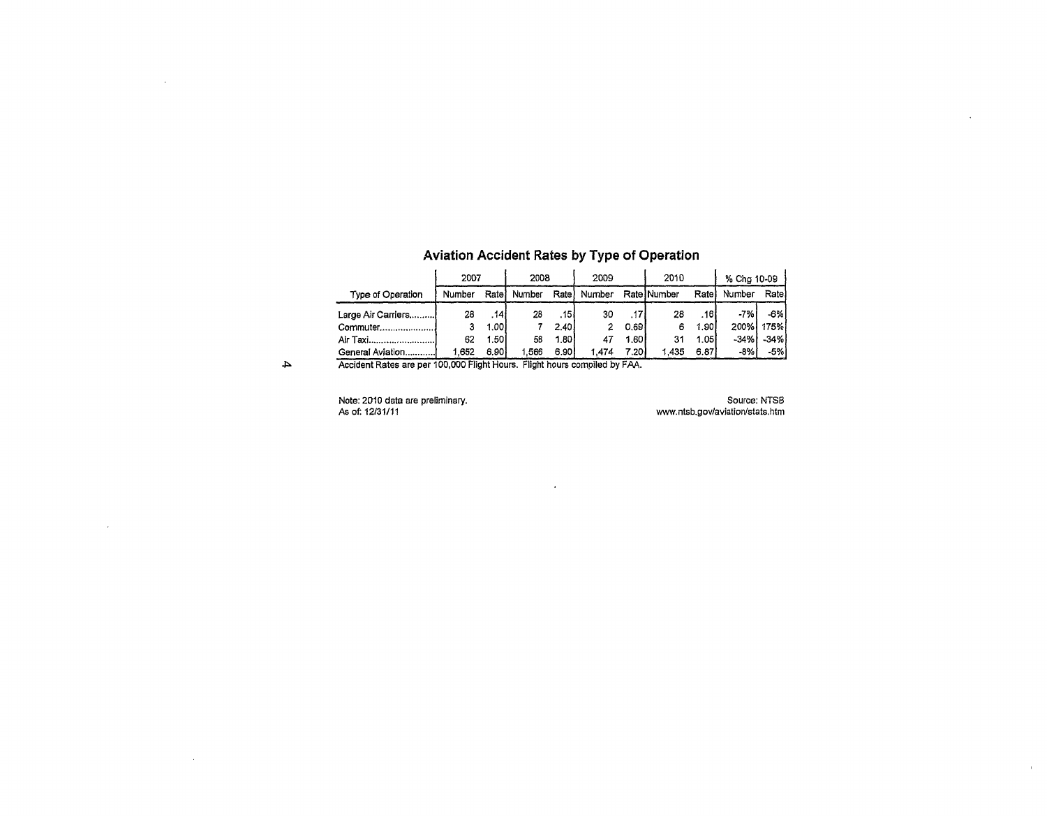|                     | 2007   |                  | 2008   |                  | 2009   |       | 2010        |       | % Chg 10-09 |        |
|---------------------|--------|------------------|--------|------------------|--------|-------|-------------|-------|-------------|--------|
| Type of Operation   | Number | Rate             | Number | Rate)            | Number |       | Rate Number | Ratel | Number      | Ratel  |
| Large Air Carriers! | 28     | .14 <sup>1</sup> | 28     | .15 <sup>1</sup> | 30     | .17'  | 28          | .161  | -7%         | -6% l  |
|                     |        | 1.001            |        | 2.40 l           |        | 0.691 | 6           | 1.90  | 200%        | 175%   |
| Air Taxi            | 62     | 1.50             | 58     | 1.801            |        | 1.601 | 31          | 1.05  | $-34%$      | $-34%$ |
| General Aviation    | 1.652  | 6.90             | .566   | 6.90             | 1.474  | 7.201 | 1.435       | 6.87  | $-8%$       | -5%    |

 $\sim$ 

### Aviation Accident Rates by Type of Operation

 $\blacktriangle$ 

 $\sim 10^{-1}$ 

 $\sim 10$ 

 $\mathcal{L}^{\text{max}}_{\text{max}}$ 

Accident Rates are per 100,000 Flight Hours. Flight hours compiled by FAA.

Note: 2010 data are preliminary. As of: 12/31/11

Source: NTSB [wvw.ntsb.gov/aviation/stats.htm](http://wvw.ntsb.gov/aviation/stats.htm)   $\sim$ 

 $\langle \hat{u} \rangle$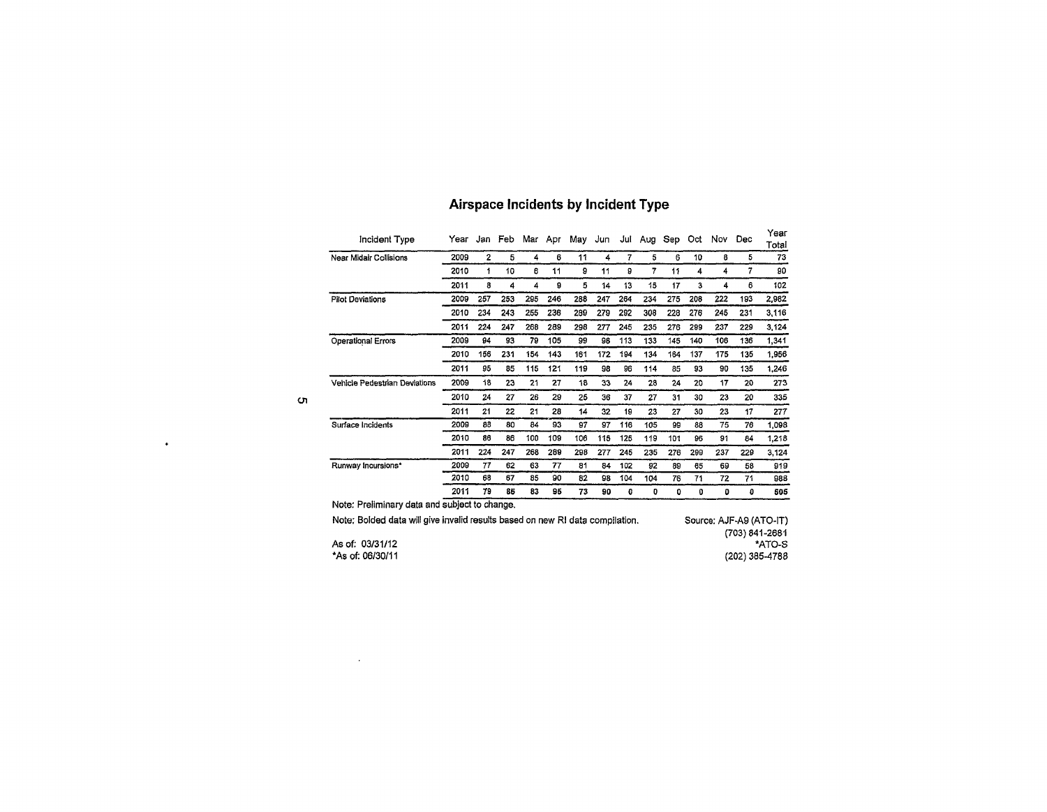| Incident Type                                                                                                                  | Year | Jan          | Feb |     | Mar Apr | May | Jun | Jul | Aug | Sep | Oct | Nov | Dec | Year<br>Total            |
|--------------------------------------------------------------------------------------------------------------------------------|------|--------------|-----|-----|---------|-----|-----|-----|-----|-----|-----|-----|-----|--------------------------|
| Near Midair Collisions                                                                                                         | 2009 | $\mathbf{2}$ | 5   | 4   | 6       | 11  | 4   | 7   | 5   | 6   | 10  | 8   | 5   | 73                       |
|                                                                                                                                | 2010 | 1            | 10  | 6   | 11      | 9   | 11  | 9   | 7   | 11  | 4   | 4   | 7   | 90                       |
|                                                                                                                                | 2011 | 8            | 4   | 4   | 9       | 5   | 14  | 13  | 15  | 17  | 3   | 4   | 6   | 102                      |
| <b>Pilot Deviations</b>                                                                                                        | 2009 | 257          | 253 | 295 | 246     | 288 | 247 | 264 | 234 | 275 | 208 | 222 | 193 | 2,982                    |
|                                                                                                                                | 2010 | 234          | 243 | 255 | 236     | 289 | 279 | 292 | 308 | 228 | 276 | 245 | 231 | 3.116                    |
|                                                                                                                                | 2011 | 224          | 247 | 268 | 289     | 298 | 277 | 245 | 235 | 276 | 299 | 237 | 229 | 3.124                    |
| <b>Operational Errors</b>                                                                                                      | 2009 | 94           | 93  | 79  | 105     | 99  | 98  | 113 | 133 | 145 | 140 | 106 | 136 | 1.341                    |
|                                                                                                                                | 2010 | 156          | 231 | 154 | 143     | 161 | 172 | 194 | 134 | 164 | 137 | 175 | 135 | 1.956                    |
|                                                                                                                                | 2011 | 95           | 85  | 115 | 121     | 119 | 98  | 96  | 114 | 85  | 93  | 90  | 135 | 1,246                    |
| Vehicle Pedestrian Deviations                                                                                                  | 2009 | 18           | 23  | 21  | 27      | 18  | 33  | 24  | 28  | 24  | 20  | 17  | 20  | 273                      |
|                                                                                                                                | 2010 | 24           | 27  | 26  | 29      | 25  | 36  | 37  | 27  | 31  | 30  | 23  | 20  | 335                      |
|                                                                                                                                | 2011 | 21           | 22  | 21  | 28      | 14  | 32  | 19  | 23  | 27  | 30  | 23  | 17  | 277                      |
| Surface Incidents                                                                                                              | 2009 | 88           | 80  | 84  | 93      | 97  | 97  | 116 | 105 | 99  | 88  | 75  | 76  | 1,098                    |
|                                                                                                                                | 2010 | 86           | 86  | 100 | 109     | 106 | 115 | 125 | 119 | 101 | 96  | 91  | 84  | 1,218                    |
|                                                                                                                                | 2011 | 224          | 247 | 268 | 289     | 298 | 277 | 245 | 235 | 276 | 299 | 237 | 229 | 3,124                    |
| Runway Incursions*                                                                                                             | 2009 | 77           | 62  | 63  | 77      | 81  | 84  | 102 | 92  | 89  | 65  | 69  | 58  | 919                      |
|                                                                                                                                | 2010 | 68           | 67  | 85  | 90      | 82  | 98  | 104 | 104 | 76  | 71  | 72  | 71  | 988                      |
|                                                                                                                                | 2011 | 79           | 85  | 83  | 95      | 73  | 90  | 0   | 0   | 0   | 0   | 0   | 0   | 506                      |
| Note: Preliminary data and subject to change.<br>Note: Bolded data will give invalid results based on new RI data compilation. |      |              |     |     |         |     |     |     |     |     |     |     |     | Source: AJF-A9 (ATO-IT)  |
| As of: 03/31/12                                                                                                                |      |              |     |     |         |     |     |     |     |     |     |     |     | (703) 841-2681<br>*ATO-S |

### Airspace incidents by Incident Type

\*As of: 06/30/11

 $\sim 10^{10}$  km s  $^{-1}$ 

 $\sigma$ 

 $\bullet$ 

(202)385-4788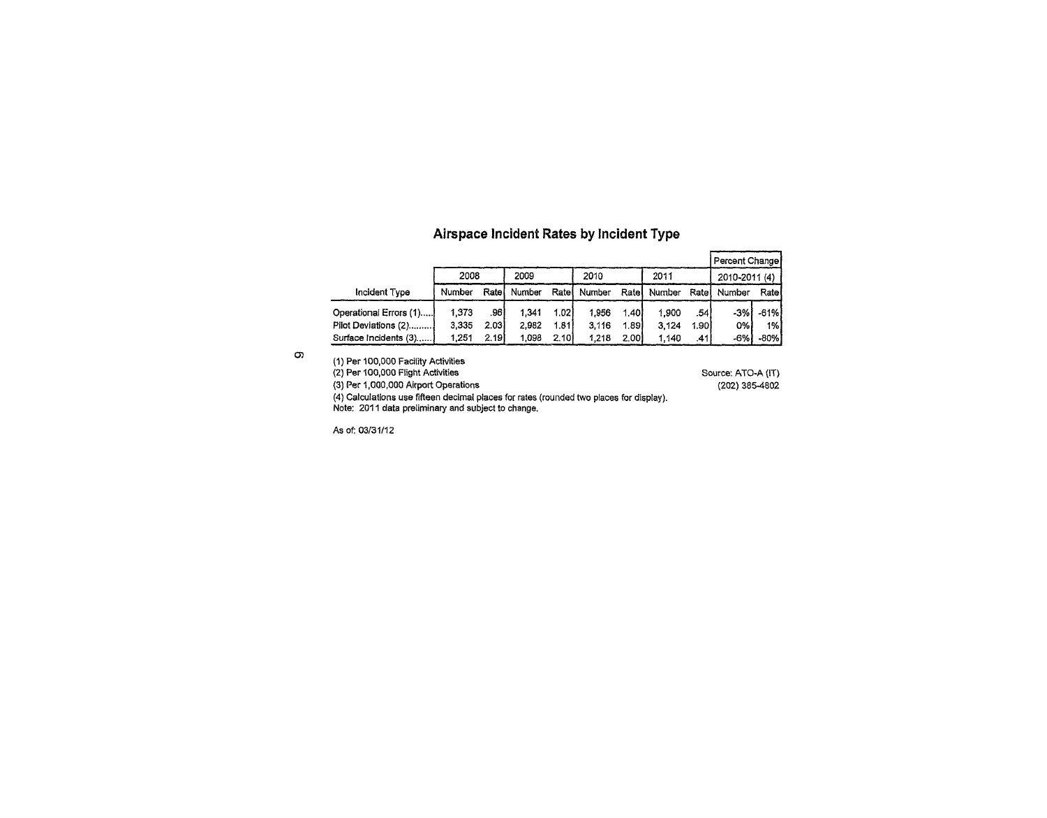### Airspace Incident Rates by Incident Type

|                        |        |       |        |                   |        |       |        |       | Percent Change |        |
|------------------------|--------|-------|--------|-------------------|--------|-------|--------|-------|----------------|--------|
|                        | 2008   |       | 2009   |                   | 2010   |       | 2011   |       | 2010-2011 (4)  |        |
| Incident Type          | Number | Ratel | Number | Rate              | Number | Ratel | Number | Ratel | Number         | Ratel  |
| Operational Errors (1) | 1.373  | .96 l | 1.341  | 1.02 <sub>1</sub> | 1.956  | 1.401 | 1.900  | .54I  | $-3%$          | $-61%$ |
| Pilot Deviations (2)!  | 3.335  | 2.031 | 2.982  | 1.811             | 3.116  | 1.891 | 3.124  | 1.901 | 0%             | 1%     |
| Surface Incidents (3)  | 1.251  | 2.191 | 1.098  | 2.101             | 1.218  | 2.001 | 1.140  | .41   | -6%            | -80% i |

 $\infty$ 

(1) Per 100,000 Facility Activities (2) Per 100,000 Flight Activities (3) Per 1,000,000 Airport Operations (4) Calculations use fifteen decimal places for rates (rounded two places for display). Note: 2011 data preliminary and subject to change. Source: ATO-A (IT) (202) 385-4802

As of: 03/31/12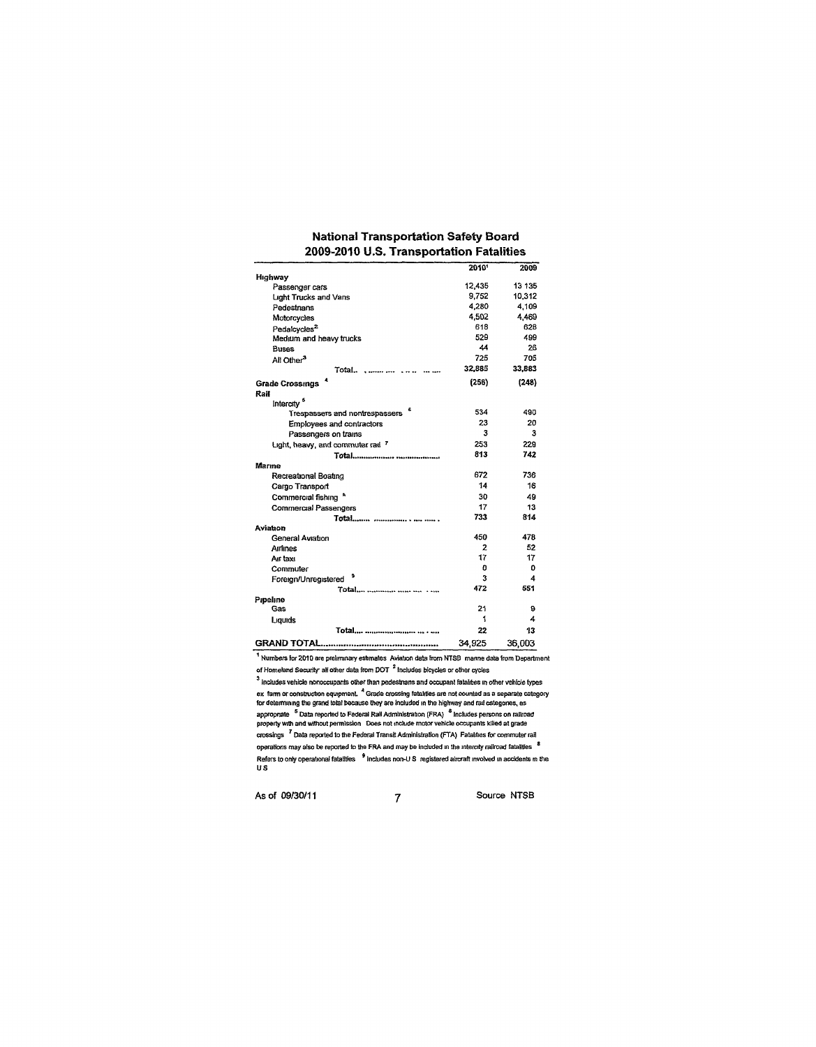|                                   | 2010*          | 2009         |
|-----------------------------------|----------------|--------------|
| Highway                           | 12,435         | 13 135       |
| Passenger cars                    | 9,752          | 10,312       |
| Light Trucks and Vans             | 4,280          | 4,109        |
| Pedestnans                        | 4,502          |              |
| Motorcycles                       | 618            | 4.469<br>628 |
| Pedalcycles <sup>2</sup>          | 529            |              |
| Medium and heavy trucks           | 44             | 499          |
| <b>Buses</b>                      | 725            | 26           |
| All Other <sup>3</sup>            |                | 705          |
| Total                             | 32,885         | 33,883       |
| <b>Grade Crossings</b>            | (256)          | (248)        |
| Rail                              |                |              |
| Intercity <sup>5</sup>            |                |              |
| Trespassers and nontrespassers    | 534            | 490          |
| Employees and contractors         | 23             | 20           |
| Passengers on trams               | 3              | 3            |
| Light, heavy, and commuter rail 7 | 253            | 229          |
|                                   | 813            | 742          |
| Marine                            |                |              |
| Recreational Boating              | 672            | 736          |
| Cargo Transport                   | 14             | 16           |
| Commercial fishing <sup>*</sup>   | 30             | 49           |
| <b>Commercial Passengers</b>      | 17             | 13           |
| Total                             | 733            | 814          |
| Aviation                          |                |              |
| General Aviation                  | 450            | 478          |
| Arrines                           | $\overline{2}$ | 52           |
| Air taxi                          | 17             | 17           |
| Commuter                          | O              | o            |
| э<br>Foreign/Unregistered         | 3              | 4            |
| Total    .                        | 472            | 551          |
| Pipeline                          |                |              |
| Gas                               | 21             | 9            |
| Liquids                           | 1              | 4            |
|                                   | 22             | 13           |
|                                   | 34,925         | 36,003       |

#### National Transportation Safety Board 2009-2010 U.S. Transportation Fatalities

1 Numbers for 2010 are preliminary estimates Aviation data from NTSB marine data from Department of Homeland Security all other data from DOT  $^2$  Includes bicycles or other cycles

 $3$  Includes vehicle nonoccupants other than pedestnans and occupant fatalities in other vehicle types ex farm or construction equipment. " Grade crossing fatalities are not counted as a separate category for deteimmmg the grand total because they are Included in the highway and rail categones, as appropriate <sup>5</sup> Data reported to Federal Rail Administration (FRA) <sup>6</sup> includes persons on railroad property with and without permission Does not include motor vehicle occupants killed at grade crossings <sup>7</sup> Data reported to the Federal Transit Administration (FTAJ Fatalities for commuter rail operations may also be reported to the FRA and may be included in the intercity railroad fatalities <sup>8</sup> Refers to only operational fatalities  $\,$   $^9$  includes non-U.S. registered aircraft involved in accidents in the US

As of 09/30/11 7 Source NTSB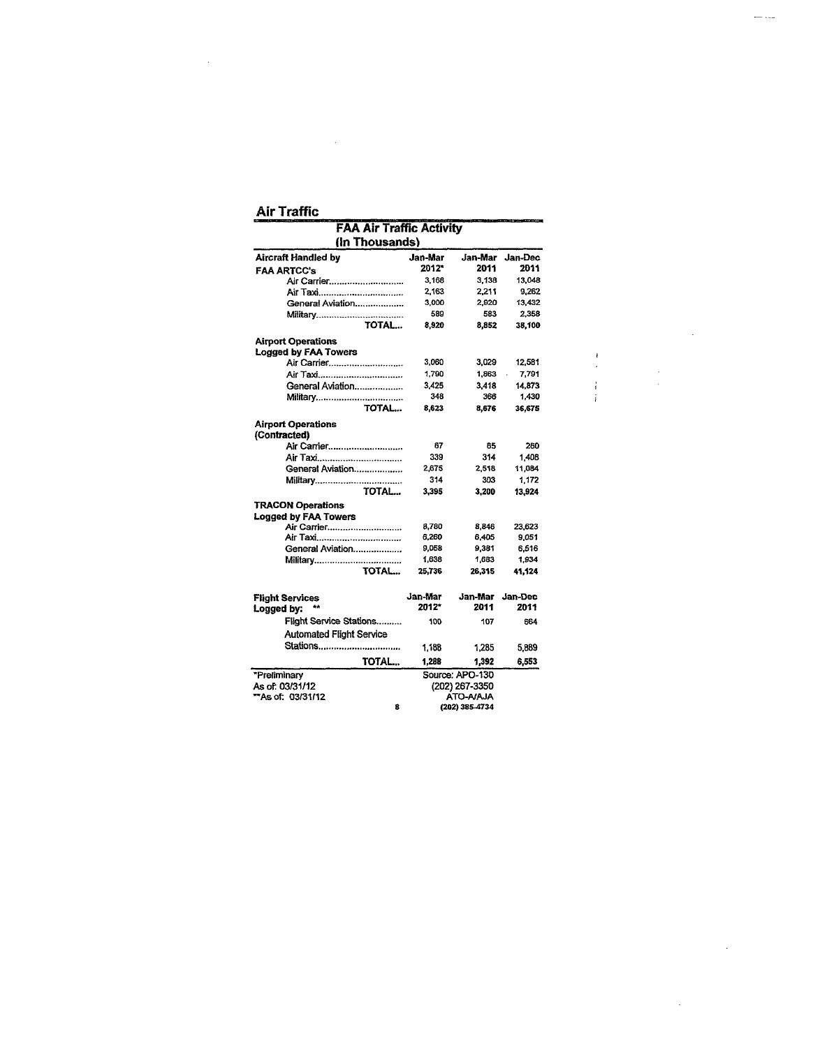#### **Air Traffic**

 $\mathcal{L}^{\text{max}}_{\text{max}}$ 

 $\bar{\alpha}$ 

|                                           | <b>FAA Air Traffic Activity</b> |                 |         |  |  |  |  |  |  |
|-------------------------------------------|---------------------------------|-----------------|---------|--|--|--|--|--|--|
| (In Thousands)                            |                                 |                 |         |  |  |  |  |  |  |
| <b>Aircraft Handled by</b>                | Jan-Mar                         | Jan-Mar         | Jan-Dec |  |  |  |  |  |  |
| <b>FAA ARTCC's</b>                        | 2012*                           | 2011            | 2011    |  |  |  |  |  |  |
| Air Carrier                               | 3,168                           | 3.138           | 13,048  |  |  |  |  |  |  |
|                                           | 2,163                           | 2.211           | 9,262   |  |  |  |  |  |  |
| General Aviation                          | 3.000                           | 2.920           | 13.432  |  |  |  |  |  |  |
| <b>Military</b>                           | 589                             | 583             | 2.358   |  |  |  |  |  |  |
| TOTAL                                     | 8,920                           | 8.852           | 38.100  |  |  |  |  |  |  |
| <b>Airport Operations</b>                 |                                 |                 |         |  |  |  |  |  |  |
| <b>Longed by FAA Towers</b>               |                                 |                 |         |  |  |  |  |  |  |
| Air Carrier                               | 3,060                           | 3,029           | 12,581  |  |  |  |  |  |  |
| Air Taxi                                  | 1,790                           | 1,863           | 7,791   |  |  |  |  |  |  |
| General Aviation                          | 3.425                           | 3.418           | 14,873  |  |  |  |  |  |  |
| Military                                  | 348                             | 366             | 1.430   |  |  |  |  |  |  |
| TOTAL                                     | 8,623                           | 8,676           | 36,675  |  |  |  |  |  |  |
| <b>Airport Operations</b><br>(Contracted) |                                 |                 |         |  |  |  |  |  |  |
|                                           | 67                              | 65              | 260     |  |  |  |  |  |  |
| Air Taxi                                  | 339                             | 314             | 1.408   |  |  |  |  |  |  |
| General Aviation                          | 2.675                           | 2,518           | 11,084  |  |  |  |  |  |  |
| <b>Military</b>                           | 314                             | 303             | 1.172   |  |  |  |  |  |  |
| TOTAL                                     | 3.395                           | 3.200           | 13,924  |  |  |  |  |  |  |
| <b>TRACON Operations</b>                  |                                 |                 |         |  |  |  |  |  |  |
| Logged by FAA Towers                      |                                 |                 |         |  |  |  |  |  |  |
| Air Carrier                               | 8,780                           | 8,846           | 23,623  |  |  |  |  |  |  |
| Air Taxi                                  | 6,260                           | 6,405           | 9,051   |  |  |  |  |  |  |
| General Aviation                          | 9,058                           | 9,381           | 6.516   |  |  |  |  |  |  |
| Military                                  | 1,638                           | 1,683           | 1,934   |  |  |  |  |  |  |
| TOTAL                                     | 25.736                          | 26,315          | 41.124  |  |  |  |  |  |  |
|                                           | Jan-Mar                         | Jan-Mar         | Jan-Dec |  |  |  |  |  |  |
| <b>Flight Services</b><br>Logged by:      | 2012*                           | 2011            | 2011    |  |  |  |  |  |  |
| Flight Service Stations                   | 100                             | 107             | 664     |  |  |  |  |  |  |
| <b>Automated Flight Service</b>           |                                 |                 |         |  |  |  |  |  |  |
| Stations                                  | 1.188                           | 1.285           | 5,889   |  |  |  |  |  |  |
| TOTAL                                     | 1,288                           | 1,392           | 6,553   |  |  |  |  |  |  |
| *Preliminary                              |                                 | Source: APO-130 |         |  |  |  |  |  |  |
| As of: 03/31/12                           |                                 | (202) 267-3350  |         |  |  |  |  |  |  |
| <b>"As of: 03/31/12</b>                   |                                 | ATO-A/AJA       |         |  |  |  |  |  |  |
| 8                                         |                                 | (202) 385-4734  |         |  |  |  |  |  |  |

- ---

 $\sim$ 

 $\ddot{\phantom{a}}$ 

 $\frac{1}{\sqrt{2}}$ 

 $\frac{1}{2}$ 

 $\frac{1}{4}$ Ť.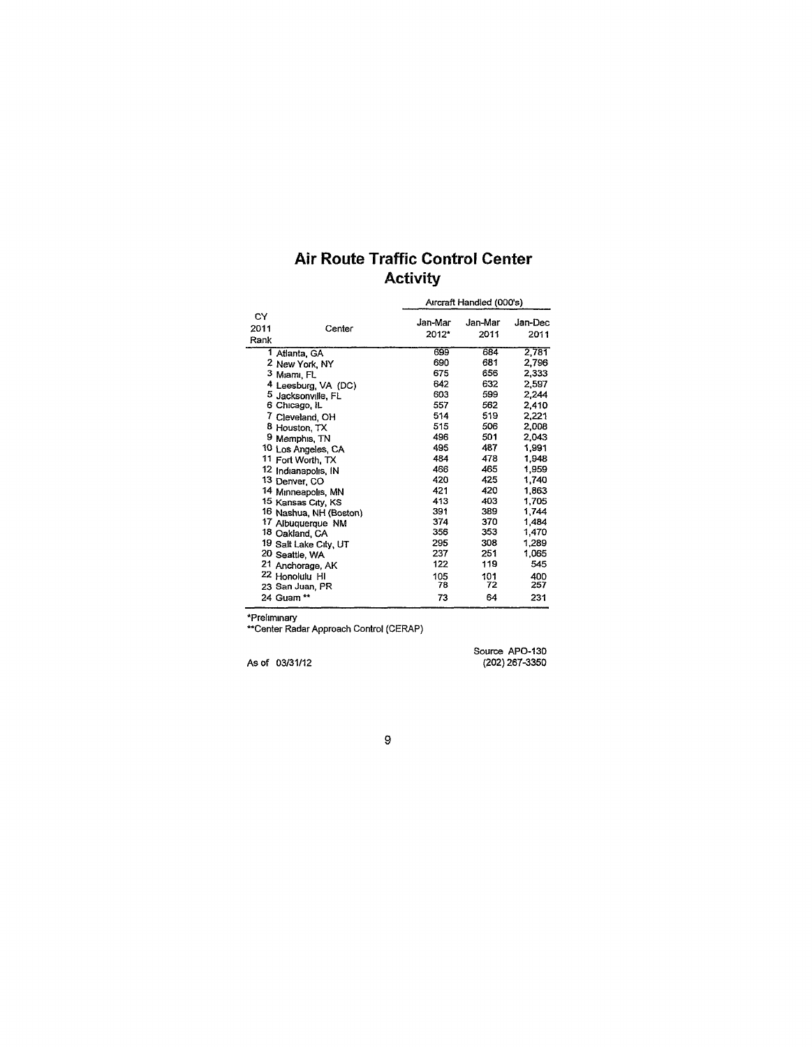# Air Route Traffic Control Center **Activity**

|                           |        |         | Aircraft Handled (000's) |         |  |  |  |  |
|---------------------------|--------|---------|--------------------------|---------|--|--|--|--|
| СY                        |        | Jan-Mar | Jan-Mar                  | Jan-Dec |  |  |  |  |
| 2011                      | Center | 2012*   | 2011                     | 2011    |  |  |  |  |
| Rank                      |        |         |                          |         |  |  |  |  |
| 1 Atlanta, GA             |        | 699     | 684                      | 2,781   |  |  |  |  |
| 2 New York, NY            |        | 690     | 681                      | 2,796   |  |  |  |  |
| 3 Miami, FL               |        | 675     | 656                      | 2,333   |  |  |  |  |
| 4 Leesburg, VA (DC)       |        | 642     | 632                      | 2,597   |  |  |  |  |
| 5 Jacksonville, FL        |        | 603     | 599                      | 2.244   |  |  |  |  |
| 6 Chicago, IL             |        | 557     | 562                      | 2,410   |  |  |  |  |
| 7 Cleveland, OH           |        | 514     | 519                      | 2,221   |  |  |  |  |
| 8 Houston, TX             |        | 515     | 506                      | 2,008   |  |  |  |  |
| 9 Memphis, TN             |        | 496     | 501                      | 2,043   |  |  |  |  |
| 10 Los Angeles, CA        |        | 495     | 487                      | 1.991   |  |  |  |  |
| 11 Fort Worth, TX         |        | 484     | 478                      | 1.948   |  |  |  |  |
| 12 Indianapolis, IN       |        | 466     | 465                      | 1,959   |  |  |  |  |
| 13 Denver, CO             |        | 420     | 425                      | 1,740   |  |  |  |  |
| 14 Minneapolis, MN        |        | 421     | 420                      | 1,863   |  |  |  |  |
| 15 Kansas City, KS        |        | 413     | 403                      | 1.705   |  |  |  |  |
| 16 Nashua, NH (Boston)    |        | 391     | 389                      | 1.744   |  |  |  |  |
| 17 Albuquerque NM         |        | 374     | 370                      | 1.484   |  |  |  |  |
| 18 Oakland, CA            |        | 356     | 353                      | 1,470   |  |  |  |  |
| 19 Salt Lake City, UT     |        | 295     | 308                      | 1,289   |  |  |  |  |
| 20 Seattle, WA            |        | 237     | 251                      | 1,065   |  |  |  |  |
| 21 Anchorage, AK          |        | 122     | 119                      | 545     |  |  |  |  |
| <sup>22</sup> Honolulu HI |        | 105     | 101                      | 400     |  |  |  |  |
| 23 San Juan, PR           |        | 78      | 72                       | 257     |  |  |  |  |
| 24 Guam **                |        | 73      | 64                       | 231     |  |  |  |  |

'Preliminary

"Center Radar Approach Control (CERAP)

As of 03/31/12

Source APO-130 (202) 267-3350

 $\boldsymbol{9}$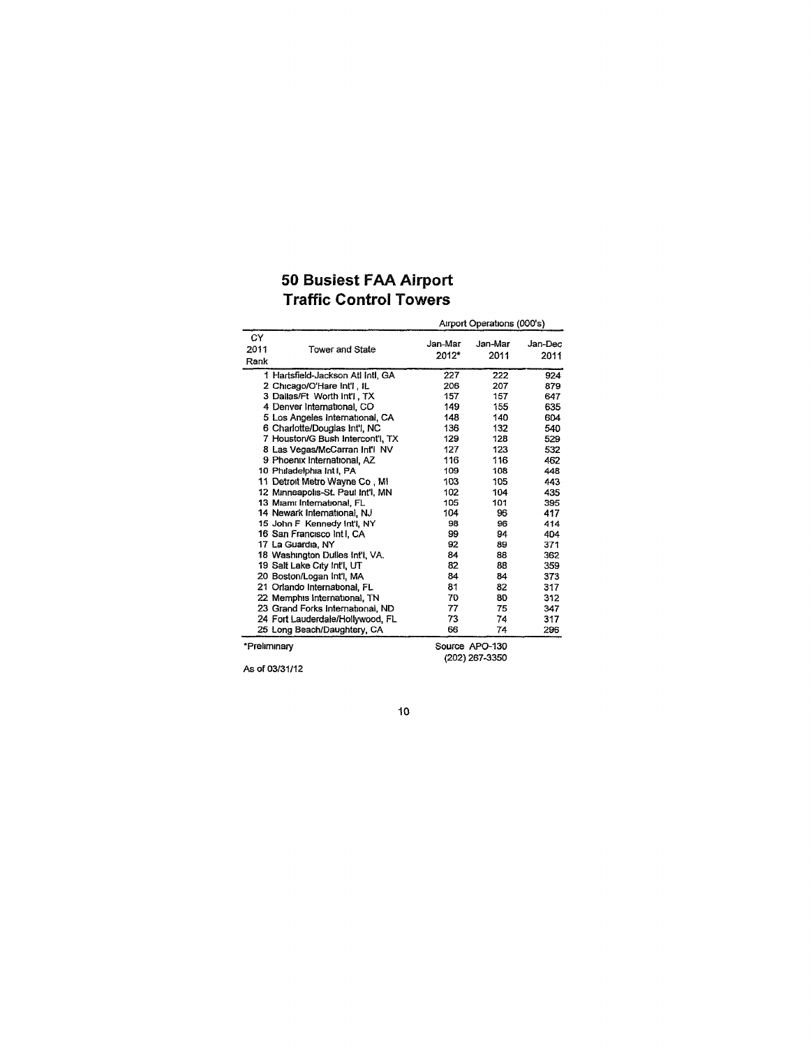### 50 Busiest FAA Airport Traffic Control Towers

|                    |                                   | Airport Operations (000's) |                 |                 |  |  |  |  |
|--------------------|-----------------------------------|----------------------------|-----------------|-----------------|--|--|--|--|
| CY<br>2011<br>Rank | Tower and State                   | Jan-Mar<br>2012*           | Jan-Mar<br>2011 | Jan-Dec<br>2011 |  |  |  |  |
|                    | 1 Hartsfield-Jackson Atl Intl, GA | 227                        | 222             | 924             |  |  |  |  |
|                    | 2 Chicago/O'Hare Int'l, IL        | 206                        | 207             | 879             |  |  |  |  |
|                    | 3 Dallas/Ft Worth Int'l, TX       | 157                        | 157             | 647             |  |  |  |  |
|                    | 4 Denver International, CO        | 149                        | 155             | 635             |  |  |  |  |
|                    | 5 Los Angeles International, CA   | 148                        | 140             | 604             |  |  |  |  |
|                    | 6 Charlotte/Douglas Int'l, NC     | 136                        | 132             | 540             |  |  |  |  |
|                    | 7 Houston/G Bush Intercont'l, TX  | 129                        | 128             | 529             |  |  |  |  |
|                    | 8 Las Vegas/McCarran Infl NV      | 127                        | 123             | 532             |  |  |  |  |
|                    | 9 Phoenix International, AZ       | 116                        | 116             | 462             |  |  |  |  |
|                    | 10 Philadelphia Intl, PA          | 109                        | 108             | 448             |  |  |  |  |
|                    | 11 Detroit Metro Wayne Co, MI     | 103                        | 105             | 443             |  |  |  |  |
|                    | 12 Minneapolis-St. Paul Int'l, MN | 102                        | 104             | 435             |  |  |  |  |
|                    | 13 Miami International, FL        | 105                        | 101             | 395             |  |  |  |  |
|                    | 14 Newark International, NJ       | 104                        | 96              | 417             |  |  |  |  |
|                    | 15 John F Kennedy Int'l, NY       | 98                         | 96              | 414             |  |  |  |  |
|                    | 16 San Francisco Int I, CA        | 99                         | 94              | 404             |  |  |  |  |
|                    | 17 La Guardia, NY                 | 92                         | 89              | 371             |  |  |  |  |
|                    | 18 Washington Dulles Infl. VA.    | 84                         | 88              | 362             |  |  |  |  |
|                    | 19 Salt Lake City Int'l, UT       | 82                         | 88              | 359             |  |  |  |  |
|                    | 20 Boston/Logan Int'l, MA         | 84                         | 84              | 373             |  |  |  |  |
|                    | 21 Orlando International, FL      | 81                         | 82              | 317             |  |  |  |  |
|                    | 22 Memphis International, TN      | 70                         | 80              | 312             |  |  |  |  |
|                    | 23 Grand Forks International, ND  | 77                         | 75              | 347             |  |  |  |  |
|                    | 24 Fort Lauderdale/Hollywood, FL  | 73                         | 74              | 317             |  |  |  |  |
|                    | 25 Long Beach/Daughtery, CA       | 66                         | 74              | 296             |  |  |  |  |
| *Preliminary       |                                   |                            | Source APO-130  |                 |  |  |  |  |

As of 03/31/12

(202) 267-3350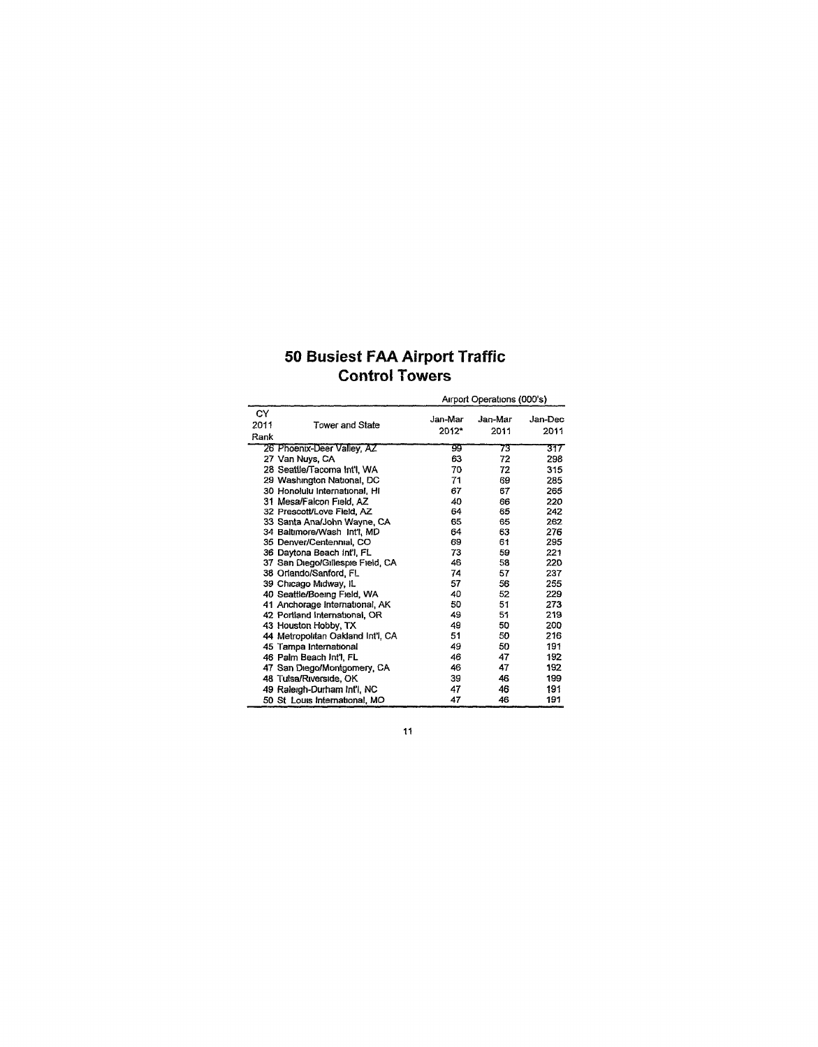# 50 Busiest FAA Airport Traffic Control Towers

|                    |                                   | Airport Operations (000's) |                 |                 |
|--------------------|-----------------------------------|----------------------------|-----------------|-----------------|
| СY<br>2011<br>Rank | <b>Tower and State</b>            | Jan-Mar<br>2012*           | Jan-Mar<br>2011 | Jan-Dec<br>2011 |
|                    | 26 Phoenix-Deer Valley, AZ        | 99                         | 73              | 317             |
|                    | 27 Van Nuys, CA                   | 63                         | 72              | 298             |
|                    | 28 Seattle/Tacoma Int'l, WA       | 70                         | 72              | 315             |
|                    | 29 Washington National, DC        | 71                         | 69              | 285             |
|                    | 30 Honolulu International, Hi     | 67                         | 67              | 265             |
|                    | 31 Mesa/Falcon Field, AZ          | 40                         | 66              | 220             |
|                    | 32 Prescott/Love Field, AZ        | 64                         | 65              | 242             |
|                    | 33 Santa Ana/John Wayne, CA       | 65                         | 65              | 262             |
|                    | 34 Baltimore/Wash Int'l, MD       | 64                         | 63              | 276             |
|                    | 35 Denver/Centennial, CO          | 69                         | 61              | 295             |
|                    | 36 Daytona Beach Int'l FL         | 73                         | 59              | 221             |
|                    | 37 San Diego/Gillespie Field, CA  | 46                         | 58              | 220             |
|                    | 38 Orlando/Sanford, FL            | 74                         | 57              | 237             |
|                    | 39 Chicago Midway, IL             | 57                         | 56              | 255             |
|                    | 40 Seattle/Boeing Field, WA       | 40                         | 52              | 229             |
|                    | 41 Anchorage International, AK    | 50                         | 51              | 273             |
|                    | 42 Portland International, OR     | 49                         | 51              | 219             |
|                    | 43 Houston Hobby, TX              | 49                         | 50              | 200             |
|                    | 44 Metropolitan Oakland Int'l, CA | 51                         | 50              | 216             |
|                    | 45 Tampa International            | 49                         | 50              | 191             |
|                    | 46 Palm Beach Int'l, FL           | 46                         | 47              | 192             |
|                    | 47 San Diego/Montgomery, CA       | 46                         | 47              | 192             |
|                    | 48 Tulsa/Riverside, OK            | 39                         | 46              | 199             |
|                    | 49 Raleigh-Durham Int'l, NC       | 47                         | 46              | 191             |
|                    | 50 St Louis International, MO     | 47                         | 46              | 191             |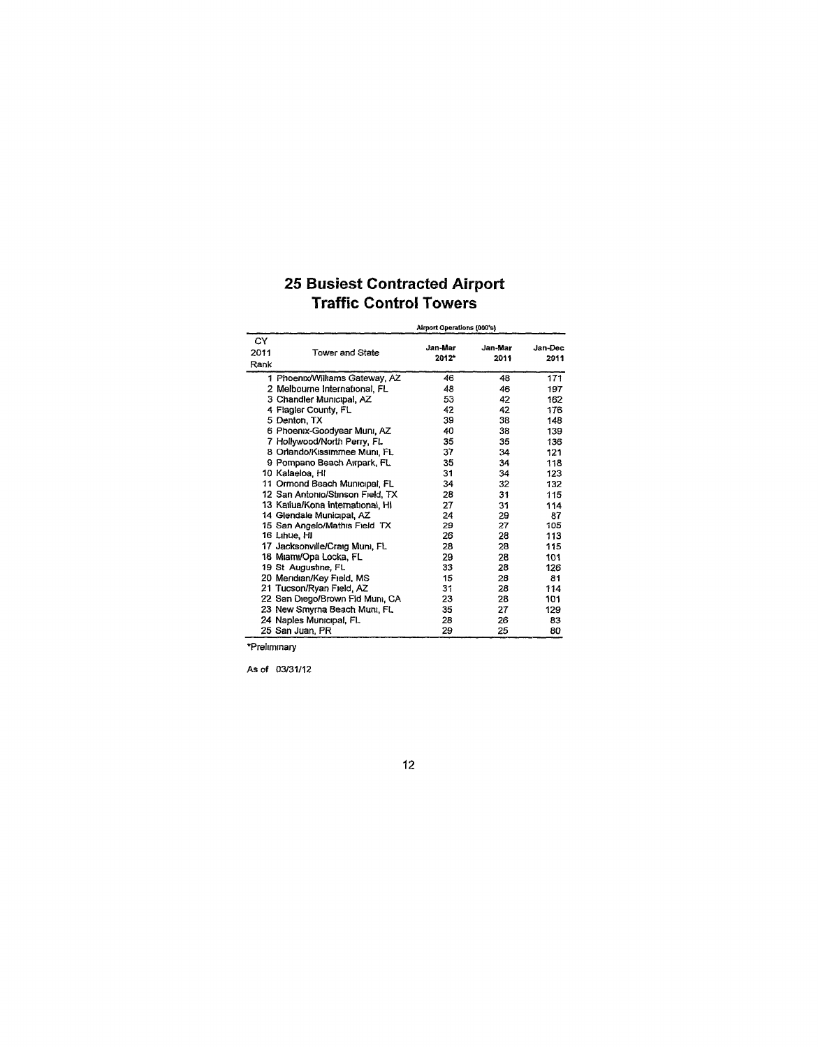### 25 Busiest Contracted Airport Traffic Control Towers

|                    | Airport Operations (000's)       |                  |                 |                 |  |
|--------------------|----------------------------------|------------------|-----------------|-----------------|--|
| CY<br>2011<br>Rank | Tower and State                  | Jan-Mar<br>2012* | Jan-Mar<br>2011 | Jan-Dec<br>2011 |  |
|                    | 1 Phoenix/Williams Gateway, AZ   | 46               | 48              | 171             |  |
|                    | 2 Melbourne International, FL    | 48               | 46              | 197             |  |
|                    | 3 Chandler Municipal, AZ         | 53               | 42              | 162             |  |
|                    | 4 Flagler County, FL             | 42               | 42              | 176             |  |
|                    | 5 Denton, TX                     | 39               | 38              | 148             |  |
|                    | 6 Phoenix-Goodyear Muni, AZ      | 40               | 38              | 139             |  |
|                    | 7 Hollywood/North Perry, FL      | 35               | 35              | 136             |  |
|                    | 8 Orlando/Kissimmee Muni, FL     | 37               | 34              | 121             |  |
|                    | 9 Pompano Beach Airpark, FL      | 35               | 34              | 118             |  |
|                    | 10 Kalaeloa, HI                  | 31               | 34              | 123             |  |
|                    | 11 Ormond Beach Municipal, FL    | 34               | 32              | 132             |  |
|                    | 12 San Antonio/Stinson Field, TX | 28               | 31              | 115             |  |
|                    | 13 Katiua/Kona international, Hi | 27               | 31              | 114             |  |
|                    | 14 Glendale Municipal, AZ        | 24               | 29              | 87              |  |
|                    | 15 San Angelo/Mathis Field TX    | 29               | 27              | 105             |  |
|                    | 16 Linue, HI                     | 26               | 28              | 113             |  |
|                    | 17 Jacksonville/Craig Muni, FL   | 28               | 28              | 115             |  |
|                    | 18 Miami/Opa Locka, FL           | 29               | 28              | 101             |  |
|                    | 19 St Augustine, FL              | 33               | 28              | 126             |  |
|                    | 20 Mendian/Key Field, MS         | 15               | 28              | 81              |  |
|                    | 21 Tucson/Ryan Field, AZ         | 31               | 28              | 114             |  |
|                    | 22 San Diego/Brown Fld Muni, CA  | 23               | 28              | 101             |  |
|                    | 23 New Smyrna Beach Muni, FL     | 35               | 27              | 129             |  |
|                    | 24 Naples Municipal, FL          | 28               | 26              | 83              |  |
|                    | 25 San Juan, PR                  | 29               | 25              | 80              |  |

'Preliminary

As of 03/31/12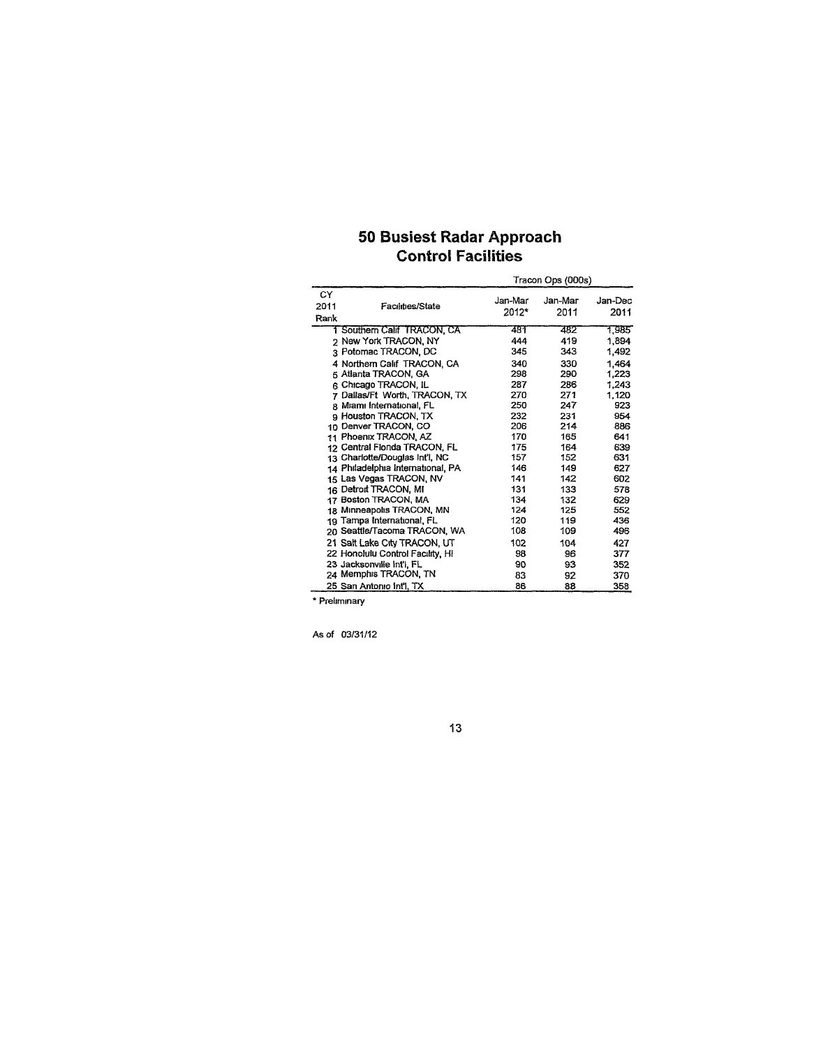# 50 Busiest Radar Approach Control Facilities

|                                        |                  | Tracon Ops (000s) |                 |  |  |  |
|----------------------------------------|------------------|-------------------|-----------------|--|--|--|
| CY<br>2011<br>Facilities/State<br>Rank | Jan-Mar<br>2012* | Jan-Mar<br>2011   | Jan-Dec<br>2011 |  |  |  |
| 1 Southern Calif TRACON, CA            | 481              | 482               | 1,985           |  |  |  |
| 2 New York TRACON, NY                  | 444              | 419               | 1,894           |  |  |  |
| 3 Potomac TRACON, DC                   | 345              | 343               | 1.492           |  |  |  |
| 4 Northern Calif TRACON, CA            | 340              | 330               | 1.464           |  |  |  |
| 5 Atlanta TRACON, GA                   | 298              | 290               | 1.223           |  |  |  |
| ิ  Chicago TRACON. IL                  | 287              | 286               | 1.243           |  |  |  |
| 7 Dallas/Ft Worth, TRACON, TX          | 270              | 271               | 1.120           |  |  |  |
| 8 Miami International, FL              | 250              | 247               | 923             |  |  |  |
| 9 Houston TRACON, TX                   | 232              | 231               | 954             |  |  |  |
| 10 Denver TRACON, CO                   | 206              | 214               | 886             |  |  |  |
| 11 Phoenix TRACON, AZ                  | 170              | 165               | 641             |  |  |  |
| 12 Central Flonda TRACON, FL           | 175              | 164               | 639             |  |  |  |
| 13 Charlotte/Douglas Int'l, NC         | 157              | 152               | 631             |  |  |  |
| 14 Philadelphia International, PA      | 146              | 149               | 627             |  |  |  |
| 15 Las Vegas TRACON, NV                | 141              | 142               | 602             |  |  |  |
| 16 Detroit TRACON, MI                  | 131              | 133               | 578             |  |  |  |
| 17 Boston TRACON, MA                   | 134              | 132               | 629             |  |  |  |
| 18 Minneapolis TRACON, MN              | 124              | 125               | 552             |  |  |  |
| 19 Tampa International, FL             | 120              | 119               | 436             |  |  |  |
| 20 Seattle/Tacoma TRACON, WA           | 108              | 109               | 496             |  |  |  |
| 21 Salt Lake City TRACON, UT           | 102              | 104               | 427             |  |  |  |
| 22 Honolulu Control Facility, Hi       | 98               | 96                | 377             |  |  |  |
| 23 Jacksonville Int'l, FL              | 90               | 93                | 352             |  |  |  |
| 24 Memphis TRACON, TN                  | 83               | 92                | 370             |  |  |  |
| 25 San Antonio Infl. TX                | 86               | 88                | 358             |  |  |  |

' Preliminary

As of 03/31/12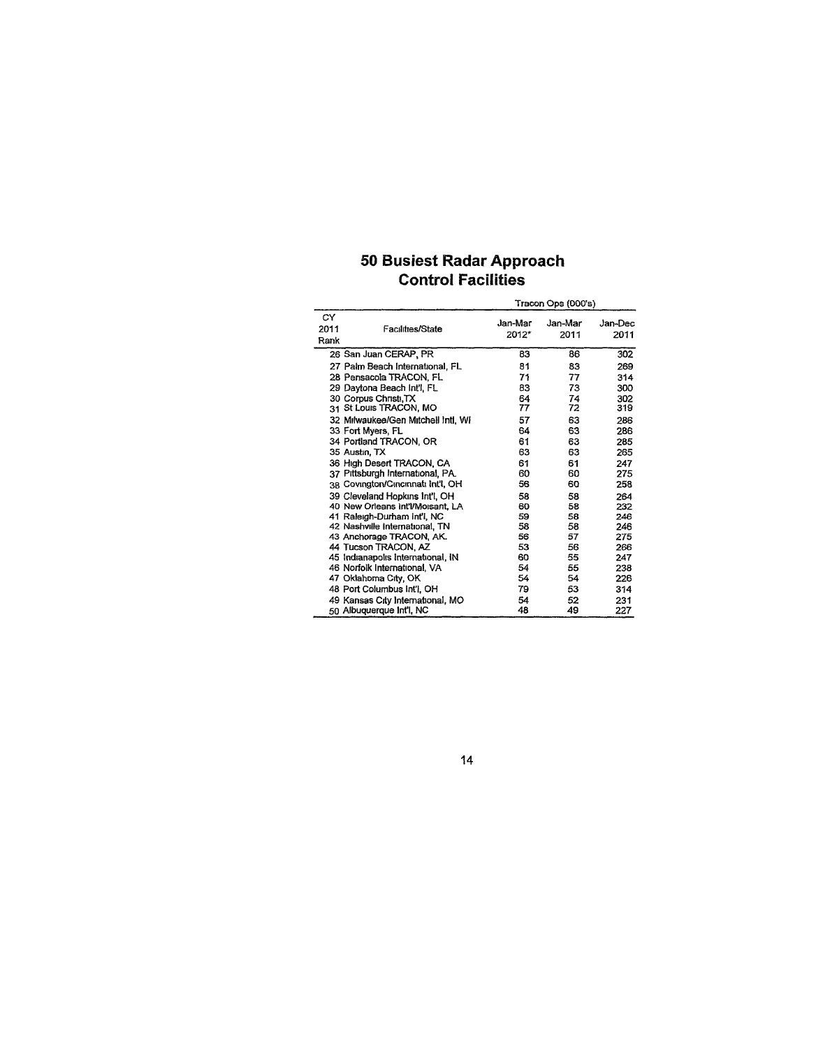# 50 Busiest Radar Approach Control Facilities

|                    |                                                              | Tracon Ops (000's) |                 |                 |  |
|--------------------|--------------------------------------------------------------|--------------------|-----------------|-----------------|--|
| CY<br>2011<br>Rank | Facilities/State                                             | Jan-Mar<br>2012*   | Jan-Mar<br>2011 | Jan-Dec<br>2011 |  |
|                    | 26 San Juan CERAP, PR                                        | 83                 | 86              | 302             |  |
|                    | 27 Palm Beach International, FL                              | 81                 | 83              | 269             |  |
|                    | 28 Pensacola TRACON, FL                                      | 71                 | 77              | 314             |  |
|                    | 29 Davtona Beach Int'l, FL                                   | 83                 | 73              | 300             |  |
|                    | 30 Corpus Christi, TX                                        | 64                 | 74              | 302             |  |
|                    | 31 St Louis TRACON, MO                                       | 77                 | 72              | 319             |  |
|                    | 32 Milwaukee/Gen Mitchell Intl. WI                           | 57                 | 63              | 286             |  |
|                    | 33 Fort Myers, FL                                            | 64                 | 63              | 286             |  |
|                    | 34 Portland TRACON, OR                                       | 61                 | 63              | 285             |  |
|                    | 35 Austin, TX                                                | 63                 | 63              | 265             |  |
|                    | 36 High Desert TRACON, CA                                    | 61                 | 61              | 247             |  |
|                    | 37 Pittsburgh International, PA.                             | 60                 | 60              | 275             |  |
|                    | 38 Covington/Cincinnati Int'l, OH                            | 56                 | 60              | 258             |  |
|                    | 39 Cleveland Hopkins Int'l, OH                               | 58                 | 58              | 264             |  |
|                    | 40 New Orleans Int'l/Moisant, LA                             | 60                 | 58              | 232             |  |
|                    | 41 Raleigh-Durham Int'l, NC                                  | 59                 | 58              | 246             |  |
|                    | 42 Nashville International, TN                               | 58                 | 58              | 246             |  |
|                    | 43 Anchorage TRACON, AK.                                     | 56                 | 57              | 275             |  |
|                    | 44 Tucson TRACON, AZ                                         | 53                 | 56              | 266             |  |
|                    | 45 Indianapolis International, IN                            | 60                 | 55              | 247             |  |
|                    | 46 Norfolk International, VA                                 | 54                 | 55              | 238             |  |
|                    | 47 Oklahoma City, OK                                         | 54                 | 54              | 226             |  |
|                    | 48 Port Columbus Int'l, OH                                   | 79                 | 53              | 314             |  |
|                    | 49 Kansas City International, MO<br>50 Albuquerque Int'l, NC | 54<br>48           | 52<br>49        | 231<br>227      |  |
|                    |                                                              |                    |                 |                 |  |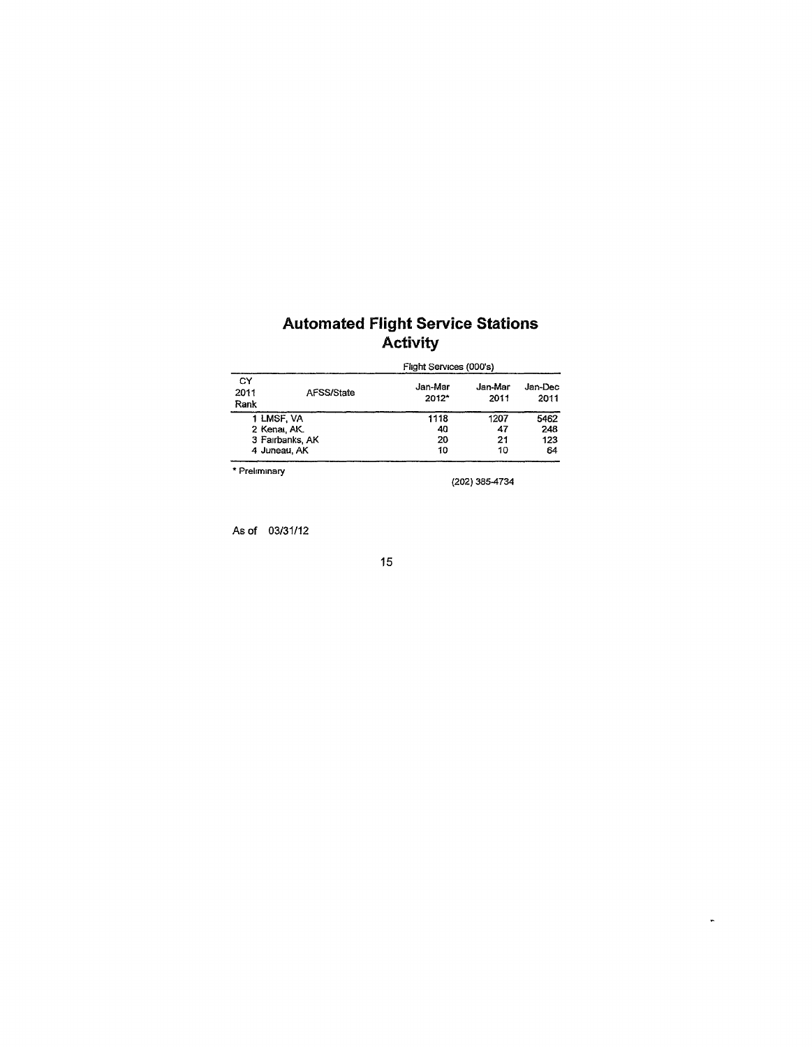### Automated Flight Service Stations Activity

|                    |                 | Flight Services (000's) |                 |                 |  |  |  |  |
|--------------------|-----------------|-------------------------|-----------------|-----------------|--|--|--|--|
| CY<br>2011<br>Rank | AFSS/State      | Jan-Mar<br>2012*        | Jan-Mar<br>2011 | Jan-Dec<br>2011 |  |  |  |  |
| 1 LMSF, VA         |                 | 1118                    | 1207            | 5462            |  |  |  |  |
| 2 Kenar, AK.       |                 | 40                      | 47              | 248             |  |  |  |  |
|                    | 3 Fairbanks, AK | 20                      | 21              | 123             |  |  |  |  |
| 4 Juneau, AK       |                 | 10                      | 10              | 64              |  |  |  |  |
| * Preliminary      |                 |                         |                 |                 |  |  |  |  |

(202) 385^734

 $\hat{\mathbf{v}}$ 

As of 03/31/12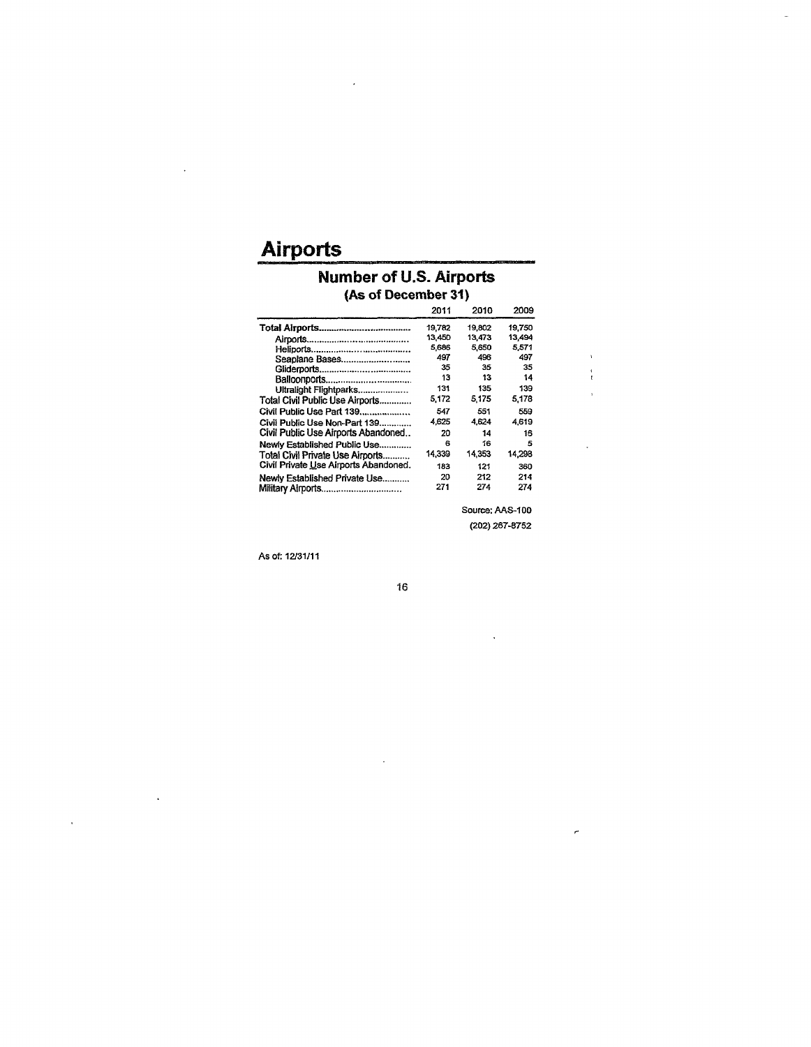# **Airports**

 $\ddot{\phantom{a}}$ 

 $\sim 10^7$ 

 $\hat{\mathbf{r}}$ 

#### Number of U.S. Airports (As of December 31)

|                                       | 2011   | 2010   | 2009   |
|---------------------------------------|--------|--------|--------|
|                                       | 19.782 | 19.802 | 19.750 |
|                                       | 13,450 | 13.473 | 13,494 |
|                                       | 5,686  | 5.650  | 5.571  |
| Seaplane Bases                        | 497    | 496    | 497    |
|                                       | 35     | 35     | 35     |
|                                       | 13     | 13     | 14     |
| Ultralight Flightparks                | 131    | 135    | 139    |
| Total Civil Public Use Airports       | 5.172  | 5175   | 5,178  |
| Civil Public Use Part 139             | 547    | 551    | 559    |
| Civil Public Use Non-Part 139         | 4,625  | 4.624  | 4619   |
| Civil Public Use Airports Abandoned   | 20     | 14     | 16     |
| Newly Established Public Use          | 6      | 16     | 5      |
| Total Civil Private Use Airports      | 14,339 | 14.353 | 14.298 |
| Civil Private Use Airports Abandoned. | 183    | 121    | 360    |
| Newly Established Private Use         | 20     | 212    | 214    |
| Military Airports                     | 271    | 274    | 274    |

Source: AAS-100 (202) 267-8752

 $\mathcal{L}$ 

 $\frac{1}{t}$  $\overline{1}$ 

÷.

 $\tilde{\mathcal{C}}$ 

J,

As of: 12/31/11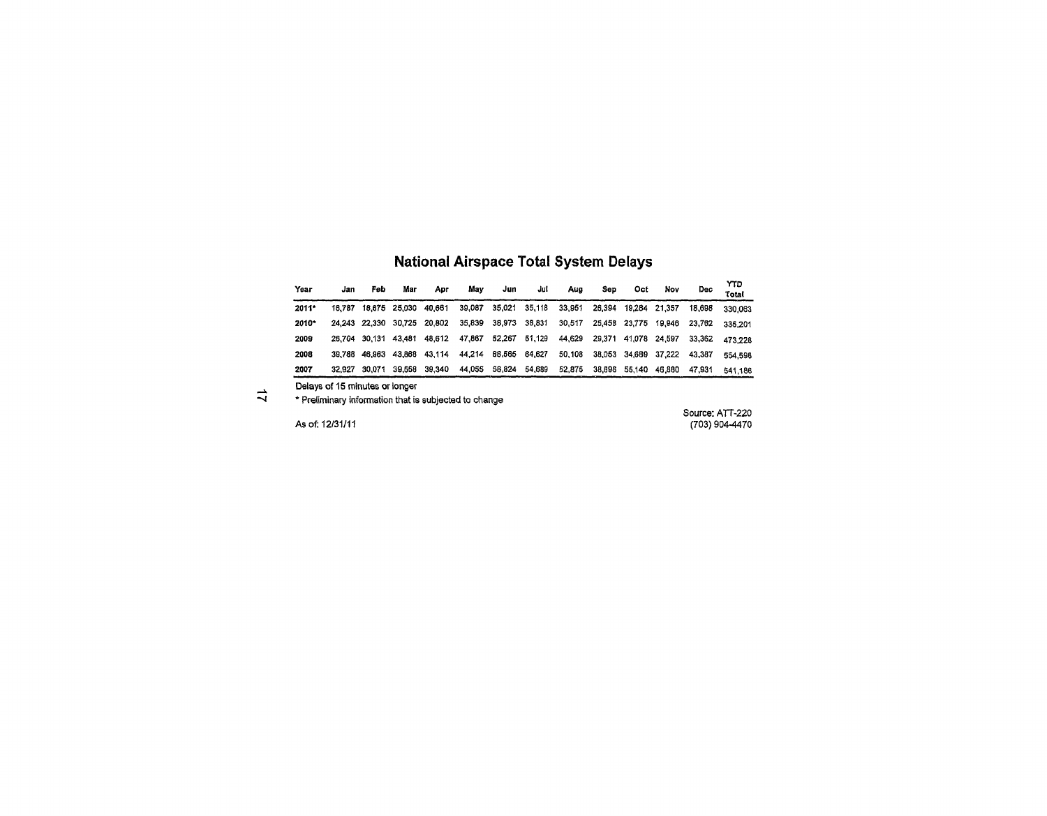| <b>National Airspace Total System Delays</b> |  |  |
|----------------------------------------------|--|--|

| Үеаг  | Jan    | Feb           | Mar           | Арг    | Mav    | Jun    | Jul    | Aug    | Sep    | Oct           | Nov    | Dec    | YTD.<br>Total |
|-------|--------|---------------|---------------|--------|--------|--------|--------|--------|--------|---------------|--------|--------|---------------|
| 2011* | 16.787 |               | 18,675 25,030 | 40.661 | 39.087 | 35.021 | 35,118 | 33.951 | 26.394 | 19.284        | 21.357 | 18.698 | 330.063       |
| 2010* | 24.243 | 22.330        | 30.725        | 20.802 | 35,839 | 38.973 | 38,831 | 30,517 | 25,458 | 23.775        | 19.946 | 23,762 | 335.201       |
| 2009  |        | 26.704 30.131 | 43.481        | 48.612 | 47.867 | 52.267 | 51,129 | 44,629 | 29,371 | 41.078        | 24.597 | 33.362 | 473.228       |
| 2008  | 39.788 | 46.963        | 43.868        | 43.114 | 44.214 | 68.565 | 64,627 | 50.108 |        | 38,053 34,659 | 37.222 | 43,387 | 554.598       |
| 2007  | 32.927 | 30.071        | 39.558        | 39,340 | 44,055 | 58.824 | 54,689 | 52.875 | 38.896 | 55.140        | 46.880 | 47,931 | 541.186       |

Delays of 15 minutes or longer

→ Delays of 15 minutes of longer<br>→ \* Preliminary information that is subjected to change

Source: ATT-220 As of: 12/31/11 (703) 904-4470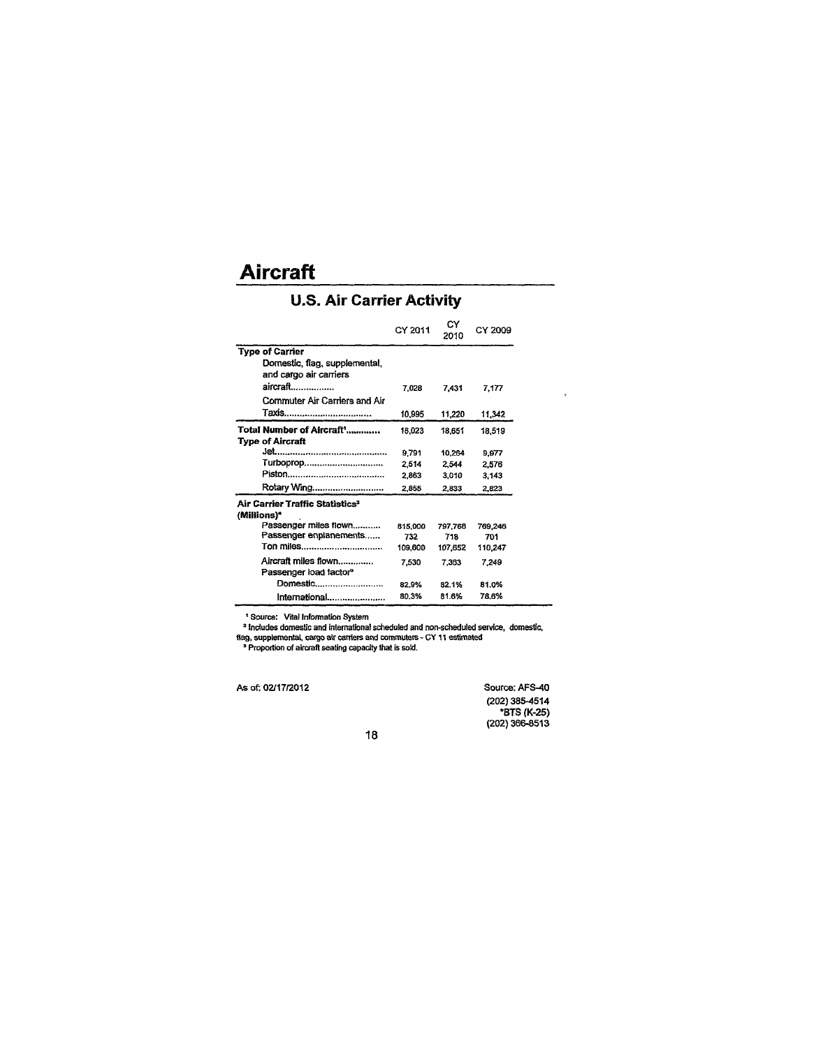# **Aircraft**

# U.S. Air Carrier Activity

|                                             | CY 2011 | C۷<br>2010 | CY 2009 |
|---------------------------------------------|---------|------------|---------|
| <b>Type of Carrier</b>                      |         |            |         |
| Domestic, flag, supplemental,               |         |            |         |
| and cargo air carriers                      |         |            |         |
| aircraft………………                              | 7,028   | 7,431      | 7,177   |
| Commuter Air Carriers and Air               |         |            |         |
| Taxis                                       | 10,995  | 11,220     | 11,342  |
| Total Number of Aircraft'                   | 18,023  | 18.651     | 18,519  |
| Type of Aircraft                            |         |            |         |
|                                             | 9.791   | 10.264     | 9.977   |
| Turboprop                                   | 2,514   | 2.544      | 2.576   |
|                                             | 2.863   | 3.010      | 3,143   |
| Rotary Wing                                 | 2,855   | 2,833      | 2,823   |
| Air Carrier Traffic Statistics <sup>2</sup> |         |            |         |
| (Millions)*                                 |         |            |         |
| Passenger miles flown                       | 815,000 | 797,768    | 769,246 |
| Passenger enplanements                      | 732     | 718        | 701     |
| Ton miles                                   | 109,600 | 107,652    | 110,247 |
| Aircraft miles flown                        | 7.530   | 7.363      | 7.249   |
| Passenger load factor <sup>s</sup>          |         |            |         |
| Domestic                                    | 82.9%   | 82.1%      | 81.0%   |
| International                               | 80.3%   | 81.6%      | 78.6%   |

<sup>1</sup> Source: Vital Information System<br><sup>2</sup> Includes domestic and international scheduled and non-scheduled service, domestic,<br>fiag, supplemental, cargo air carriers and commuters - CY 11 estimated<br><sup>3</sup> Proportion of aircraft

As of: 02/17/2012 Source: AFS-40 (202) 385-4514 \*BTS (K-25) (202) 366-8513

 $\ddot{\phantom{0}}$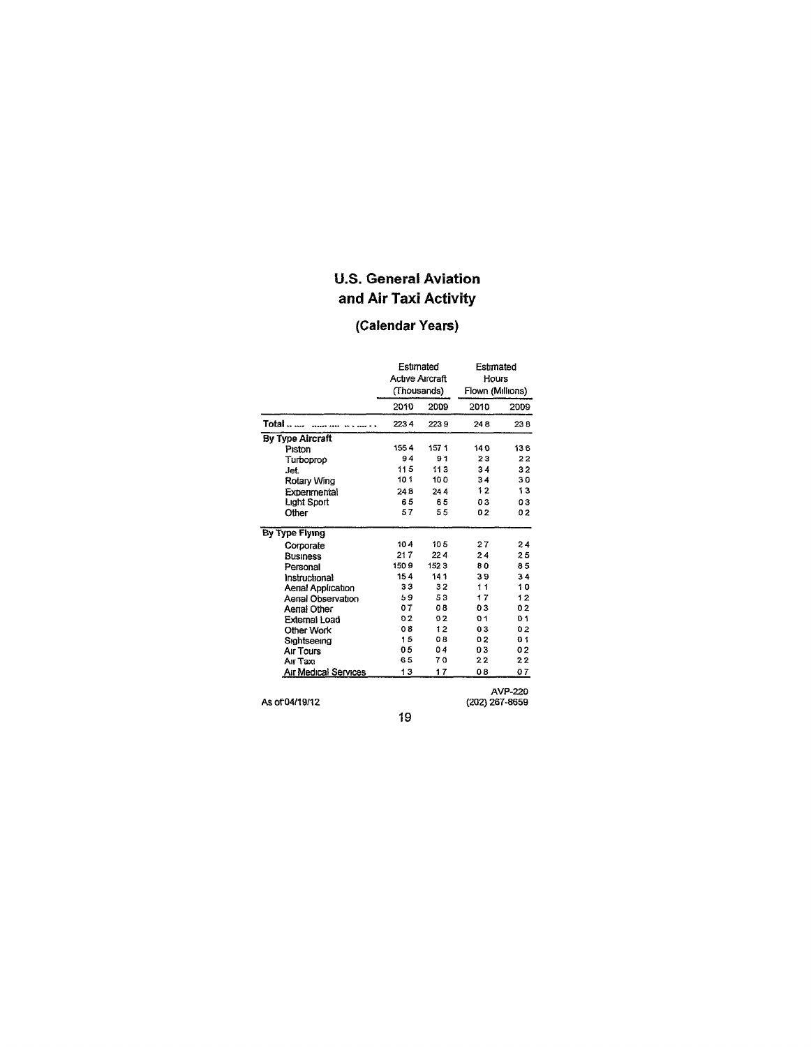# U.S. General Aviation and Air Taxi Activity

# (Calendar Years)

|                             | Estimated<br><b>Active Aircraft</b><br>(Thousands) |      | Estimated<br>Hours<br>Flown (Millions) |         |
|-----------------------------|----------------------------------------------------|------|----------------------------------------|---------|
|                             | 2010                                               | 2009 | 2010                                   | 2009    |
| Total                       | 2234                                               | 2239 | 248                                    | 238     |
| <b>By Type Aircraft</b>     |                                                    |      |                                        |         |
| Piston                      | 1554                                               | 1571 | 140                                    | 136     |
| Turboprop                   | 94                                                 | 91   | 23                                     | 22      |
| Jet.                        | 115                                                | 113  | 34                                     | 32      |
| Rotary Wing                 | 101                                                | 100  | 34                                     | 30      |
| Experimental                | 248                                                | 244  | 12                                     | 13      |
| Light Sport                 | 65                                                 | 65   | 03                                     | 03      |
| Other                       | 57                                                 | 55   | 02                                     | 02      |
| By Type Flying              |                                                    |      |                                        |         |
| Corporate                   | 104                                                | 105  | 27                                     | 24      |
| <b>Business</b>             | 217                                                | 224  | 24                                     | 25      |
| Personal                    | 1509                                               | 1523 | 80                                     | 85      |
| Instructional               | 154                                                | 141  | 39                                     | 34      |
| Aenal Application           | 33                                                 | 32   | 11                                     | 10      |
| Aenal Observation           | 59                                                 | 53   | 17                                     | 12      |
| Aerial Other                | 07                                                 | 08   | 03                                     | 02      |
| Externai Load               | 02                                                 | 02   | 01                                     | 01      |
| Other Work                  | 08                                                 | 12   | 03                                     | 02      |
| Sightseeing                 | 15                                                 | 0B   | 02                                     | 01      |
| Air Tours                   | 05                                                 | 04   | 03                                     | 02      |
| Air Taxi                    | 65                                                 | 70   | 22                                     | 22      |
| <b>Air Medical Services</b> | 13                                                 | 17   | 08                                     | 07      |
| As of 04/19/12              |                                                    |      | (202) 267-8659                         | AVP-220 |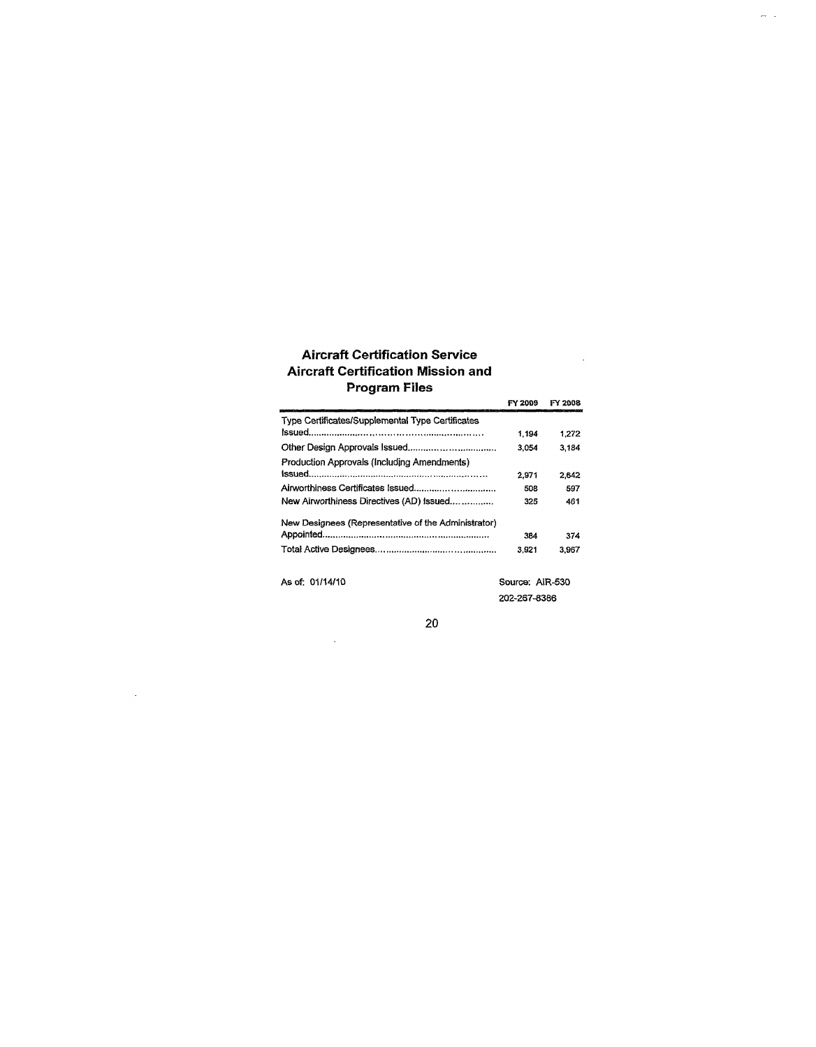### Aircraft Certification Service Aircraft Certification Mission and Program Files

| Program Files                                       |                 |         |
|-----------------------------------------------------|-----------------|---------|
|                                                     | FY 2009         | FY 2008 |
| Type Certificates/Supplemental Type Certificates    |                 |         |
|                                                     | 1.194           | 1.272   |
|                                                     | 3.054           | 3.184   |
| Production Approvals (Including Amendments)         |                 |         |
|                                                     | 2.971           | 2.642   |
|                                                     | 508             | 597     |
| New Airworthiness Directives (AD) Issued            | 325             | 461     |
| New Designees (Representative of the Administrator) |                 |         |
|                                                     | 384             | 374     |
|                                                     | 3.921           | 3.967   |
| As of: 01/14/10                                     | Source: AIR-530 |         |

202-267-8386

 $\sim 10^7$ 

 $\frac{1}{2}$  .

 $\sim 10^7$ 

 $\mathcal{L}^{\text{max}}_{\text{max}}$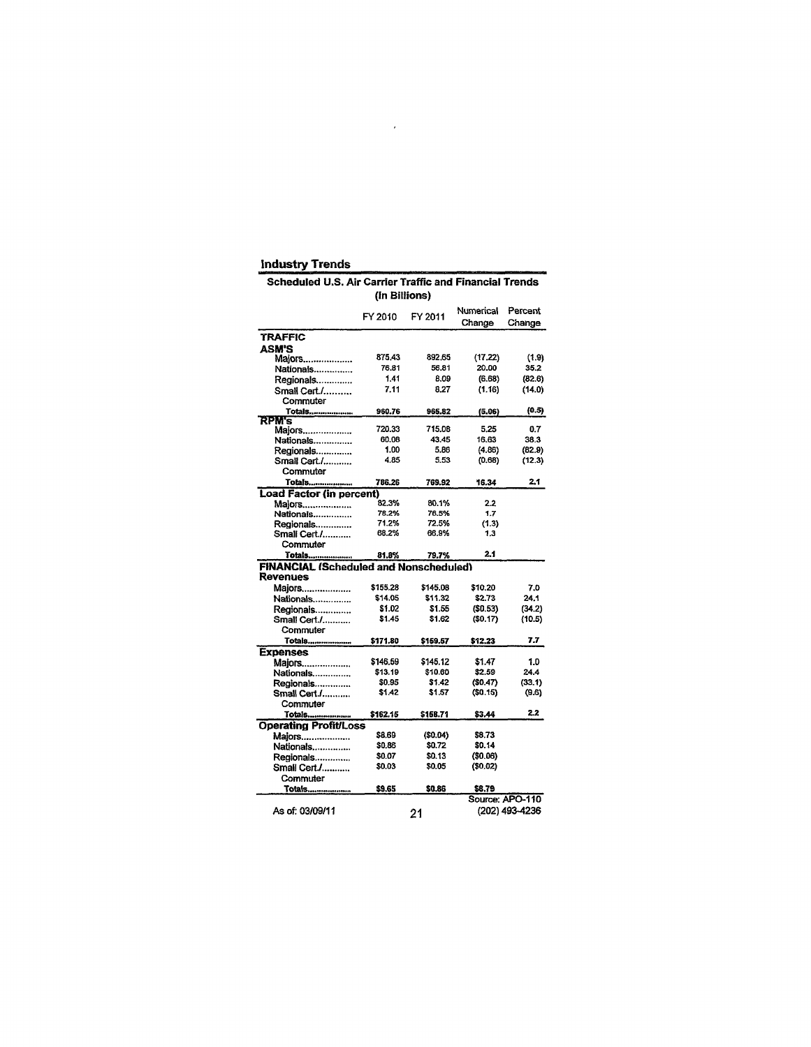| <b>Industry Trends</b>                                  |               |          |           |                 |  |  |  |  |
|---------------------------------------------------------|---------------|----------|-----------|-----------------|--|--|--|--|
| Scheduled U.S. Air Carrier Traffic and Financial Trends |               |          |           |                 |  |  |  |  |
|                                                         | (In Billions) |          |           |                 |  |  |  |  |
|                                                         |               |          |           |                 |  |  |  |  |
|                                                         | FY 2010       | FY 2011  | Numerical | Percent         |  |  |  |  |
|                                                         |               |          | Change    | Change          |  |  |  |  |
| <b>TRAFFIC</b>                                          |               |          |           |                 |  |  |  |  |
| ASM'S                                                   |               |          |           |                 |  |  |  |  |
| Majors                                                  | 875.43        | 892.65   | (17.22)   | (1.9)           |  |  |  |  |
| Nationals                                               | 76.81         | 56.81    | 20.00     | 35.2            |  |  |  |  |
| Regionals                                               | 1.41          | 8.09     | (6.68)    | (82.6)          |  |  |  |  |
| Small Cert./                                            | 7.11          | 8.27     | (1.16)    | (14.0)          |  |  |  |  |
| Commuter                                                |               |          |           |                 |  |  |  |  |
| Totals                                                  | 960.76        | 965.82   | (5.06)    | (0.5)           |  |  |  |  |
| <b>RPM's</b>                                            |               |          |           |                 |  |  |  |  |
| Majors                                                  | 720.33        | 715.08   | 5.25      | 0.7             |  |  |  |  |
| Nationals                                               | 60.08         | 43.45    | 16.63     | 38.3            |  |  |  |  |
| Regionals                                               | 1.00          | 5.86     | (4.86)    | (82.9)          |  |  |  |  |
| Small Cert./                                            | 4.85          | 5.53     | (0.68)    | (12.3)          |  |  |  |  |
| Commuter                                                |               |          |           |                 |  |  |  |  |
| Totals                                                  | 786.26        | 769.92   | 16.34     | 2.1             |  |  |  |  |
| Load Factor (in percent)                                |               |          |           |                 |  |  |  |  |
| Majors                                                  | 82.3%         | 80.1%    | 2.2       |                 |  |  |  |  |
| Nationals                                               | 78.2%         | 76.5%    | 1.7       |                 |  |  |  |  |
| Regionals                                               | 71.2%         | 72.5%    | (1.3)     |                 |  |  |  |  |
| Smali Cert./                                            | 68.2%         | 66.9%    | 1.3       |                 |  |  |  |  |
| Commuter                                                |               |          |           |                 |  |  |  |  |
| Totals                                                  | 81.8%         | 79.7%    | 21        |                 |  |  |  |  |
| <b>FINANCIAL (Scheduled and Nonscheduled)</b>           |               |          |           |                 |  |  |  |  |
| <b>Revenues</b>                                         |               |          |           |                 |  |  |  |  |
| Majors                                                  | \$155.28      | \$145.08 | \$10.20   | 7.0             |  |  |  |  |
| Nationals                                               | \$14.05       | \$11.32  | \$2.73    | 24.1            |  |  |  |  |
| Regionals                                               | \$1.02        | \$1.55   | (50.53)   | (34.2)          |  |  |  |  |
| Small Cert./                                            | \$1.45        | \$1.62   | (S0.17)   | (10.5)          |  |  |  |  |
| Commuter                                                |               |          |           |                 |  |  |  |  |
| Totals                                                  | \$171.80      | \$159.57 | \$12.23   | 7.7             |  |  |  |  |
| <b>Expenses</b>                                         |               |          |           |                 |  |  |  |  |
| Maiors                                                  | \$146.59      | \$145.12 | \$1.47    | 1.0             |  |  |  |  |
| Nationals                                               | \$13.19       | \$10.60  | \$2.59    | 24.4            |  |  |  |  |
| Regionals                                               | \$0.95        | \$1.42   | (\$0.47)  | (33.1)          |  |  |  |  |
| Small Cert./                                            | \$1,42        | \$1.57   | ( \$0.15) | (9,6)           |  |  |  |  |
| Commuter                                                |               |          |           |                 |  |  |  |  |
| Totals                                                  | \$162.15      | \$158.71 | \$3.44    | 2.2             |  |  |  |  |
| <b>Operating Profit/Loss</b>                            |               |          |           |                 |  |  |  |  |
| Majors                                                  | \$8.69        | (\$0.04) | \$8.73    |                 |  |  |  |  |
| Nationals                                               | \$0.86        | \$0.72   | \$0.14    |                 |  |  |  |  |
| Regionals                                               | \$0.07        | \$0.13   | (\$0.06)  |                 |  |  |  |  |
| Small Cert./                                            | \$0.03        | \$0.05   | (\$0.02)  |                 |  |  |  |  |
| Commuter                                                |               |          |           |                 |  |  |  |  |
| Totals <u></u>                                          | \$9.65        | \$0.86   | \$8.79    |                 |  |  |  |  |
|                                                         |               |          |           | Source: APO-110 |  |  |  |  |
| As of: 03/09/11                                         |               | 21       |           | (202) 493-4236  |  |  |  |  |
|                                                         |               |          |           |                 |  |  |  |  |

 $\mathcal{L}(\mathcal{L})$  .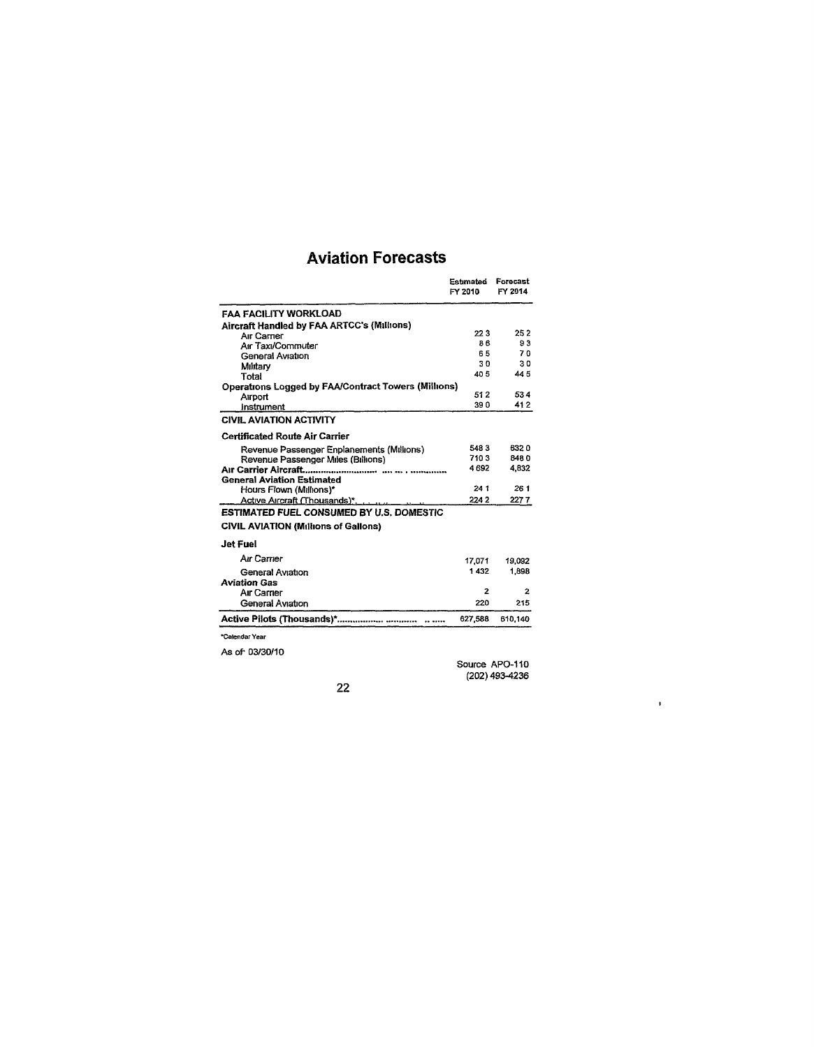# Aviation Forecasts

|                                                            | Estimated<br>FY 2010 | Forecast<br>FY 2014 |
|------------------------------------------------------------|----------------------|---------------------|
| <b>FAA FACILITY WORKLOAD</b>                               |                      |                     |
| Aircraft Handled by FAA ARTCC's (Millions)                 |                      |                     |
| Air Carner                                                 | 22 S                 | 25 2                |
| Air Taxi/Commuter                                          | 86                   | 93                  |
| General Aviation                                           | 65                   | 70                  |
| Military                                                   | 30                   | 30                  |
| Total                                                      | 40 S                 | 445                 |
| <b>Operations Logged by FAA/Contract Towers (Millions)</b> |                      |                     |
| Airport                                                    | 51 2                 | 534                 |
| instrument                                                 | 390                  | 41 2                |
| <b>CIVIL AVIATION ACTIVITY</b>                             |                      |                     |
| <b>Certificated Route Air Carrier</b>                      |                      |                     |
| Revenue Passenger Enplanements (Millions)                  | 5483                 | 6320                |
| Revenue Passenger Miles (Billions)                         | 7103                 | 8480                |
| Air Carrier Aircraft                                       | 4 692                | 4.832               |
| <b>General Aviation Estimated</b>                          |                      |                     |
| Hours Flown (Millions)*                                    | 241                  | 261                 |
| Active Aircraft (Thousands)*                               | 2242                 | 2277                |
| <b>ESTIMATED FUEL CONSUMED BY U.S. DOMESTIC</b>            |                      |                     |
| <b>CIVIL AVIATION (Millions of Gallons)</b>                |                      |                     |
| Jet Fuel                                                   |                      |                     |
| Air Carrier                                                | 17.071               | 19,092              |
| General Aviation                                           | 1432                 | 1.898               |
| <b>Aviation Gas</b>                                        |                      |                     |
| Air Carner                                                 | 2                    | 2                   |
| General Aviation                                           | 220                  | 215                 |
|                                                            | 627,588              | 610.140             |
| *Calendar Year                                             |                      |                     |
| As of 03/30/10                                             |                      |                     |
|                                                            |                      |                     |

Source APO-110 (202) 493-4236

 $\bar{\mathbf{r}}$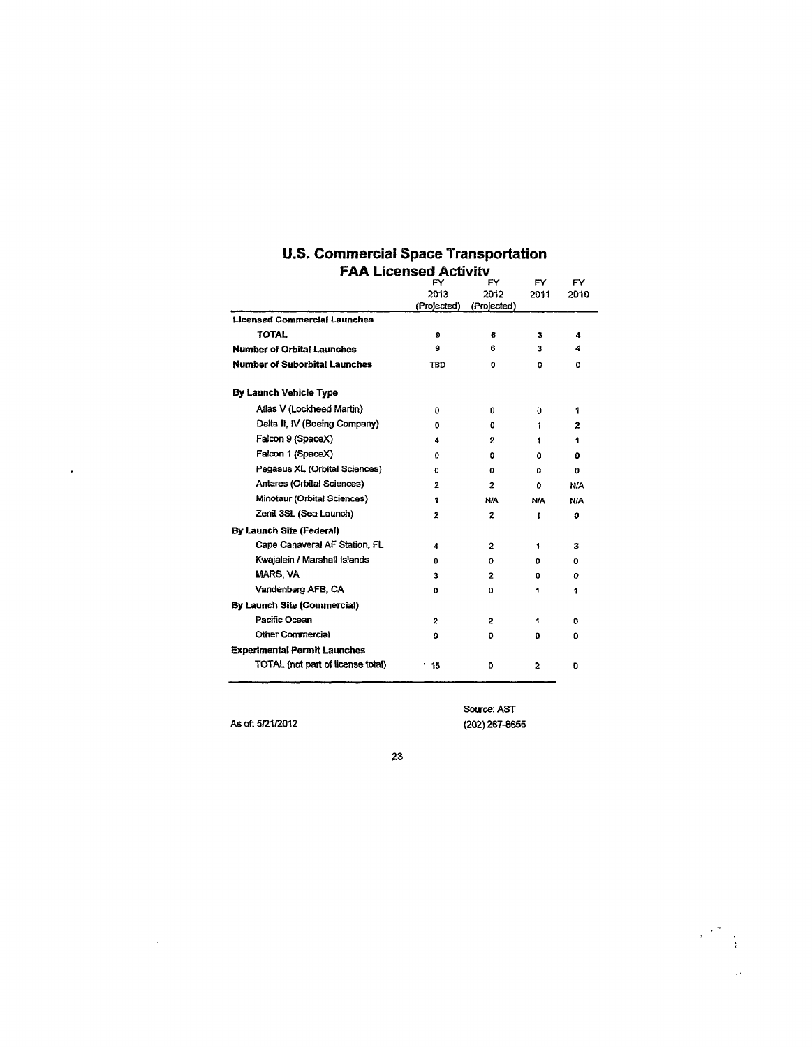| FAA LICENSEG ACTIVITY                |             |                |      |                |
|--------------------------------------|-------------|----------------|------|----------------|
|                                      | FY<br>FY    |                |      |                |
|                                      | 2013        | 2012           | 2011 | 2010           |
|                                      | (Projected) | (Projected)    |      |                |
| <b>Licensed Commercial Launches</b>  |             |                |      |                |
| <b>TOTAL</b>                         | 9           | £              | з    | 4              |
| <b>Number of Orbital Launches</b>    | 9           | 6              | 3    | 4              |
| <b>Number of Suborbital Launches</b> | TBD         | o              | ٥    | o              |
| By Launch Vehicle Type               |             |                |      |                |
| Atlas V (Lockheed Martin)            | 0           | 0              | o    | 1              |
| Delta II, IV (Boeing Company)        | 0           | 0              | 1    | $\overline{2}$ |
| Falcon 9 (SpaceX)                    | 4           | 2              | 1    | 1              |
| Falcon 1 (SpaceX)                    | ٥           | ۵              | ٥    | ٥              |
| Pegasus XL (Orbital Sciences)        | o           | 0              | ٥    | O              |
| Antares (Orbital Sciences)           | 2           | $\overline{z}$ | 0    | N/A            |
| Minotaur (Orbital Sciences)          | 1           | N/A            | N/A  | <b>N/A</b>     |
| Zenit 3SL (Sea Launch)               | 2           | 2              | 1    | 0              |
| <b>By Launch Site (Federal)</b>      |             |                |      |                |
| Cape Canaveral AF Station, FL        | 4           | $\mathbf{z}$   | 1    | з              |
| Kwaialein / Marshall Islands         | 0           | o.             | 0    | o              |
| <b>MARS, VA</b>                      | з           | 2              | U    | 0              |
| Vandenberg AFB, CA                   | o           | 0              | 1    | 1              |
| <b>By Launch Site (Commercial)</b>   |             |                |      |                |
| Pacific Ocean                        | 2           | 2              | 1    | o              |
| <b>Other Commercial</b>              | o           | 0              | ۵    | ٥              |
| <b>Experimental Permit Launches</b>  |             |                |      |                |
| TOTAL (not part of license total)    | 15          | O              | 2    | O              |

# **U.S. Commerciai Space Transportation FAA Licensed Activity FY PRESERVE PRESERVANCE**

As of: 5/21/2012

 $\Delta \sim 1$ 

 $\epsilon$ 

Source: AST (202)267-8655

 $\label{eq:2} \begin{pmatrix} \frac{1}{2} & \frac{1}{2} & \frac{1}{2} \\ \frac{1}{2} & \frac{1}{2} & \frac{1}{2} \\ \frac{1}{2} & \frac{1}{2} & \frac{1}{2} \end{pmatrix}$  $\sim 10^4$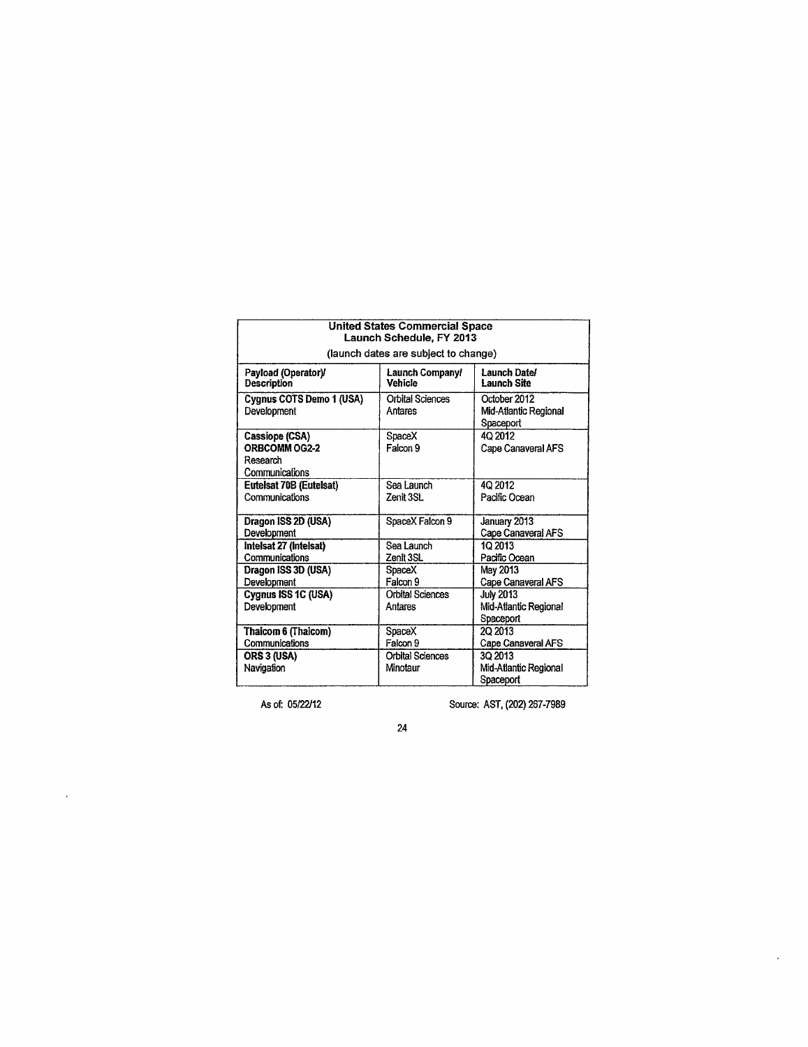| <b>United States Commercial Space</b><br>Launch Schedule, FY 2013 |                                      |                                                        |  |
|-------------------------------------------------------------------|--------------------------------------|--------------------------------------------------------|--|
|                                                                   | (launch dates are subject to change) |                                                        |  |
| Payload (Operator)/<br><b>Description</b>                         | Launch Company/<br>Vehicle           | Launch Date/<br>Launch Site                            |  |
| Cygnus COTS Demo 1 (USA)<br>Development                           | <b>Orbital Sciences</b><br>Antares   | October 2012<br>Mid-Atlantic Regional<br>Spaceport     |  |
| Cassiope (CSA)<br>ORBCOMM OG2-2<br>Research<br>Communications     | SpaceX<br>Falcon 9                   | 40 2012<br>Cape Canaveral AFS                          |  |
| Eutelsat 70B (Eutelsat)<br>Communications                         | Sea Launch<br>Zenit 3SL              | 4Q 2012<br>Pacific Ocean                               |  |
| Dragon ISS 2D (USA)<br>Development                                | SpaceX Falcon 9                      | January 2013<br>Cape Canaveral AFS                     |  |
| Intelsat 27 (Intelsat)<br>Communications                          | Sea Launch<br>Zenit 3SL              | 10 2013<br>Pacific Ocean                               |  |
| Dragon ISS 3D (USA)<br>Development                                | SpaceX<br>Falcon 9                   | May 2013<br>Cape Canaveral AFS                         |  |
| Cygnus ISS 1C (USA)<br>Development                                | <b>Orbital Sciences</b><br>Antares   | <b>July 2013</b><br>Mid-Atlantic Regional<br>Spaceport |  |
| Thaicom 6 (Thaicom)<br>Communications                             | SpaceX<br>Falcon 9                   | 20 2013<br>Cape Canaveral AFS                          |  |
| ORS 3 (USA)<br>Navigation                                         | Orbital Sciences<br>Minotaur         | 30 2013<br>Mid-Atlantic Regional<br>Spaceport          |  |

 $\ddot{\phantom{0}}$ 

As of: 05/22/12 Source: AST, (202) 267-7989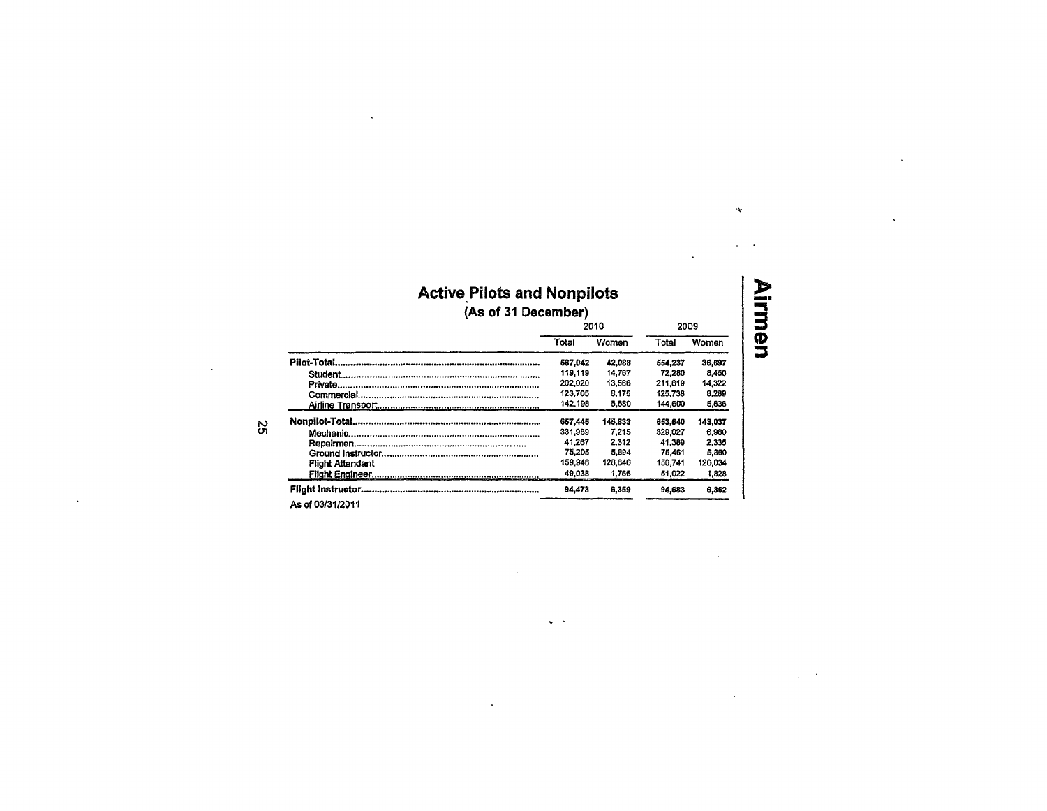### Active Pilots and Nonpilots **(As of 31 December)**

|                         | 2010    |         | 2009    |         |
|-------------------------|---------|---------|---------|---------|
|                         | Total   | Women   | Total   | Women   |
|                         | 587.042 | 42,088  | 554.237 | 36,697  |
|                         | 119.119 | 14.767  | 72.280  | 8.450   |
|                         | 202.020 | 13,566  | 211.619 | 14.322  |
|                         | 123.705 | 8.175   | 125,738 | 8.289   |
|                         | 142,198 | 5.580   | 144,600 | 5,636   |
|                         | 657.445 | 145.833 | 653.640 | 143.037 |
|                         | 331,989 | 7.215   | 329.027 | 6.980   |
|                         | 41.267  | 2.312   | 41.389  | 2.335   |
|                         | 75.205  | 5.894   | 75.461  | 5.860   |
| <b>Flight Attendant</b> | 159,946 | 128,646 | 156.741 | 126.034 |
|                         | 49.038  | 1.766   | 51.022  | 1,828   |
|                         | 94.473  | 6,359   | 94.683  | 6.362   |

 $\omega$  .

As of 03/31/2011

**82** 

 $\ddot{\phantom{a}}$ 

**3**  <u>ማ</u>

 $\mathbb{R}^2$ 

 $\Delta \tau$ 

 $\overline{a}$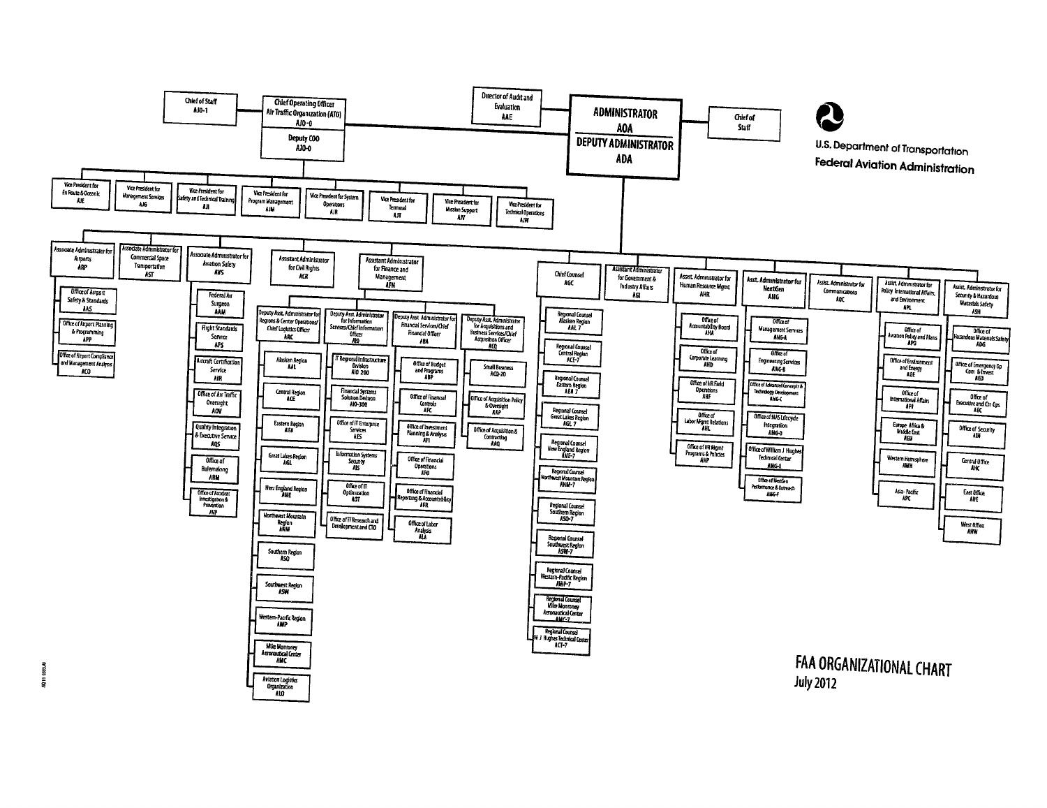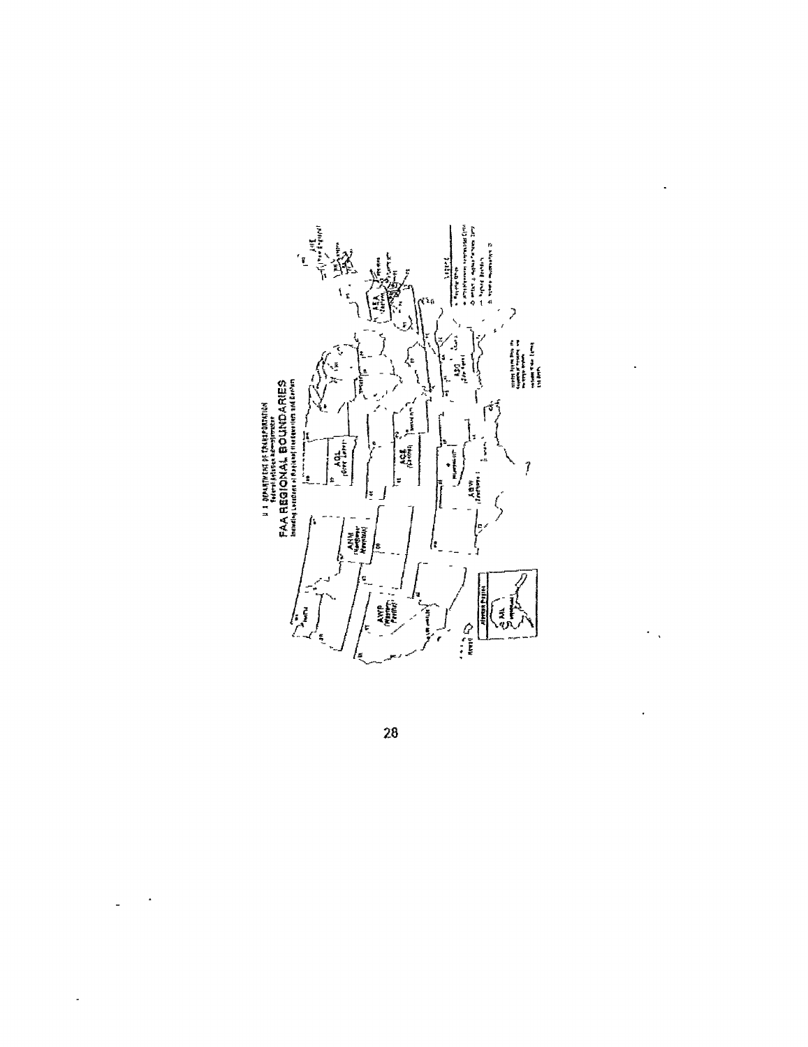

 $\hat{\mathcal{A}}$ 

 $\ddot{\phantom{0}}$ 

 $\overline{\mathcal{O}}_{\mathcal{A}}$ 

 $\ddot{\phantom{0}}$ 

28

 $\ddot{\phantom{1}}$ 

 $\Box$ 

 $\ddot{\phantom{0}}$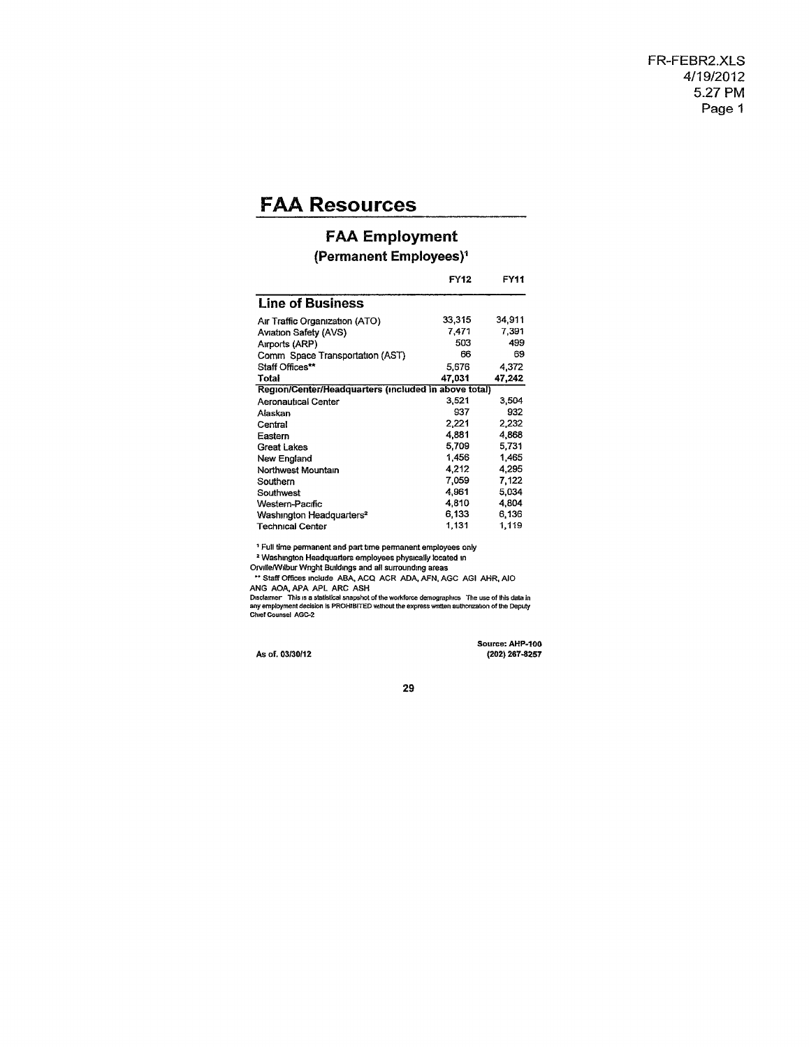# **FAA Resources**

### **FAA Employment**

#### **(Permanent Employees)<sup>1</sup>**

|                                                      | <b>FY12</b> | FY11   |
|------------------------------------------------------|-------------|--------|
| <b>Line of Business</b>                              |             |        |
| Air Traffic Organization (ATO)                       | 33.315      | 34,911 |
| Aviation Safety (AVS)                                | 7.471       | 7,391  |
| Airports (ARP)                                       | 503         | 499    |
| Comm Space Transportation (AST)                      | 66          | 69     |
| Staff Offices**                                      | 5.676       | 4.372  |
| Total                                                | 47.031      | 47,242 |
| Region/Center/Headquarters (included in above total) |             |        |
| Aeronautical Center                                  | 3.521       | 3,504  |
| Alaskan                                              | 937         | 932    |
| Central                                              | 2.221       | 2.232  |
| Eastern                                              | 4.881       | 4,868  |
| <b>Great Lakes</b>                                   | 5.709       | 5,731  |
| New England                                          | 1,456       | 1,465  |
| Northwest Mountain                                   | 4.212       | 4.295  |
| Southern                                             | 7.059       | 7,122  |
| Southwest                                            | 4,961       | 5.034  |
| Western-Pacific                                      | 4,810       | 4.804  |
| Washington Headquarters <sup>2</sup>                 | 6,133       | 6.136  |
| <b>Technical Center</b>                              | 1,131       | 1,119  |

<sup>1</sup> Full time permanent and part time permanent employees only

<sup>1</sup> Full time permanent and part time permanent employees only<br><sup>2</sup> Washington Headquarters employees physically located in<br>Orville/Wilbur Winght Buildings and all surrounding areas<br>
<sup>••</sup> Staff Offices include ABA, ACQ ACR

Source: AHP-100 As of. 03/30/12 (202) 267-8257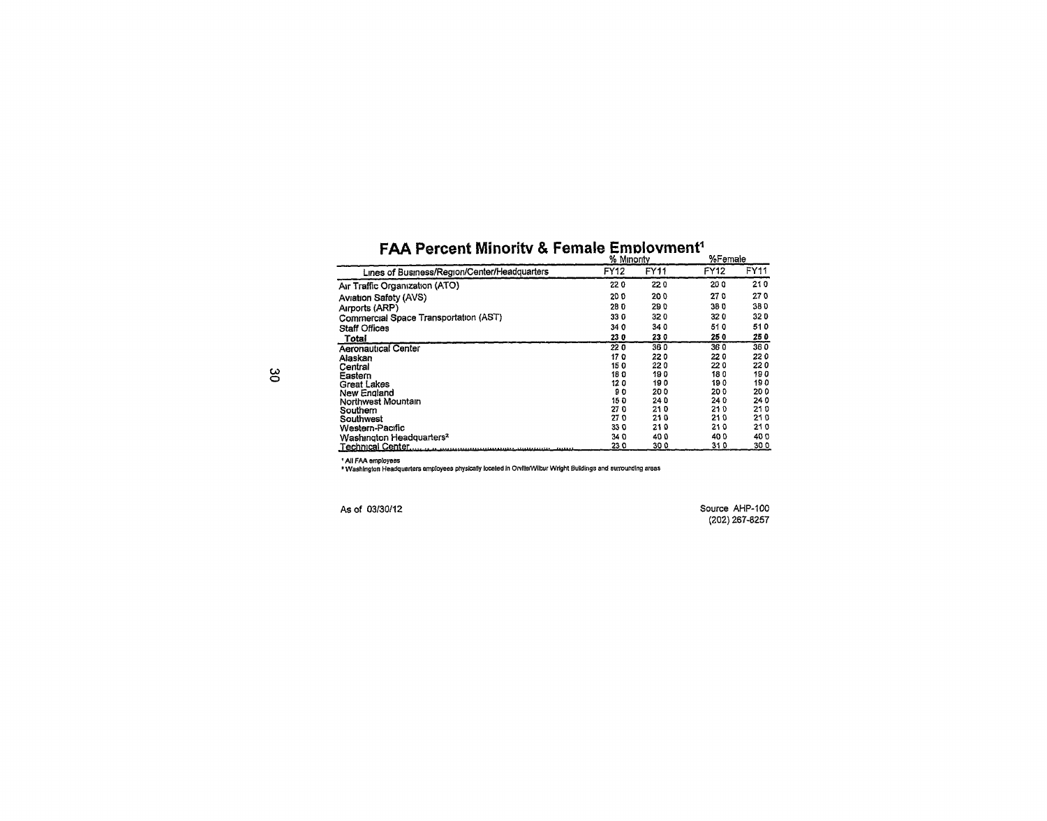|                                              | % Minority |      | %remale |      |
|----------------------------------------------|------------|------|---------|------|
| Lines of Business/Region/Center/Headquarters | FY12       | FY11 | FY12    | FY11 |
| Air Traffic Organization (ATO)               | 220        | 220  | 200     | 210  |
| Aviation Safety (AVS)                        | 200        | 200  | 270     | 270  |
| Airports (ARP)                               | 280        | 290  | 38 O    | 380  |
| Commercial Space Transportation (AST)        | 330        | 320  | 320     | 320  |
| <b>Staff Offices</b>                         | 340        | 340  | 510     | 510  |
| Total                                        | 230        | 230  | 250     | 250  |
| <b>Aeronautical Center</b>                   | 220        | 360  | 360     | 360  |
| Alaskan                                      | 170        | 220  | 220     | 220  |
| Central                                      | 150        | 22 0 | 220     | 220  |
| Eastern                                      | 180        | 190  | 180     | 190  |
| Great Lakes                                  | 120        | 190  | 190     | 190  |
| New England                                  | 90         | 20 O | 200     | 200  |
| Northwest Mountain                           | 150        | 24 D | 240     | 240  |
| Southern                                     | 270        | 210  | 210     | 210  |
| Southwest                                    | 270        | 210  | 210     | 210  |
| Western-Pacific                              | 33 Q       | 210  | 210     | 210  |
| Washington Headquarters <sup>2</sup>         | 34 O       | 400  | 40 D    | 40 O |
|                                              | 23 O       | 300  | 31 0    | 300  |

# FAA Percent Minority & Female Employment<sup>1</sup>

All FAA employees \* Washington Headquarters employees physically located In Orvllle/Wilbur Wright Buildings and surrounding areas

As of 03/30/12 Source AHP-100 (202)267-8257

**w o**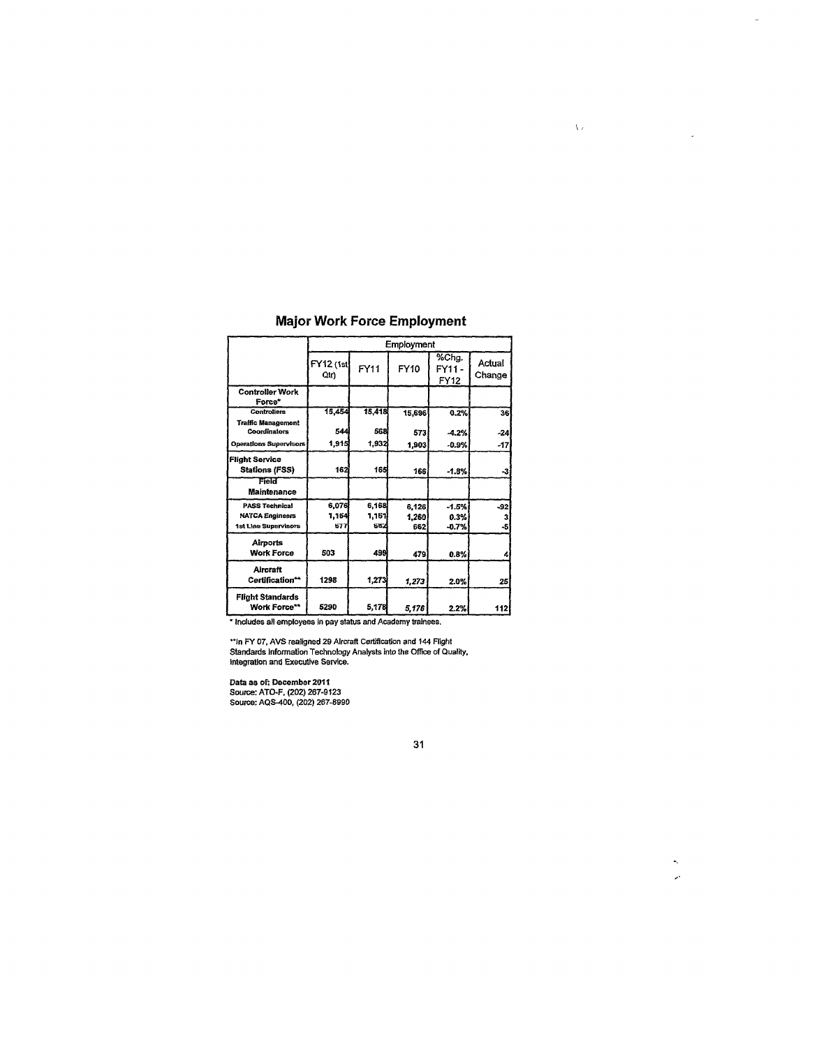|                                                | Employment               |        |        |                       |                  |
|------------------------------------------------|--------------------------|--------|--------|-----------------------|------------------|
|                                                | <b>FY12 (1st</b><br>Qtr) | FY11   | FY10   | %Chg.<br>FY11<br>FY12 | Actual<br>Change |
| <b>Controller Work</b><br>Force*               |                          |        |        |                       |                  |
| <b>Controllers</b>                             | 15,454                   | 15,418 | 15,696 | 0.2%                  | 36               |
| <b>Traffic Management</b><br>Coordinators      | 544                      | 568    | 573    | $-4.2%$               | $-24$            |
| <b>Operations Supervisors</b>                  | 1,915                    | 1.932  | 1,903  | $-0.9%$               | $-17$            |
| <b>Flight Service</b><br><b>Stations (FSS)</b> | 162                      | 165    | 166    | $-1.8%$               | -3               |
| Field<br><b>Maintenance</b>                    |                          |        |        |                       |                  |
| <b>PASS Technical</b>                          | 6,076                    | 6,168  | 6,126  | $-1.5%$               | $-92$            |
| <b>NATCA Engineers</b>                         | 1,164                    | 1.161  | 1.260  | 0.3%                  | 3                |
| 1st Line Supervisors                           | 677                      | 682    | 662    | $-0.7%$               | -5               |
| Airports<br><b>Work Force</b>                  | 503                      | 499    | 479    | 0.8%                  | л                |
| <b>Aircraft</b><br>Certification**             | 1298                     | 1,273  | 1,273  | 2.0%                  | 25               |
| <b>Flight Standards</b><br><b>Work Force**</b> | 5290                     | 5,178  | 5,176  | 2.2%                  | 112              |

### Major Work Force Employment

 $\overline{\phantom{a}}$ 

 $\sim 10$ 

 $\star_t$  $\bar{\mathcal{P}}$ 

 $\bar{\Lambda}$  .

**\* Includes all employees in pay status and Academy trainees.** 

**"In FY 07, AVS realigned 29 Aircraft Certification and 144 Flight Standards Information Technology Analysts into the Office of Quality, Integration and Executive Service.** 

**Data as of: December 2011 Source: ATO-F, (202) 267-9123 Source: AQS-400, (202) 267-8990**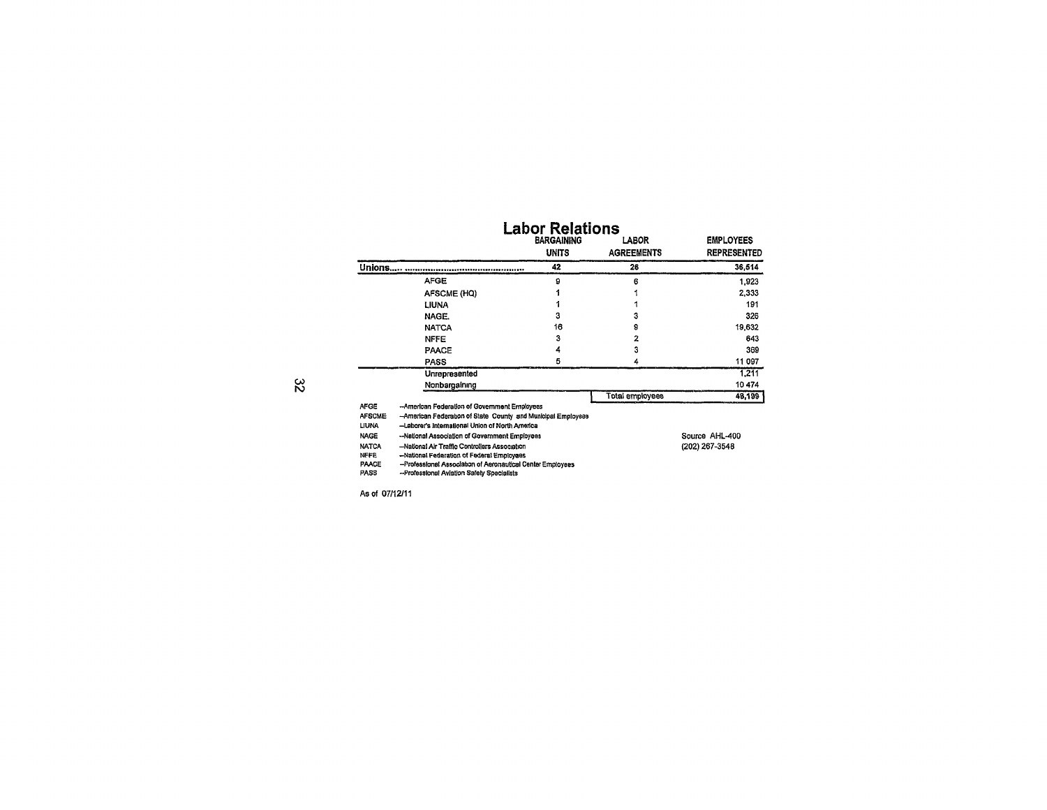|               | <b>BARGAINING</b><br><b>UNITS</b> | LABOR<br><b>AGREEMENTS</b> | <b>EMPLOYEES</b><br><b>REPRESENTED</b> |
|---------------|-----------------------------------|----------------------------|----------------------------------------|
| Unions.       | 42                                | 26                         | 36,514                                 |
| <b>AFGE</b>   | 9                                 | 6                          | 1.923                                  |
| AFSCME (HQ)   |                                   |                            | 2.333                                  |
| LIUNA         |                                   |                            | 191                                    |
| NAGE.         | з                                 | 3                          | 326                                    |
| <b>NATCA</b>  | 16                                | 9                          | 19,632                                 |
| <b>NFFE</b>   | 3                                 | 2                          | 643                                    |
| PAACE         | 4                                 | 3                          | 369                                    |
| <b>PASS</b>   | 5                                 | 4                          | 11 097                                 |
| Unrepresented |                                   |                            | 1.211                                  |
| Nonbargaining |                                   |                            | 10474                                  |
|               |                                   | <b>Total employees</b>     | 48,199                                 |

 $\stackrel{\sim}{\sim}$ 

| LIUNA        | -Laborer's International Union of North America            |                |
|--------------|------------------------------------------------------------|----------------|
| <b>NAGE</b>  | -National Association of Government Employees              | Source AHL-400 |
| <b>NATCA</b> | -National Air Traffic Controllers Association              | (202) 267-3548 |
| <b>NFFE</b>  | -National Federation of Federal Employees                  |                |
| <b>PAACE</b> | -Professional Association of Aeronautical Center Employees |                |
| <b>PASS</b>  | --Professional Aviation Safety Specialists                 |                |

As Of 07/12/11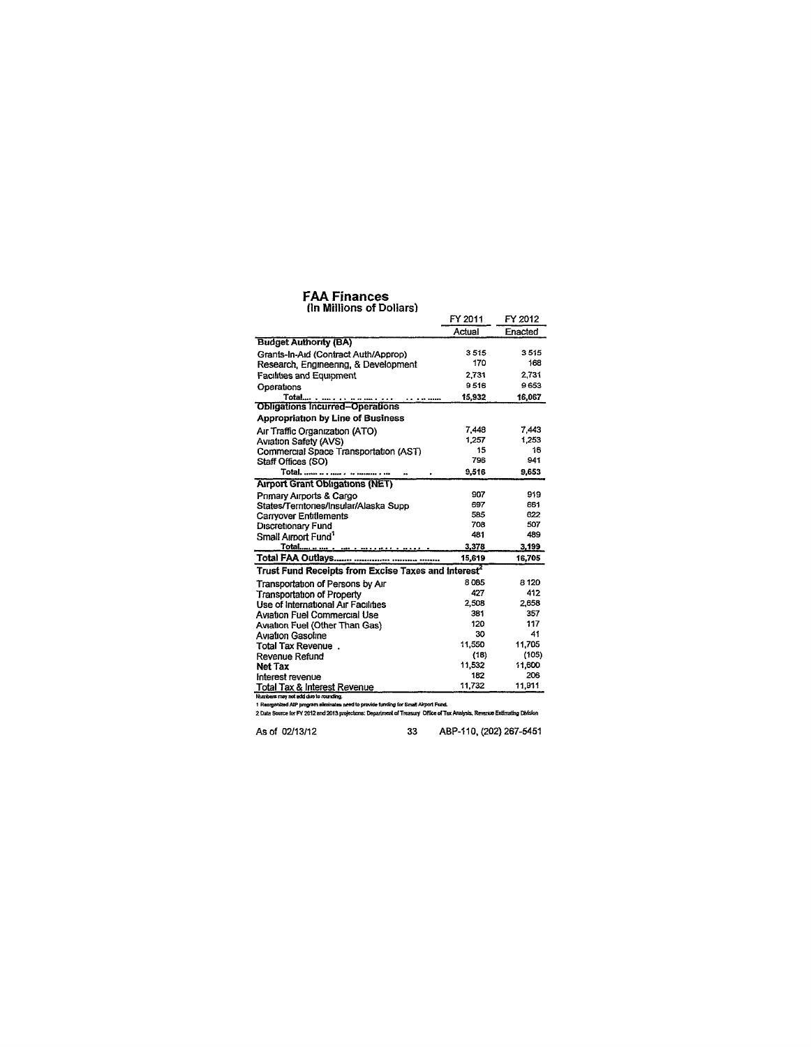### FAA Finances

| (In Millions of Dollars)                                                                                                                                                                                           |         |         |
|--------------------------------------------------------------------------------------------------------------------------------------------------------------------------------------------------------------------|---------|---------|
|                                                                                                                                                                                                                    | FY 2011 | FY 2012 |
|                                                                                                                                                                                                                    | Actual  | Enacted |
| <b>Budget Authority (BA)</b>                                                                                                                                                                                       |         |         |
| Grants-In-Aid (Contract Auth/Approp)                                                                                                                                                                               | 3515    | 3515    |
| Research, Engineering, & Development                                                                                                                                                                               | 170     | 168     |
| <b>Facilities and Equipment</b>                                                                                                                                                                                    | 2.731   | 2.731   |
| Operations                                                                                                                                                                                                         | 9516    | 9 653   |
|                                                                                                                                                                                                                    | 15.932  | 16,067  |
|                                                                                                                                                                                                                    |         |         |
| <b>Appropriation by Line of Business</b>                                                                                                                                                                           |         |         |
| Air Traffic Organization (ATO)                                                                                                                                                                                     | 7.448   | 7.443   |
| <b>Aviation Safety (AVS)</b>                                                                                                                                                                                       | 1,257   | 1,253   |
| Commercial Space Transportation (AST)                                                                                                                                                                              | 15      | 16      |
| Staff Offices (SO)                                                                                                                                                                                                 | 796     | 941     |
|                                                                                                                                                                                                                    | 9,516   | 9,653   |
| <b>Airport Grant Obligations (NET)</b>                                                                                                                                                                             |         |         |
| Primary Airports & Cargo                                                                                                                                                                                           | 907     | 919     |
| States/Terntones/Insular/Alaska Supp                                                                                                                                                                               | 697     | 661     |
| Carryover Entitlements                                                                                                                                                                                             | 585     | 622     |
| Discretionary Fund                                                                                                                                                                                                 | 708     | 507     |
| Small Airport Fund <sup>1</sup>                                                                                                                                                                                    | 481     | 489     |
|                                                                                                                                                                                                                    | 3,378   | 3,199   |
|                                                                                                                                                                                                                    | 15,619  | 16.705  |
| Trust Fund Receipts from Excise Taxes and interest <sup>2</sup>                                                                                                                                                    |         |         |
| Transportation of Persons by Air                                                                                                                                                                                   | 8085    | 8 1 2 0 |
| Transportation of Property                                                                                                                                                                                         | 427     | 412     |
| Use of International Air Facilities                                                                                                                                                                                | 2,508   | 2.658   |
| Aviation Fuel Commercial Use                                                                                                                                                                                       | 381     | 357     |
| Aviation Fuel (Other Than Gas)                                                                                                                                                                                     | 120     | 117     |
| <b>Aviation Gasoline</b>                                                                                                                                                                                           | 30      | 41      |
| Total Tax Revenue.                                                                                                                                                                                                 | 11,550  | 11,705  |
| Revenue Refund                                                                                                                                                                                                     | (18)    | (105)   |
| Net Tax                                                                                                                                                                                                            | 11,532  | 11,600  |
| Interest revenue                                                                                                                                                                                                   | 182     | 206     |
| Total Tax & Interest Revenue                                                                                                                                                                                       | 11.732  | 11,911  |
| Numbers may not add due to rounding.                                                                                                                                                                               |         |         |
| 1 Reorganized AIP program eliminates need to provide funding for Small Airport Fund.<br>2 Data Source for FY 2012 and 2013 projections: Department of Treasury Office of Tax Analysis, Revenue Estimating Division |         |         |
|                                                                                                                                                                                                                    |         |         |

As of 02/13/12 33 ABP-110, (202) 267-5451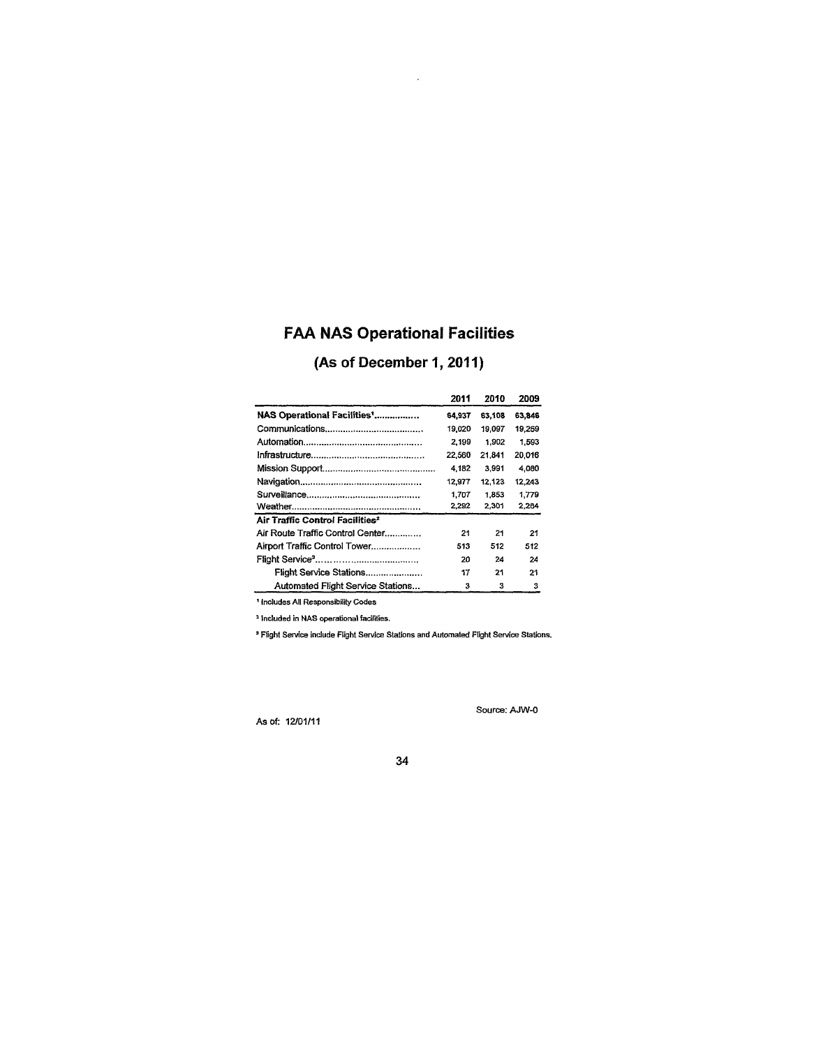# FAA NAS Operational Facilities

 $\mathcal{L}_{\mathcal{A}}$ 

# (As of December 1, 2011)

|                                             | 2011   | 2010   | 2009   |
|---------------------------------------------|--------|--------|--------|
| NAS Operational Facilities'                 | 64.937 | 63,108 | 63,846 |
|                                             | 19.020 | 19.097 | 19.269 |
|                                             | 2,199  | 1,902  | 1,593  |
|                                             | 22.560 | 21.841 | 20.016 |
|                                             | 4.182  | 3.991  | 4.080  |
|                                             | 12,977 | 12.123 | 12.243 |
|                                             | 1.707  | 1.853  | 1.779  |
|                                             | 2.292  | 2,301  | 2.264  |
| Air Traffic Control Facilities <sup>2</sup> |        |        |        |
| Air Route Traffic Control Center            | 21     | 21     | 21     |
| Airport Traffic Control Tower               | 513    | 512    | 512    |
|                                             | 20     | 24     | 24     |
| Flight Service Stations                     | 17     | 21     | 21     |
| Automated Flight Service Stations           | з      | 3      | 3      |

1 1ncludes All Responsibility Codes

2 Included in NAS operational facilities.

\* Flight Service include Flight Service Stations and Automated Flight Service Stations.

As of: 12/01/11

Source: AJW-0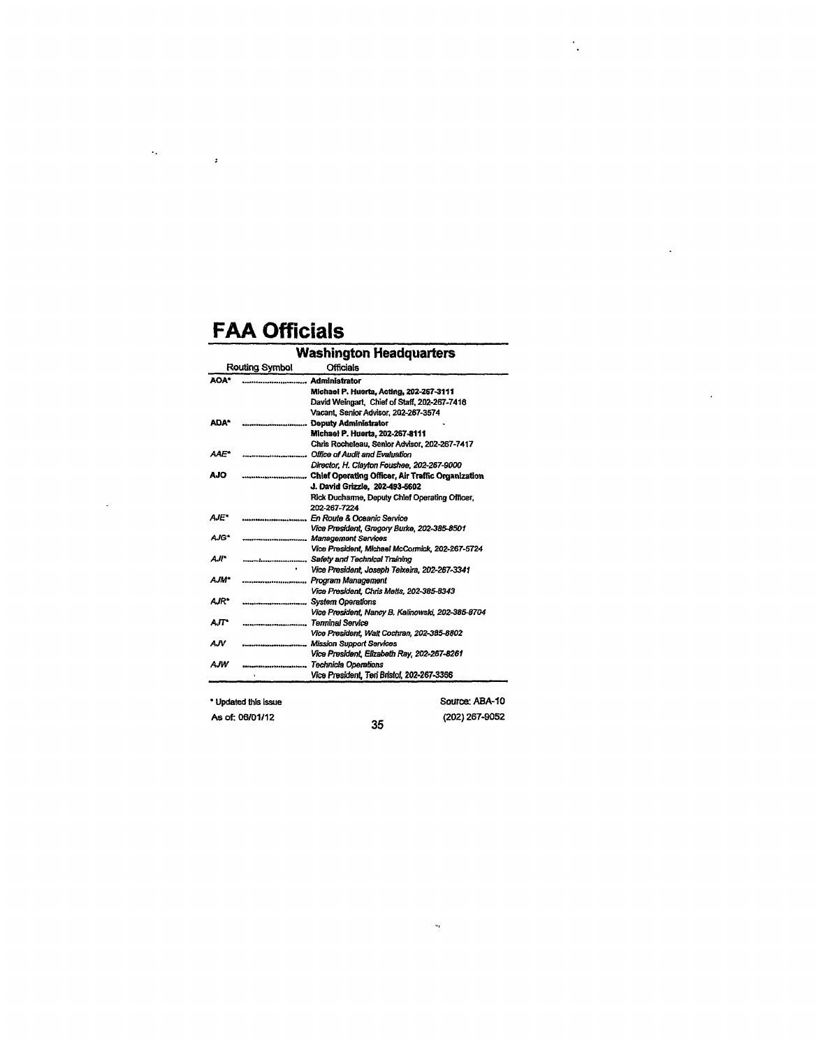$\label{eq:2.1} \frac{1}{2} \left( \frac{2\pi}{\pi} \right)^2 \left( \frac{1}{2} \right)^2 \left( \frac{1}{2} \right)^2$ 

 $\bar{\mathcal{L}}$ 

|             |                                       | <b>Washington Headquarters</b>                    |
|-------------|---------------------------------------|---------------------------------------------------|
|             | Routing Symbol                        | <b>Officials</b>                                  |
| AOA*        |                                       | <b>Administrator</b>                              |
|             |                                       | Michael P. Huerta, Acting, 202-267-3111           |
|             |                                       | David Weingart, Chief of Staff, 202-267-7416      |
|             |                                       | Vacant, Senior Advisor, 202-267-3574              |
| ADA*        |                                       | <b>Deputy Administrator</b>                       |
|             |                                       | Michael P. Huerta, 202-267-8111                   |
|             |                                       | Chris Rocheleau, Senior Advisor, 202-267-7417     |
| AAE*        | ************************************* | Office of Audit and Evaluation                    |
|             |                                       | Director, H. Clayton Foushee, 202-267-9000        |
| AJO.        |                                       |                                                   |
|             |                                       | J. David Grizzle, 202-493-5602                    |
|             |                                       | Rick Ducharme, Deputy Chief Operating Officer,    |
|             |                                       | 202-267-7224                                      |
| AJE*        | ------------------------------        | En Route & Oceanic Service                        |
|             |                                       | Vice President, Gregory Burke, 202-385-8501       |
| AJG*        |                                       |                                                   |
|             |                                       | Vice President, Michael McCormick, 202-267-5724   |
| Aji*        |                                       | Safety and Technical Training                     |
|             |                                       | Vice President, Joseph Teixeira, 202-267-3341     |
| <b>AJM*</b> | ----------------------------          | Program Management                                |
|             |                                       | Vice President, Chris Metts, 202-385-8343         |
| <b>AJR*</b> | ,,,,,,,,,,,,,,,,,,,,,,,,,,,,,,,,,,    | <b>System Operations</b>                          |
|             |                                       | Vice President, Nancy B. Kalinowski, 202-385-8704 |
| AJT"        | ------------------------              | <b>Terminal Service</b>                           |
|             |                                       | Vice President, Walt Cochran, 202-385-8802        |
| AJV.        |                                       | <b>Mission Support Services</b>                   |
|             |                                       | Vice President, Elizabeth Ray, 202-267-8261       |
| AJW         | ****************************          | Technicla Operations                              |
|             |                                       | Vice President, Teri Bristol, 202-267-3366        |

 $\ddot{\cdot}$ 

 $\ddot{\phantom{0}}$ 

| * Updated this issue |    | Source: ABA-10 |
|----------------------|----|----------------|
| As of: 06/01/12      | 35 | (202) 267-9052 |

 $\bar{\mathbf{v}}_t$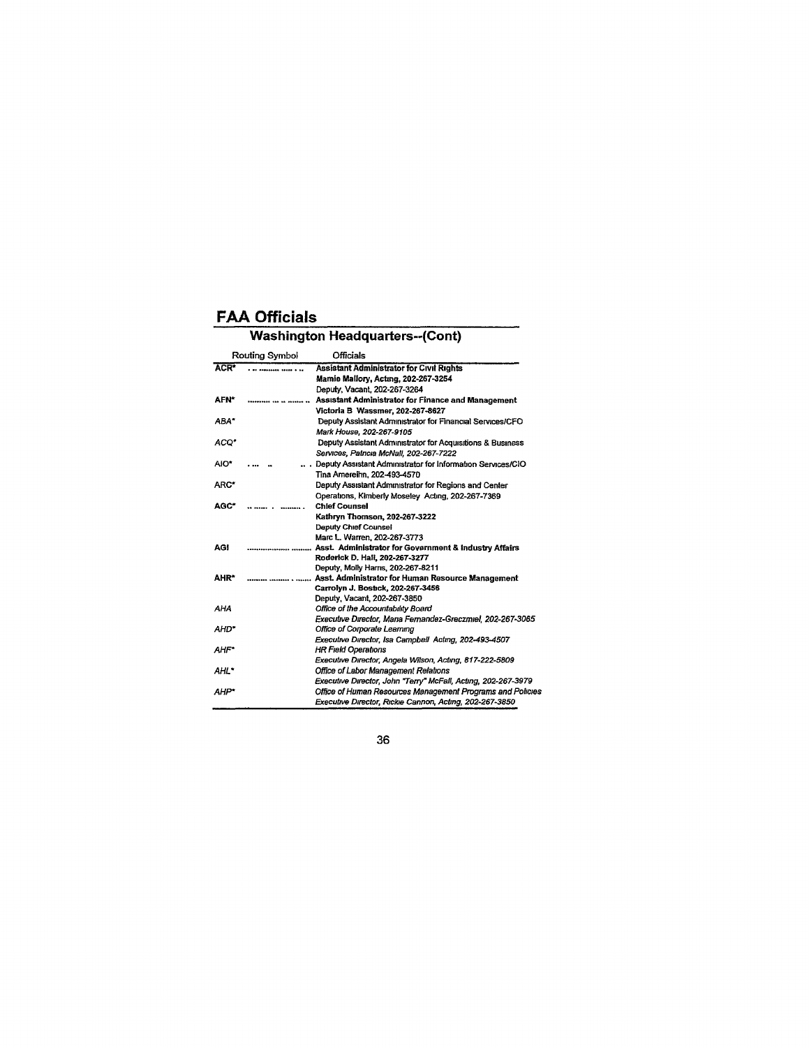### **Washington Headquarters--(Cont)**

|                  | Routing Symbol                | <b>Officials</b>                                                   |
|------------------|-------------------------------|--------------------------------------------------------------------|
| ACR <sup>*</sup> |                               | Assistant Administrator for Civil Rights                           |
|                  |                               | Mamie Mallory, Acting, 202-267-3254                                |
|                  |                               | Deputy, Vacant, 202-267-3264                                       |
| <b>AFN*</b>      |                               | Assistant Administrator for Finance and Management                 |
|                  |                               | Victoria B Wassmer, 202-267-8627                                   |
| ABA*             |                               | Deputy Assistant Administrator for Financial Services/CFO          |
|                  |                               | Mark House, 202-267-9105                                           |
| ACO*             |                               | Deputy Assistant Administrator for Acquisitions & Business         |
|                  |                               | Services, Patricia McNall, 202-267-7222                            |
| AIO*             |                               | Deputy Assistant Administrator for Information Services/CIO        |
|                  |                               | Tina Amereihn, 202-493-4570                                        |
| ARC*             |                               | Deputy Assistant Administrator for Regions and Center              |
|                  |                               | Operations, Kimberly Moseley Acting, 202-267-7369                  |
| AGC*             |                               | <b>Chief Counsel</b>                                               |
|                  |                               | Kathryn Thomson, 202-267-3222                                      |
|                  |                               | <b>Deputy Chief Counsel</b>                                        |
|                  |                               | Marc L. Warren, 202-267-3773                                       |
| AGI              |                               | Asst. Administrator for Government & Industry Affairs              |
|                  |                               | Roderick D. Hall, 202-267-3277                                     |
|                  |                               | Deputy, Molly Harris, 202-267-8211                                 |
| AHR*             | ********* ********* * ******* | Asst. Administrator for Human Resource Management                  |
|                  |                               | Carrolyn J. Bostick, 202-267-3456                                  |
| AHA              |                               | Deputy, Vacant, 202-267-3850<br>Office of the Accountability Board |
|                  |                               | Executive Director, Mana Fernandez-Greczmiel, 202-267-3065         |
| AHD*             |                               | Office of Corporate Learning                                       |
|                  |                               | Executive Director, Isa Campbell Acting, 202-493-4507              |
| <b>AHF*</b>      |                               | <b>HR Field Operations</b>                                         |
|                  |                               | Executive Director, Angela Wilson, Acting, 817-222-5809            |
| AHL*             |                               | Office of Labor Management Relations                               |
|                  |                               | Executive Director, John "Terry" McFall, Acting, 202-267-3979      |
| AHP*             |                               | Office of Human Resources Management Programs and Policies         |
|                  |                               | Executive Director, Rickie Cannon, Acting, 202-267-3850            |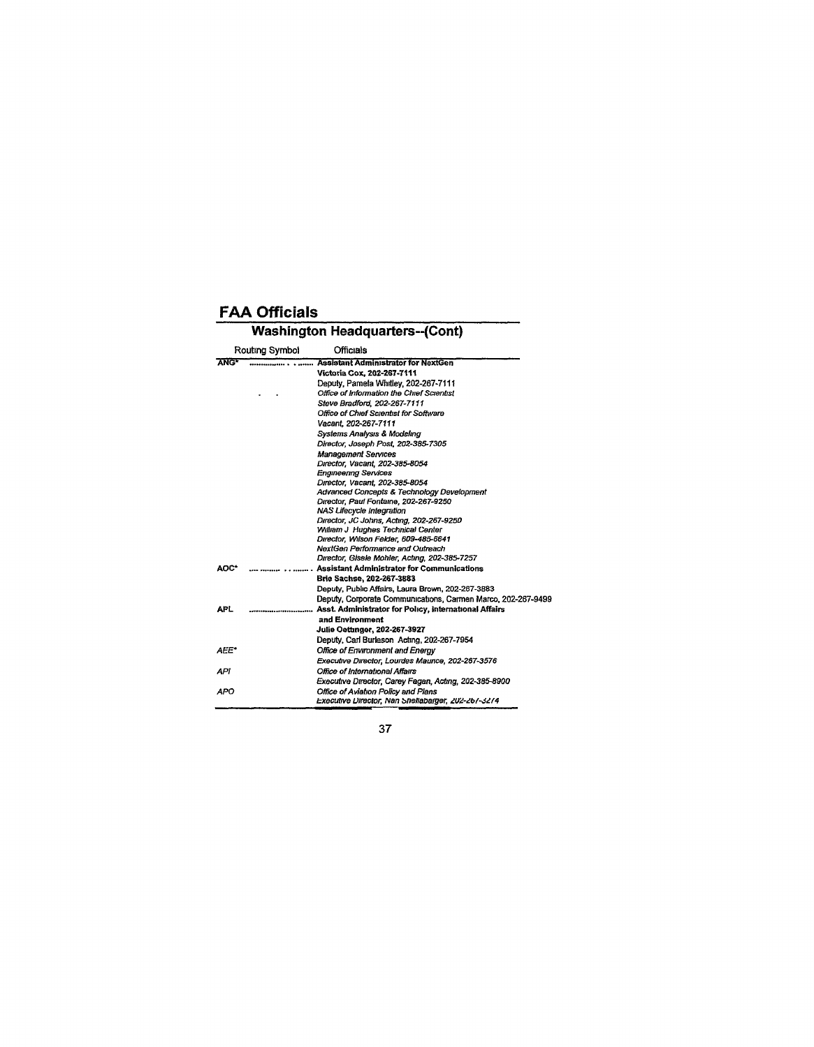# Washington Headquarters-(Cont)

|             | Routing Symbol | <b>Officials</b>                                             |
|-------------|----------------|--------------------------------------------------------------|
| <b>ANG*</b> |                | <b>Assistant Administrator for NextGen</b>                   |
|             |                | Victoria Cox, 202-267-7111                                   |
|             |                | Deputy, Pamela Whitley, 202-267-7111                         |
|             |                | Office of Information the Chief Scientist                    |
|             |                | Steve Bradford, 202-267-7111                                 |
|             |                | Office of Chief Scientist for Software                       |
|             |                | Vacant. 202-267-7111                                         |
|             |                | Systems Analysis & Modeling                                  |
|             |                | Director, Joseph Post, 202-385-7305                          |
|             |                | <b>Management Services</b>                                   |
|             |                | Director, Vacant, 202-385-8054                               |
|             |                | <b>Engineering Services</b>                                  |
|             |                | Director, Vacant, 202-385-8054                               |
|             |                | Advanced Concepts & Technology Development                   |
|             |                | Director, Paul Fontaine, 202-267-9250                        |
|             |                | <b>NAS Lifecycle Integration</b>                             |
|             |                | Director, JC Johns, Acting, 202-267-9250                     |
|             |                | William J Hughes Technical Center                            |
|             |                | Director, Wilson Felder, 609-485-6641                        |
|             |                | NextGen Performance and Outreach                             |
|             |                | Director, Gisele Mohler, Acting, 202-385-7257                |
| AOC*        |                | <b>Assistant Administrator for Communications</b>            |
|             |                | Brie Sachse, 202-267-3883                                    |
|             |                | Deputy, Public Affairs, Laura Brown, 202-267-3883            |
|             |                | Deputy, Corporate Communications, Carmen Marco, 202-267-9499 |
| <b>APL</b>  |                | Asst. Administrator for Policy, International Affairs        |
|             |                | and Environment                                              |
|             |                | <b>Julie Oettmger, 202-267-3927</b>                          |
|             |                | Deputy, Carl Burleson, Acting, 202-267-7954                  |
| AEE*        |                | Office of Environment and Energy                             |
|             |                | Executive Director, Lourdes Maurice, 202-267-3576            |
| API         |                | Office of International Affairs                              |
|             |                | Executive Director, Carey Fagan, Acting, 202-385-8900        |
| APO         |                | Office of Aviation Policy and Plans                          |
|             |                | Executive Director, Nan Shellabarger, 202-267-3274           |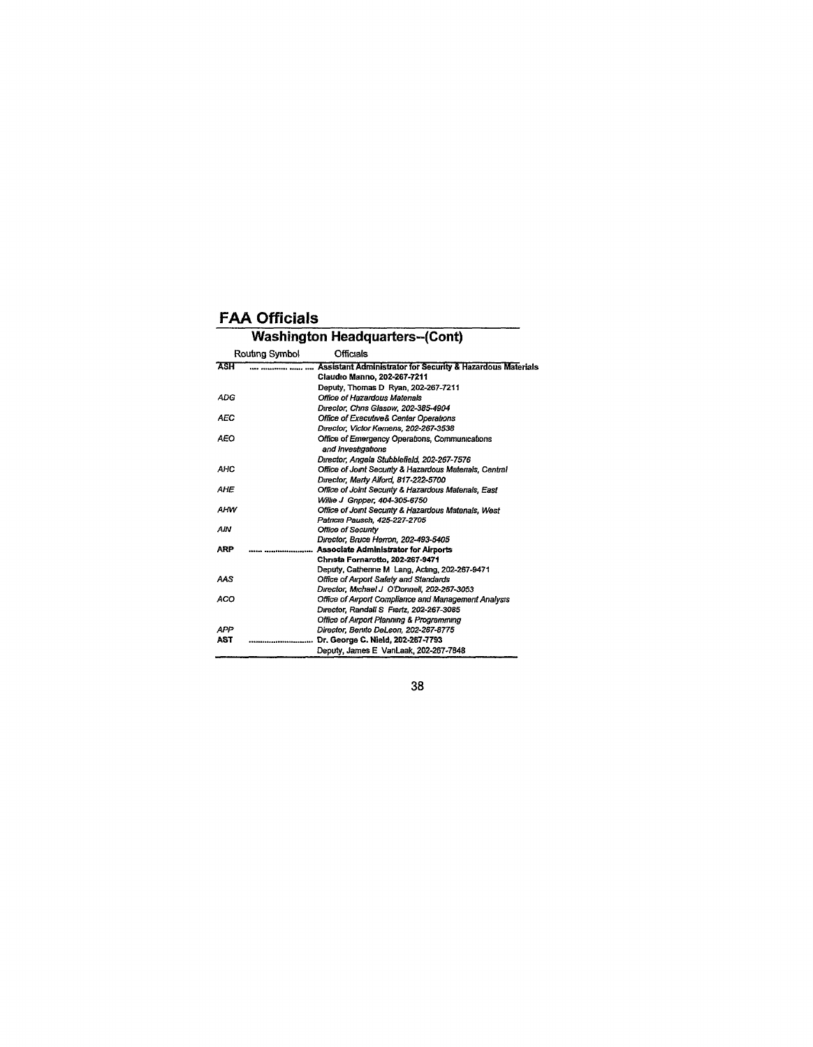#### Washington Headquarters-(Cont) **Routing Symbol** Officials **ASH Assistant Administrator for Security & Hazardous Materials Claudio Manno, 202-267-7211**  Deputy, Thomas D Ryan, 202-267-7211 ADG Office of Hazardous Matenals Director, Chns Slasow, 202-385-4904 AEC **Office of Executives** Center Operations Director, Victor Kemens, 202-267-3538 AEO Office of Emergency Operations, Communications and Investigations Director, Angela StubbleHeld, 202-267-7576 AHC Office of Joint Security & Hazardous Matenals, Central Director, Marty Aiford, 817-222-5700 AHE Office of Joint Security & Hazardous Materials, East Willie J Gnpper, 404-305-6750 AHW Office of Joint Secunty & Hazardous Matenals, West Patricia Pausch, 425-227-2705 AIN Office of Secunty Director, Bruce Herron, 202-493-5405 **ARP Associate Administrator for Airports Chnsta Fornarotto, 202-267-9471**  Deputy, Catherine M Lang, Acting, 202-267-9471 AAS Office of Airport Safety and Standards Director, Michael J O'Donnell, 202-267-3053 ACO **CHILD CHILD CHILD COMPLIANCE AND ACCULATE ACCULATE CONTRACT CONTRACT** OF CHILD CHILD CHILD COMPLETED AND **CHILD CONTRACT CONTRACT** Director, Randalls Fiertz, 202-267-3085 Office of Airport Planning & Programming APR Director, Benito DeLeon, 202-267-8775 **AST Dr. George C. Nield, 202-267-7793**  Deputy, James E VanLaak, 202-267-7848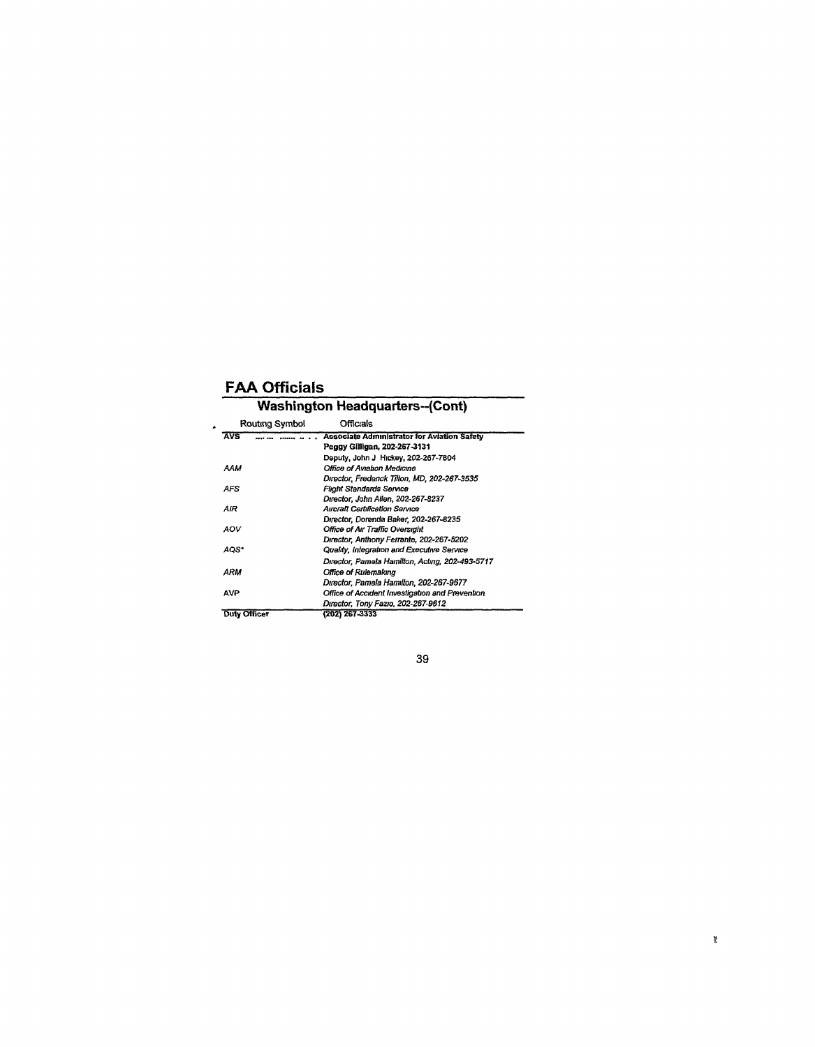$\cdot$ 

### **Washington Headquarters--(Cont)**  Routing Symbol

| ייייייים פיטוחים    | ◡                                               |
|---------------------|-------------------------------------------------|
| <b>AVS</b>          | Associate Administrator for Aviation Safety     |
|                     | Peggy Gilligan, 202-267-3131                    |
|                     | Deputy, John J Hickey, 202-267-7804             |
| AAM                 | Office of Aviation Medicine                     |
|                     | Director, Fredenck Tilton, MD, 202-267-3535     |
| AFS                 | Flight Standards Service                        |
|                     | Director, John Allen, 202-267-8237              |
| AIR                 | Aircraft Certification Service                  |
|                     | Director, Dorenda Baker, 202-267-8235           |
| AOV                 | <b>Office of Air Traffic Oversight</b>          |
|                     | Director, Anthony Ferrante, 202-267-5202        |
| AOS*                | Quality, Integration and Executive Service      |
|                     | Director, Pamela Hamilton, Acting, 202-493-5717 |
| ARM                 | Office of Rulemakına                            |
|                     | Dırector, Pamela Hamilton, 202-267-9677         |
| AVP                 | Office of Accident Investigation and Prevention |
|                     | Director, Tony Fazio, 202-267-9612              |
| <b>Duty Officer</b> | (202) 267-3333                                  |
|                     |                                                 |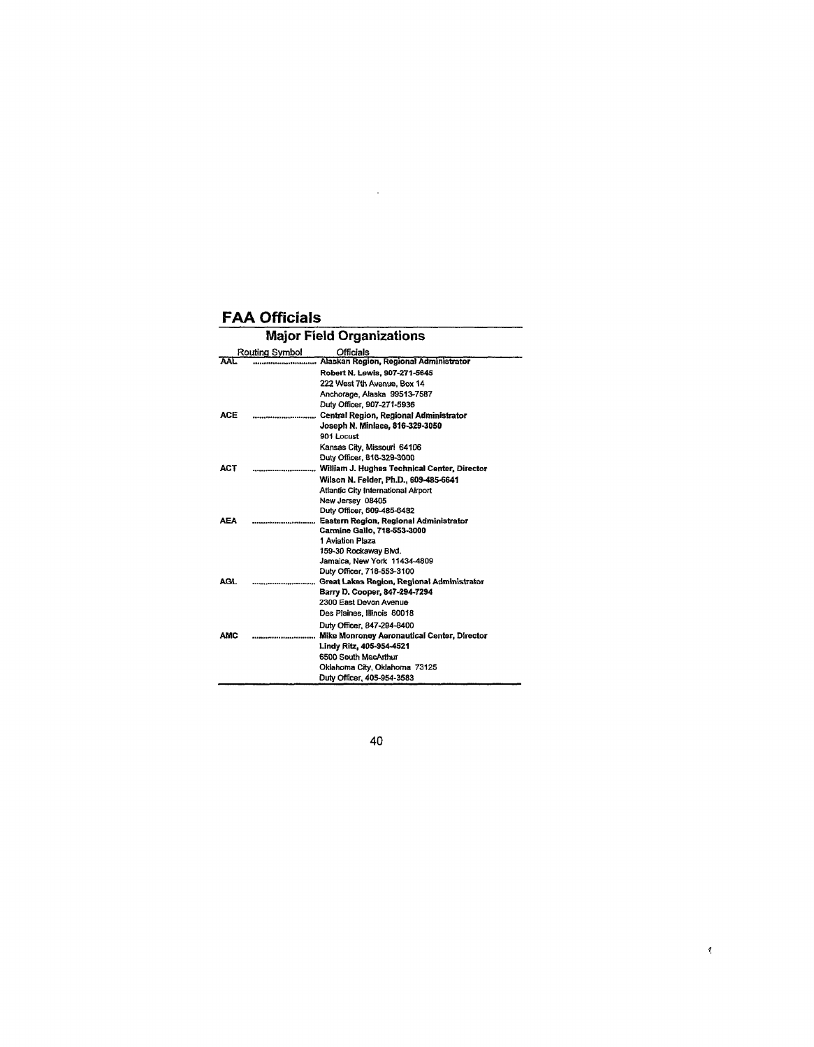| <b>Major Field Organizations</b> |                              |                                                                       |
|----------------------------------|------------------------------|-----------------------------------------------------------------------|
|                                  | Routing Symbol               | Officials                                                             |
| AAL.                             |                              | Alaskan Region, Regional Administrator                                |
|                                  |                              | Robert N. Lewis, 907-271-5645                                         |
|                                  |                              | 222 West 7th Avenue, Box 14                                           |
|                                  |                              | Anchorage, Alaska 99513-7587                                          |
|                                  |                              | Duty Officer, 907-271-5936                                            |
| ACE                              | ,,,,,,,,,,,,,,,,,,,,,,,,,,,, | Central Region, Regional Administrator                                |
|                                  |                              | Joseph N. Miniace, 816-329-3050                                       |
|                                  |                              | 901 Locust                                                            |
|                                  |                              | Kansas City, Missouri 64106                                           |
|                                  |                              | Duty Officer, 816-329-3000                                            |
| ACT                              |                              |                                                                       |
|                                  |                              | Wilson N. Felder, Ph.D., 609-485-6641                                 |
|                                  |                              | Atlantic City International Airport                                   |
|                                  |                              | New Jersey 08405                                                      |
|                                  |                              | Duty Officer, 609-485-6482                                            |
| <b>AEA</b>                       |                              | Eastern Region, Regional Administrator<br>Carmine Gallo, 718-553-3000 |
|                                  |                              | 1 Aviation Plaza                                                      |
|                                  |                              | 159-30 Rockaway Blvd.                                                 |
|                                  |                              | Jamaica, New York 11434-4809                                          |
|                                  |                              | Duty Officer, 718-553-3100                                            |
| AGL.                             | ---------------------------  | Great Lakes Region, Regional Administrator                            |
|                                  |                              | Barry D. Cooper, 847-294-7294                                         |
|                                  |                              | 2300 East Devon Avenue                                                |
|                                  |                              | Des Plaines, Illinois 60018                                           |
|                                  |                              | Duty Officer, 847-294-8400                                            |
| <b>AMC</b>                       |                              | Mike Monroney Aeronautical Center, Director                           |
|                                  |                              | Lindy Ritz, 405-954-4521                                              |
|                                  |                              | 6500 South MacArthur                                                  |
|                                  |                              | Oklahoma City, Oklahoma 73125                                         |
|                                  |                              | Duty Officer, 405-954-3583                                            |

 $\sim 10^6$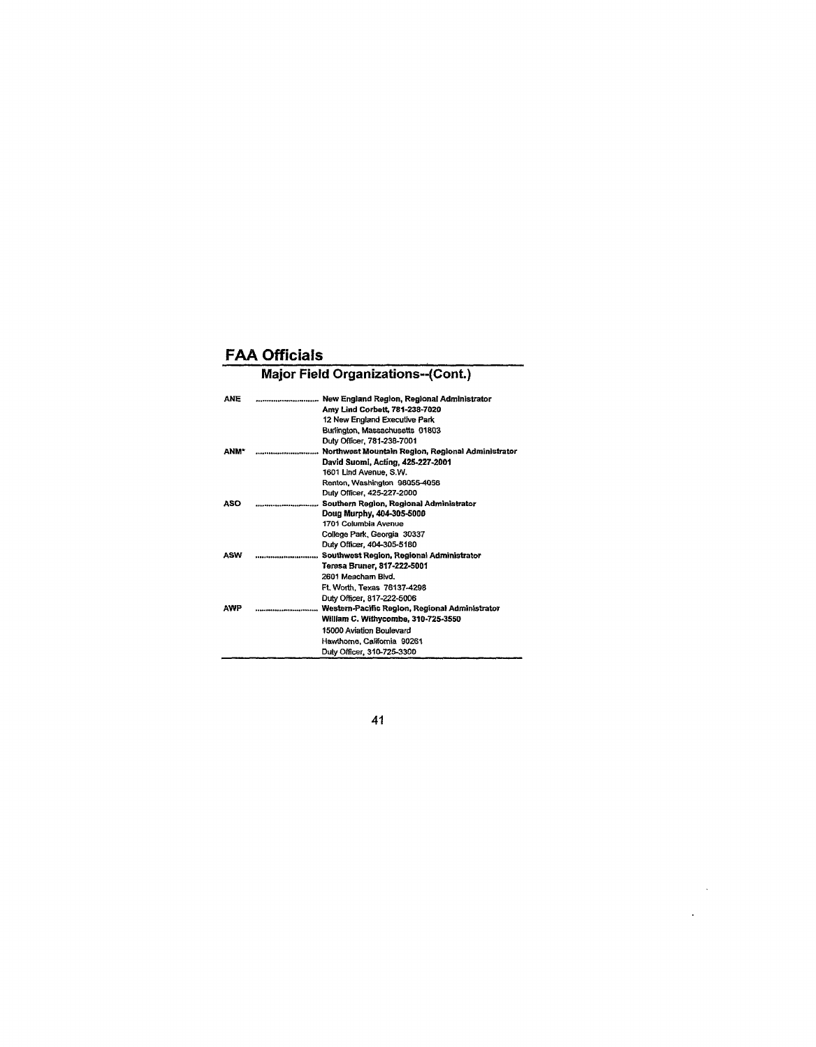# Major Field Organizations—(Cont.)

| <b>ANE</b>  |                                                   |
|-------------|---------------------------------------------------|
|             | Amy Lind Corbett, 781-238-7020                    |
|             | 12 New England Executive Park                     |
|             | Burlington, Massachusetts 01803                   |
|             | Duty Officer, 781-238-7001                        |
| <b>ANM*</b> | Northwest Mountain Region, Regional Administrator |
|             | David Suomi, Acting, 425-227-2001                 |
|             | 1601 Lind Avenue, S.W.                            |
|             | Renton, Washington 98055-4056                     |
|             | Duty Officer, 425-227-2000                        |
| ASO         | <br>Southern Region, Regional Administrator       |
|             | Doug Murphy, 404-305-5000                         |
|             | 1701 Columbia Avenue                              |
|             | College Park, Georgia 30337                       |
|             | Duty Officer, 404-305-5180                        |
| ASW         | Southwest Region, Regional Administrator          |
|             | Teresa Bruner, 817-222-5001                       |
|             | 2601 Meacham Blvd.                                |
|             | Ft. Worth. Texas 76137-4298                       |
|             | Duty Officer, 817-222-5006                        |
| <b>AWP</b>  |                                                   |
|             | William C. Withycombe, 310-725-3550               |
|             | 15000 Aviation Boulevard                          |
|             | Hawthorne, California 90261                       |
|             | Duty Officer, 310-725-3300                        |

**41** 

 $\sim$   $\sim$  $\sim 10^{-10}$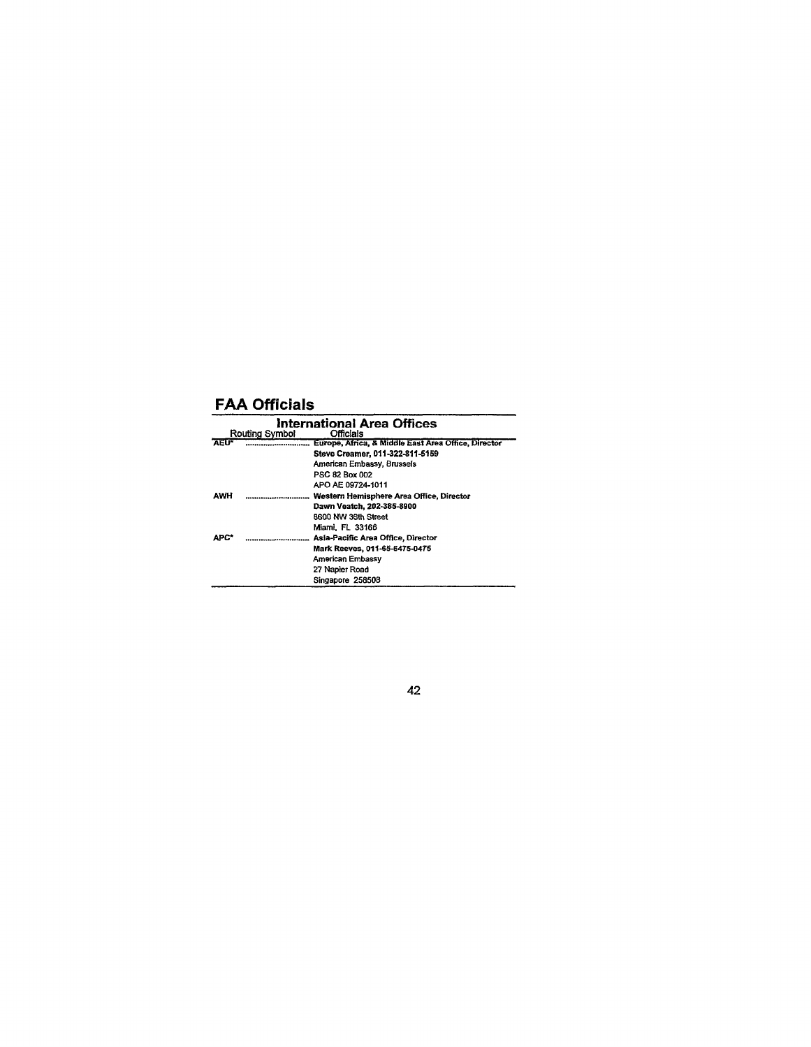|              | Routing Symbol | International Area Offices<br><b>Officials</b>      |
|--------------|----------------|-----------------------------------------------------|
| <b>AEU</b> * |                | Europe, Africa, & Middle East Area Office, Director |
|              |                | Steve Creamer, 011-322-811-5159                     |
|              |                | American Embassy, Brussels                          |
|              |                | PSC 82 Box 002                                      |
|              |                | APO AE 09724-1011                                   |
| AWH          |                | Western Hemisphere Area Office, Director            |
|              |                | Dawn Veatch, 202-385-8900                           |
|              |                | 8600 NW 36th Street                                 |
|              |                | Miami, FL 33166                                     |
| <b>APC*</b>  |                | Asía-Pacific Area Office, Director                  |
|              |                | Mark Reeves, 011-65-6475-0475                       |
|              |                | American Embassy                                    |
|              |                | 27 Napier Road                                      |
|              |                | Singapore 258508                                    |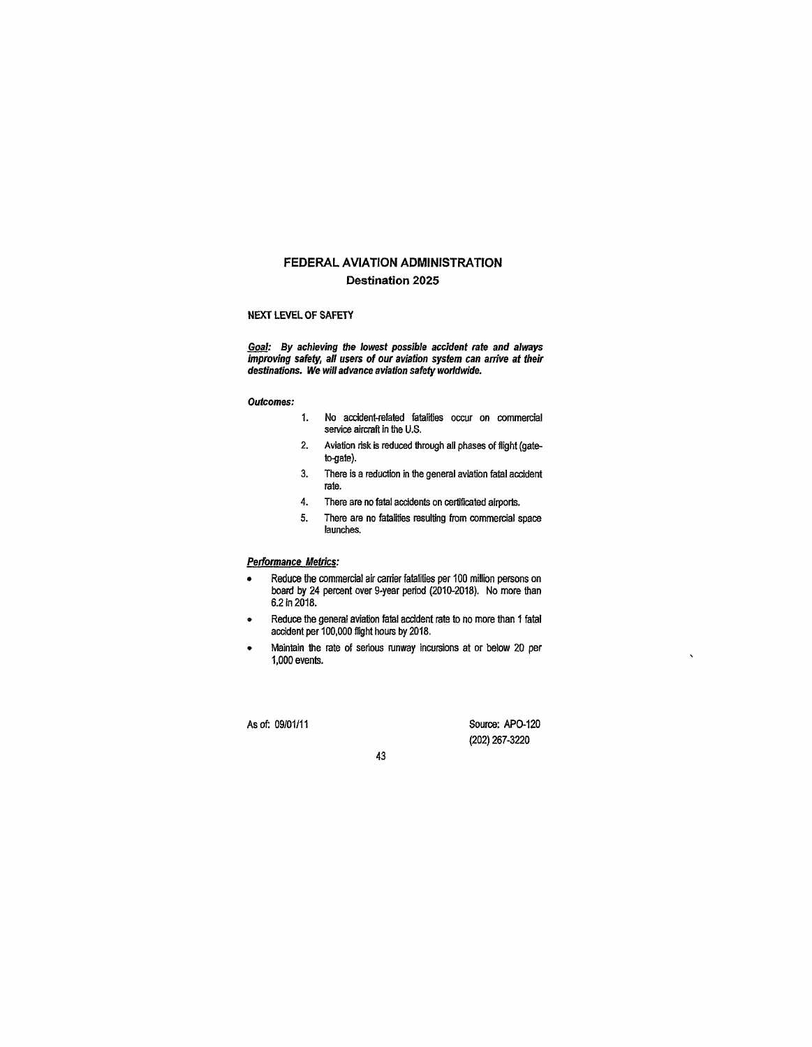#### **FEDERAL AVIATION ADMINISTRATION Destination 2025**

#### NEXT LEVEL OF SAFETY

Goal: By achieving the lowest possible accident rate and always improving safety, all users of our aviation system can arrive at their destinations. We will advance aviation safety worldwide.

#### Outcomes:

- 1. No accident-related fatalities occur on commercial service aircraft in the U.S.
- 2. Aviation risk is reduced through all phases of flight (gate-
- 3. There is a reduction in the general aviation fatal accident rate.
- 4. There are no fatal accidents on certificated airports.
- 5. There are no fatalities resulting from commercial space launches.

#### Performance Metrics:

- Reduce the commercial air carrier fatalities per 100 million persons on board by 24 percent over 9-year period (2010-2018). No more than 6.2 in 2018.
- Reduce the general aviation fatal accident rate to no more than 1 fatal accident per 100,000 flight hours by 2018.
- Maintain the rate of serious runway incursions at or below 20 per 1,000 events.

As of: 09/01/11 Source: APO-120 (202) 267-3220

 $\overline{\phantom{a}}$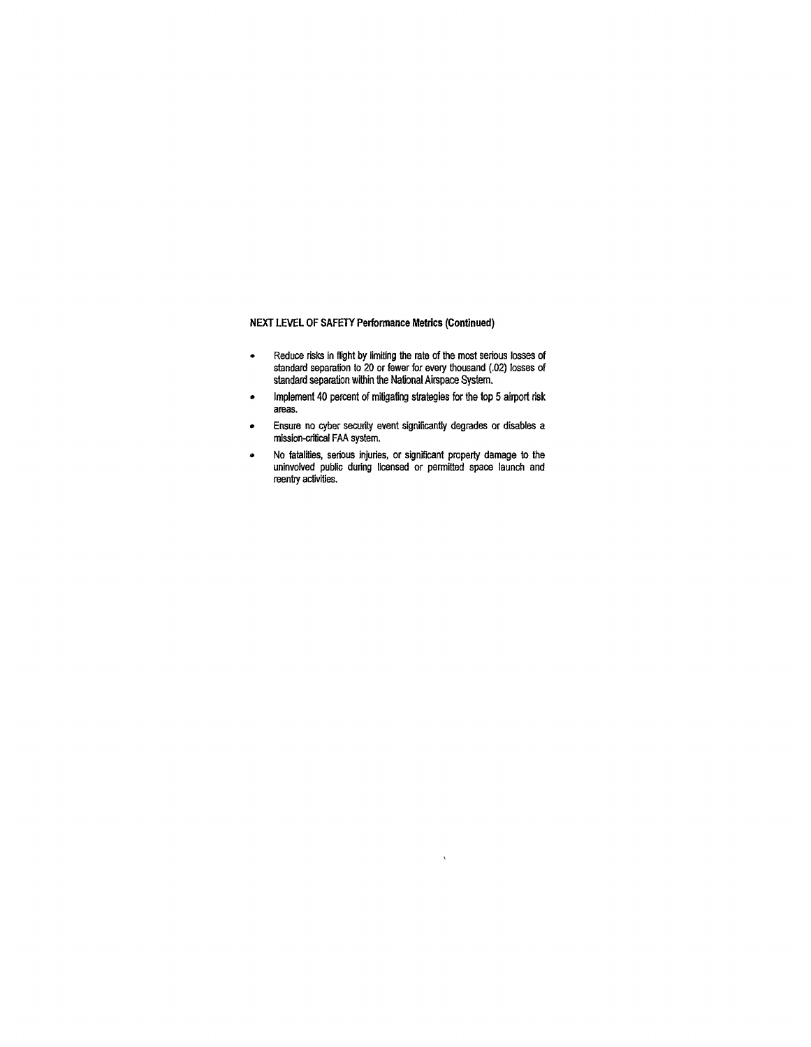#### **NEXT LEVEL OF SAFETY Performance Metrics (Continued)**

- Reduce risks in flight by limiting the rate of the most serious losses of standard separation to 20 or fewer for every thousand (.02) losses of standard separation within the National Airspace System.
- Implement 40 percent of mitigating strategies for the top 5 airport risk areas.
- Ensure no cyber security event significantly degrades or disables a mission-critical FAA system.
- No fatalities, serious injuries, or significant property damage to the uninvolved public during licensed or permitted space launch and reentry activities.

 $\hat{\mathbf{v}}$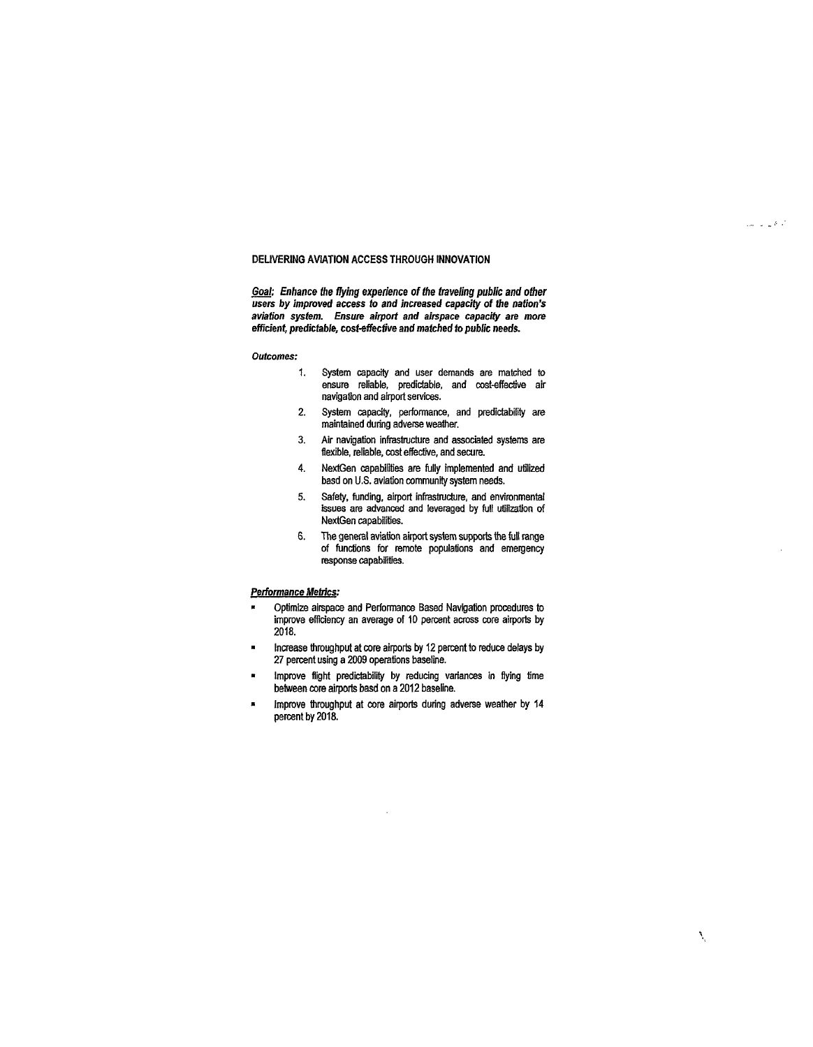#### **DELIVERING AVIATION ACCESS THROUGH INNOVATION**

**Goaf: Enhance the flying experience of the traveling public and other users by improved access to and increased capacity of the nation's aviation system. Ensure airport and airspace capacity are more efficient, predictable, cost-effective and matched to public needs.** 

#### Outcomes:

- 1. System capacity and user demands are matched to ensure reliable, predictable, and cost-effective air navigation and airport services.
- 2. System capacity, performance, and predictability are maintained during adverse weather.
- 3. Air navigation infrastructure and associated systems are flexible, reliable, cost effective, and secure.
- 4. NextGen capabilities are fully implemented and utilized basd on U.S. aviation community system needs.
- 5. Safety, funding, airport infrastructure, and environmental issues are advanced and leveraged by full utilization of NextGen capabilities.
- 6. The general aviation airport system supports the full range of functions for remote populations and emergency response capabilities.

#### **Performance Metrics:**

- Optimize airspace and Performance Based Navigation procedures to improve efficiency an average of 10 percent across core airports by 2018.
- Increase throughput at core airports by 12 percent to reduce delays by 27 percent using a 2009 operations baseline.
- Improve flight predictability by reducing variances in flying time between core airports basd on a 2012 baseline.
- Improve throughput at core airports during adverse weather by 14 percent by 2018.

 $\hat{\rho}_{\rm{max}} = \hat{\rho}_{\rm{max}} / \hat{\rho}_{\rm{max}}$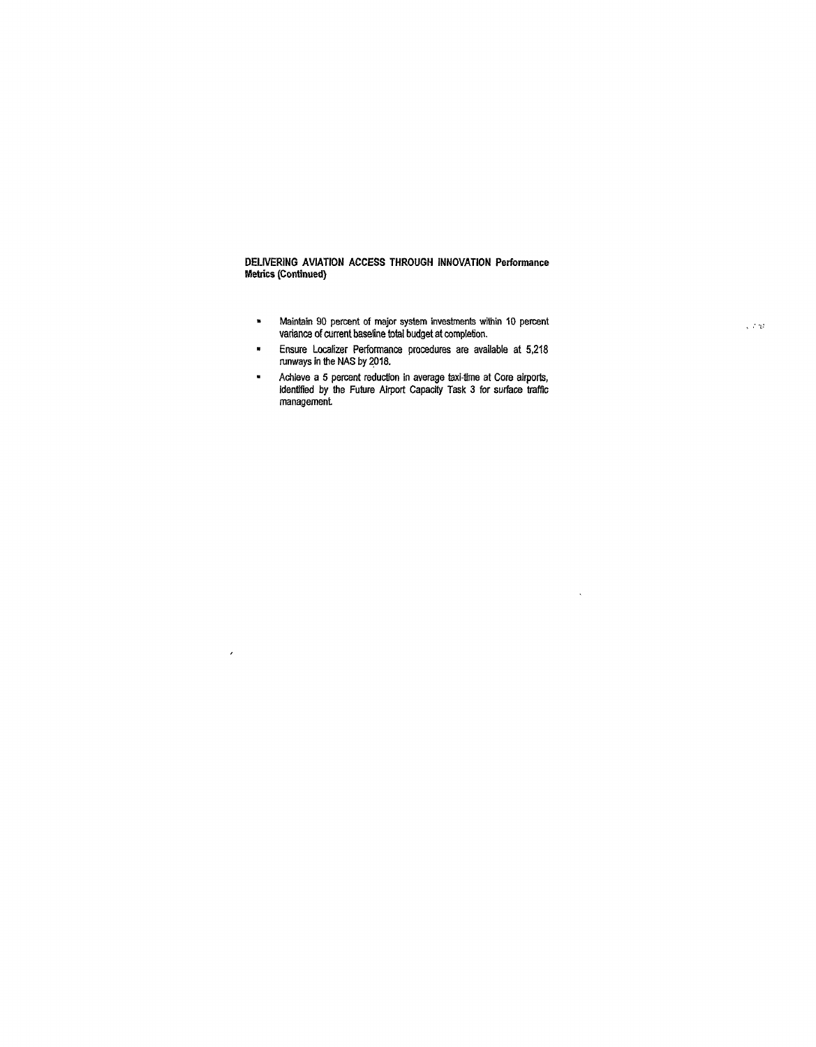**DELIVERING AVIATION ACCESS THROUGH INNOVATION Performance Metrics (Continued)** 

- $\blacksquare$ Maintain 90 percent of major system investments within 10 percent variance of current baseline total budget at completion.
- Ensure Localizer Performance procedures are available at 5,218  $\bullet$ runways in the NAS by 2018.
- $\ddot{\phantom{1}}$ Achieve a 5 percent reduction in average taxi-time at Core airports, identified by the Future Airport Capacity Task 3 for surface traffic management

 $\bar{\epsilon}$ 

 $\ddot{\phantom{0}}$ 

 $\sqrt{\nu}$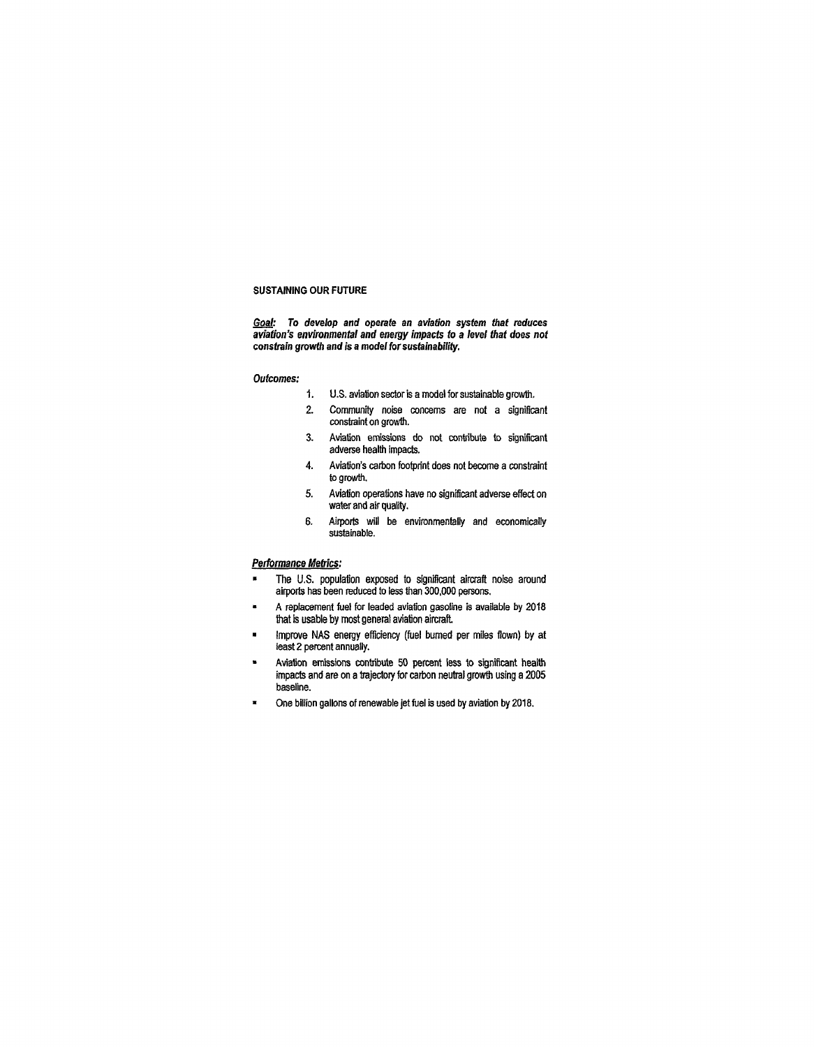#### **SUSTAINING OUR FUTURE**

**Goal: To develop and operate an aviation system that reduces aviation's environmental and energy impacts to a level that does not constrain growth and is a model for sustainability.** 

#### **Outcomes:**

- 1. U.S. aviation sector is a model for sustainable growth.
- 2. Community noise concerns are not a significant constraint on growth.
- 3. Aviation emissions do not contribute to significant adverse health impacts.
- 4. Aviation's carbon footprint does not become a constraint to growth.
- 5. Aviation operations have no significant adverse effect on water and air quality.
- 6. Airports will be environmentally and economically sustainable.

#### **Performance Metrics:**

- **•** The U.S. population exposed to significant aircraft noise around airports has been reduced to less than 300,000 persons.
- A replacement fuel for leaded aviation gasoline is available by 2018 that is usable by most general aviation aircraft
- Improve NAS energy efficiency (fuel burned per miles flown) by at least 2 percent annually.
- Aviation emissions contribute 50 percent less to significant health impacts and are on a trajectory for carbon neutral growth using a 2005 baseline.
- » One billion gallons of renewable jet fuel is used by aviation by 2018.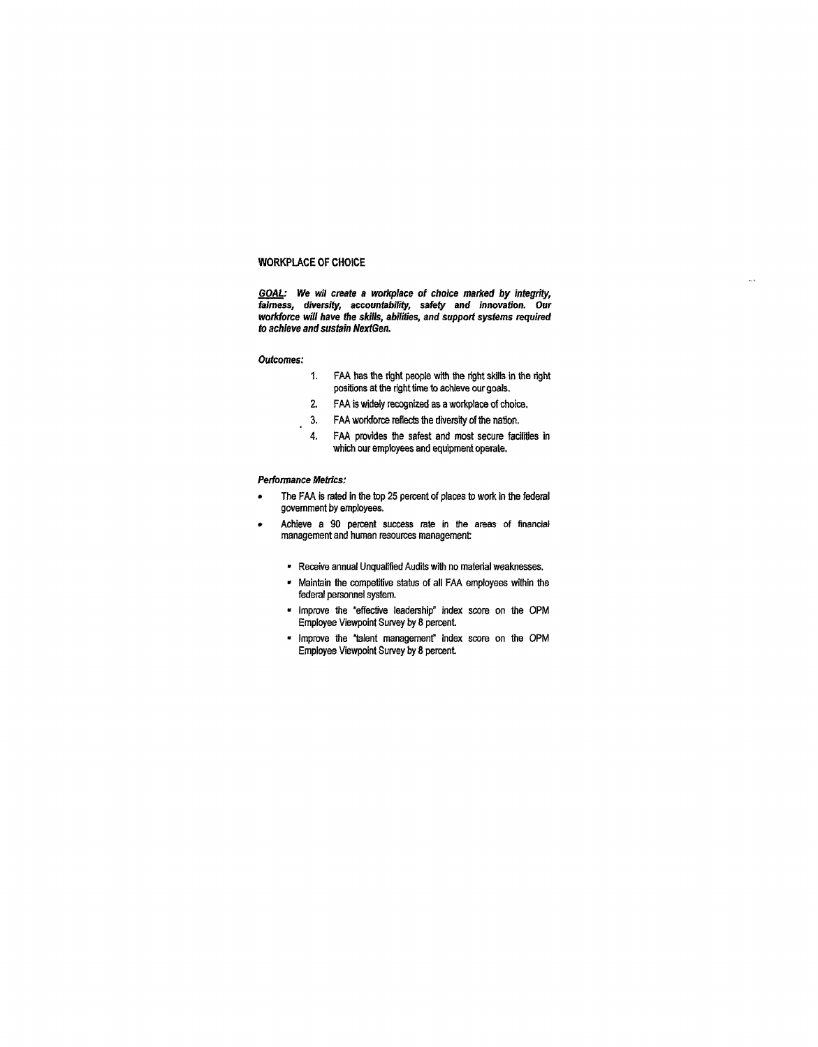#### **WORKPLACE OF CHOICE**

**GOAL: We wil create a workplace of choice marked by integrity, fairness, diversity, accountability, safety and innovation. Our workforce will have the skills, abilities, and support systems required to achieve and sustain NextGen.** 

#### **Outcomes:**

- 1. FAA has the right people with the right skills in the right positions at the right time to achieve our goals.
- 2. FAA is widely recognized as a workplace of choice.
- 3. FAA workforce reflects the diversity of the nation.
- 4. FAA provides the safest and most secure facilities in which our employees and equipment operate.

#### **Performance Metrics:**

 $\overline{a}$ 

- The FAA is rated in the top 25 percent of places to work in the federal government by employees.
- Achieve a 90 percent success rate in the areas of financial management and human resources management
	- » Receive annual Unqualified Audits with no material weaknesses.
	- Maintain the competitive status of all FAA employees within the federal personnel system.
	- Improve the "effective leadership" index score on the OPM Employee Viewpoint Survey by 8 percent
	- Improve the "talent management" index score on the OPM Employee Viewpoint Survey by 8 percent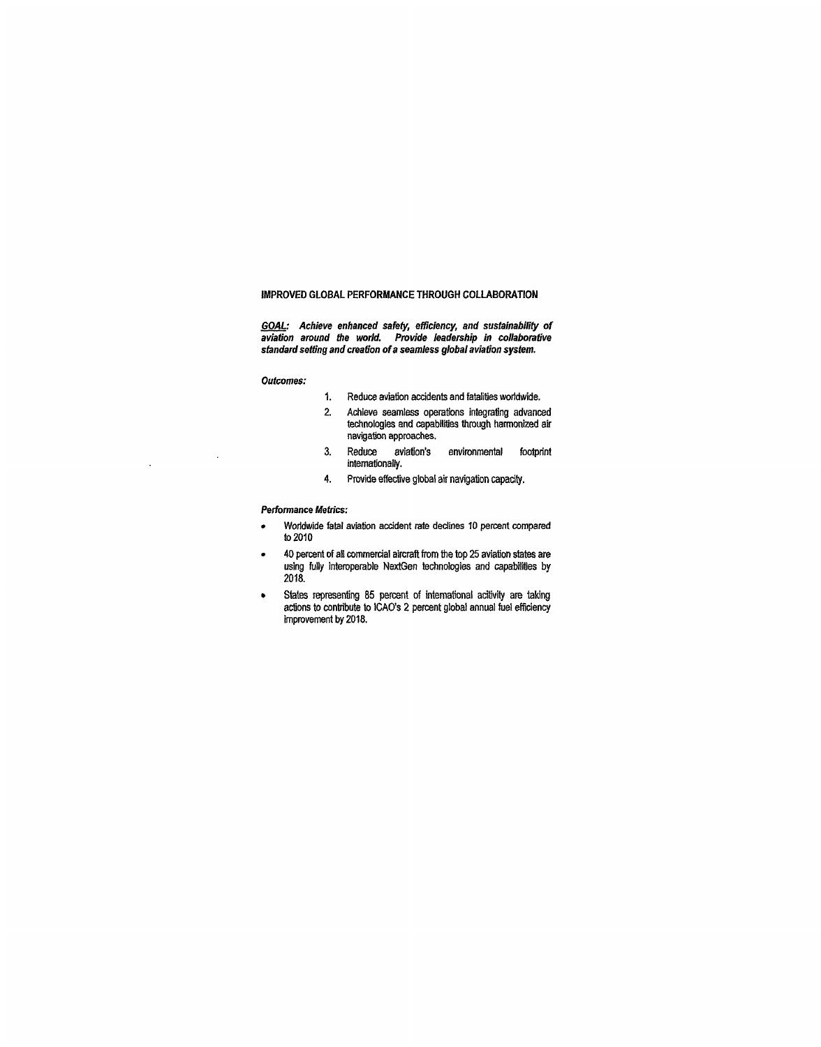#### **IMPROVED GLOBAL PERFORMANCE THROUGH COLLABORATION**

**GOAL: Achieve enhanced safety, efficiency, and sustainability of aviation around the world. Provide leadership in collaborative standard setting and creation of a seamless global aviation system.** 

#### **Outcomes:**

 $\bar{\beta}$ 

 $\ddot{\phantom{a}}$ 

- 1. Reduce aviation accidents and fatalities worldwide.
- 2. Achieve seamless operations integrating advanced technologies and capabilities through harmonized air navigation approaches.
- 3. Reduce aviation's environmental footprint internationally.
- 4. Provide effective global air navigation capacity.

#### **Performance Metrics:**

- Worldwide fatal aviation accident rate declines 10 percent compared to 2010
- 40 percent of all commercial aircraft from the top 25 aviation states are using fully interoperable NextGen technologies and capabilities by 2018.
- States representing 85 percent of international acitivity are taking actions to contribute to ICAO's 2 percent global annual fuel efficiency improvement by 2018.